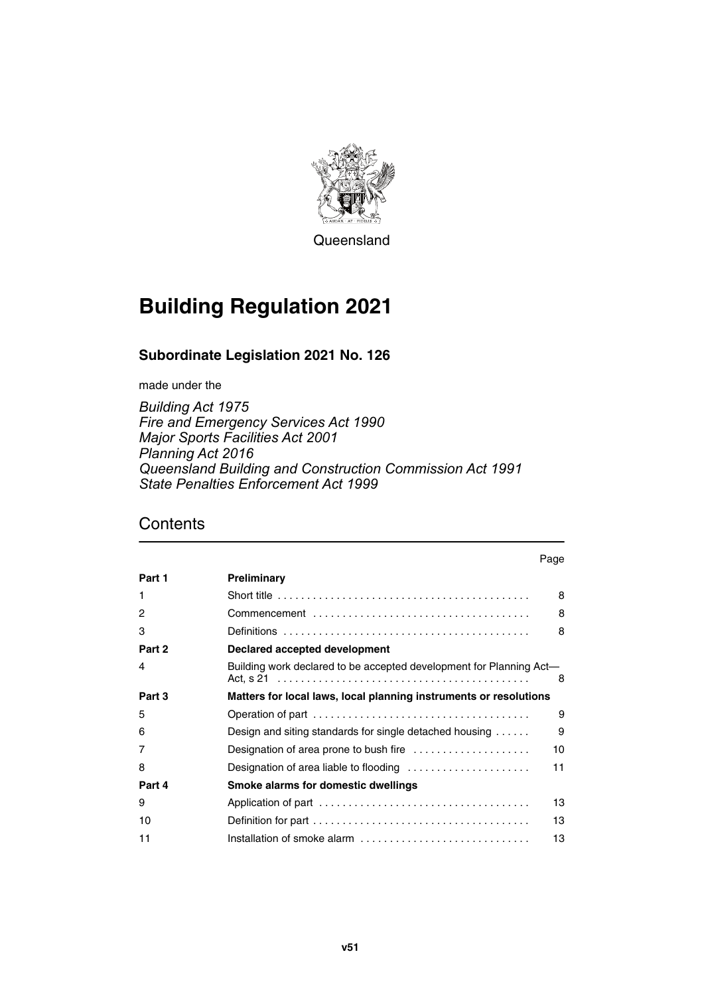

**Queensland** 

# **Building Regulation 2021**

### **Subordinate Legislation 2021 No. 126**

made under the

*Building Act 1975 Fire and Emergency Services Act 1990 Major Sports Facilities Act 2001 Planning Act 2016 Queensland Building and Construction Commission Act 1991 State Penalties Enforcement Act 1999*

|        |                                                                                            | Page |
|--------|--------------------------------------------------------------------------------------------|------|
| Part 1 | Preliminary                                                                                |      |
| 1      | Short title $\ldots \ldots \ldots \ldots \ldots \ldots \ldots \ldots \ldots \ldots \ldots$ | 8    |
| 2      |                                                                                            | 8    |
| 3      |                                                                                            | 8    |
| Part 2 | Declared accepted development                                                              |      |
| 4      | Building work declared to be accepted development for Planning Act—                        | 8    |
| Part 3 | Matters for local laws, local planning instruments or resolutions                          |      |
| 5      |                                                                                            | 9    |
| 6      | Design and siting standards for single detached housing                                    | 9    |
| 7      |                                                                                            | 10   |
| 8      | Designation of area liable to flooding                                                     | 11   |
| Part 4 | Smoke alarms for domestic dwellings                                                        |      |
| 9      |                                                                                            | 13   |
| 10     |                                                                                            | 13   |
| 11     |                                                                                            | 13   |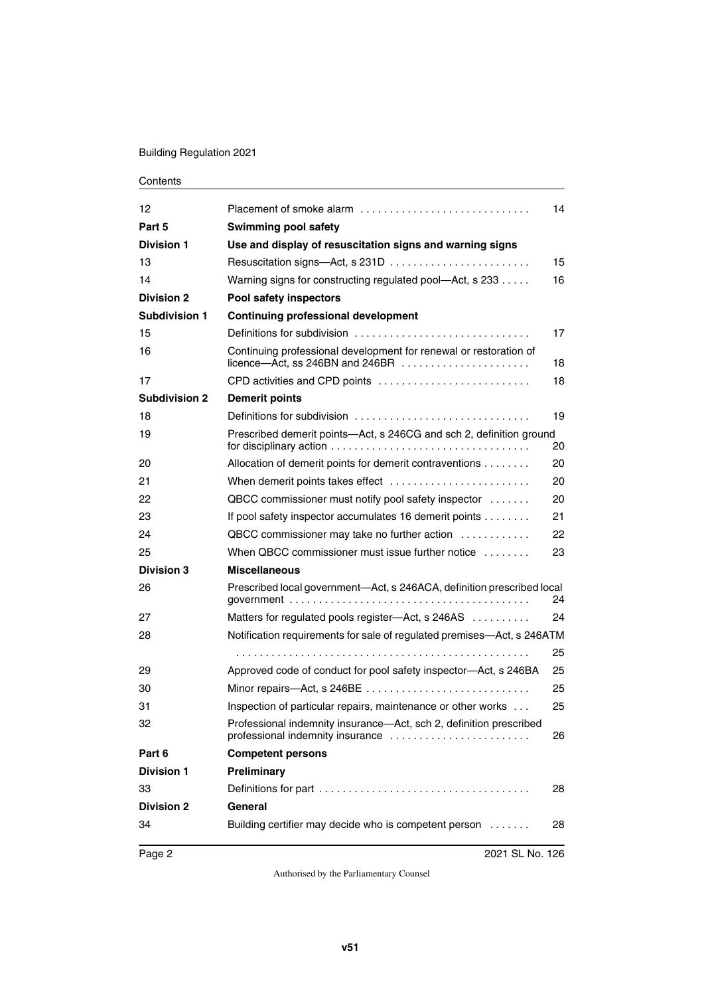#### Building Regulation 2021

| 12                   |                                                                                                        | 14 |
|----------------------|--------------------------------------------------------------------------------------------------------|----|
| Part 5               | <b>Swimming pool safety</b>                                                                            |    |
| <b>Division 1</b>    | Use and display of resuscitation signs and warning signs                                               |    |
| 13                   |                                                                                                        | 15 |
| 14                   | Warning signs for constructing regulated pool-Act, s 233                                               | 16 |
| <b>Division 2</b>    | Pool safety inspectors                                                                                 |    |
| Subdivision 1        | <b>Continuing professional development</b>                                                             |    |
| 15                   | Definitions for subdivision                                                                            | 17 |
| 16                   | Continuing professional development for renewal or restoration of                                      | 18 |
| 17                   | CPD activities and CPD points                                                                          | 18 |
| <b>Subdivision 2</b> | <b>Demerit points</b>                                                                                  |    |
| 18                   |                                                                                                        | 19 |
| 19                   | Prescribed demerit points-Act, s 246CG and sch 2, definition ground                                    | 20 |
| 20                   | Allocation of demerit points for demerit contraventions                                                | 20 |
| 21                   | When demerit points takes effect                                                                       | 20 |
| 22                   | QBCC commissioner must notify pool safety inspector                                                    | 20 |
| 23                   | If pool safety inspector accumulates 16 demerit points                                                 | 21 |
| 24                   | QBCC commissioner may take no further action                                                           | 22 |
| 25                   | When QBCC commissioner must issue further notice                                                       | 23 |
| <b>Division 3</b>    | <b>Miscellaneous</b>                                                                                   |    |
| 26                   | Prescribed local government—Act, s 246ACA, definition prescribed local                                 | 24 |
| 27                   | Matters for regulated pools register-Act, s 246AS                                                      | 24 |
| 28                   | Notification requirements for sale of regulated premises-Act, s 246ATM                                 |    |
|                      |                                                                                                        | 25 |
| 29                   | Approved code of conduct for pool safety inspector-Act, s 246BA                                        | 25 |
| 30                   | Minor repairs-Act, s 246BE                                                                             | 25 |
| 31                   | Inspection of particular repairs, maintenance or other works                                           | 25 |
| 32                   | Professional indemnity insurance—Act, sch 2, definition prescribed<br>professional indemnity insurance | 26 |
| Part 6               | <b>Competent persons</b>                                                                               |    |
| <b>Division 1</b>    | <b>Preliminary</b>                                                                                     |    |
| 33                   |                                                                                                        | 28 |
| <b>Division 2</b>    | General                                                                                                |    |
| 34                   | Building certifier may decide who is competent person                                                  | 28 |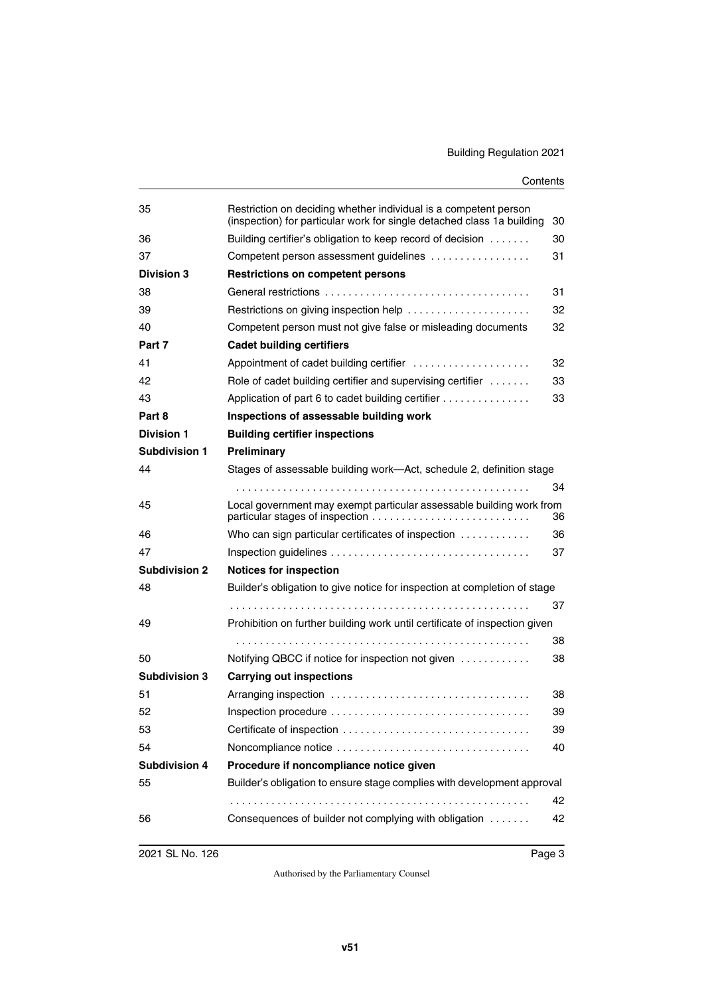| 35                   | Restriction on deciding whether individual is a competent person<br>(inspection) for particular work for single detached class 1a building | 30 |
|----------------------|--------------------------------------------------------------------------------------------------------------------------------------------|----|
| 36                   | Building certifier's obligation to keep record of decision                                                                                 | 30 |
| 37                   | Competent person assessment guidelines                                                                                                     | 31 |
| <b>Division 3</b>    | <b>Restrictions on competent persons</b>                                                                                                   |    |
| 38                   |                                                                                                                                            | 31 |
| 39                   | Restrictions on giving inspection help                                                                                                     | 32 |
| 40                   | Competent person must not give false or misleading documents                                                                               | 32 |
| Part 7               | <b>Cadet building certifiers</b>                                                                                                           |    |
| 41                   | Appointment of cadet building certifier                                                                                                    | 32 |
| 42                   | Role of cadet building certifier and supervising certifier                                                                                 | 33 |
| 43                   | Application of part 6 to cadet building certifier                                                                                          | 33 |
| Part 8               | Inspections of assessable building work                                                                                                    |    |
| <b>Division 1</b>    | <b>Building certifier inspections</b>                                                                                                      |    |
| <b>Subdivision 1</b> | Preliminary                                                                                                                                |    |
| 44                   | Stages of assessable building work-Act, schedule 2, definition stage                                                                       |    |
|                      |                                                                                                                                            | 34 |
| 45                   | Local government may exempt particular assessable building work from                                                                       | 36 |
| 46                   | Who can sign particular certificates of inspection $\ldots \ldots \ldots$                                                                  | 36 |
| 47                   |                                                                                                                                            | 37 |
| <b>Subdivision 2</b> | <b>Notices for inspection</b>                                                                                                              |    |
| 48                   | Builder's obligation to give notice for inspection at completion of stage                                                                  |    |
|                      |                                                                                                                                            | 37 |
| 49                   | Prohibition on further building work until certificate of inspection given                                                                 |    |
|                      |                                                                                                                                            | 38 |
| 50                   | Notifying QBCC if notice for inspection not given                                                                                          | 38 |
| <b>Subdivision 3</b> | <b>Carrying out inspections</b>                                                                                                            |    |
| 51                   |                                                                                                                                            | 38 |
| 52                   |                                                                                                                                            | 39 |
| 53                   | Certificate of inspection                                                                                                                  | 39 |
| 54                   | Noncompliance notice                                                                                                                       | 40 |
| <b>Subdivision 4</b> | Procedure if noncompliance notice given                                                                                                    |    |
| 55                   | Builder's obligation to ensure stage complies with development approval                                                                    |    |
|                      |                                                                                                                                            | 42 |
| 56                   | Consequences of builder not complying with obligation                                                                                      | 42 |
|                      |                                                                                                                                            |    |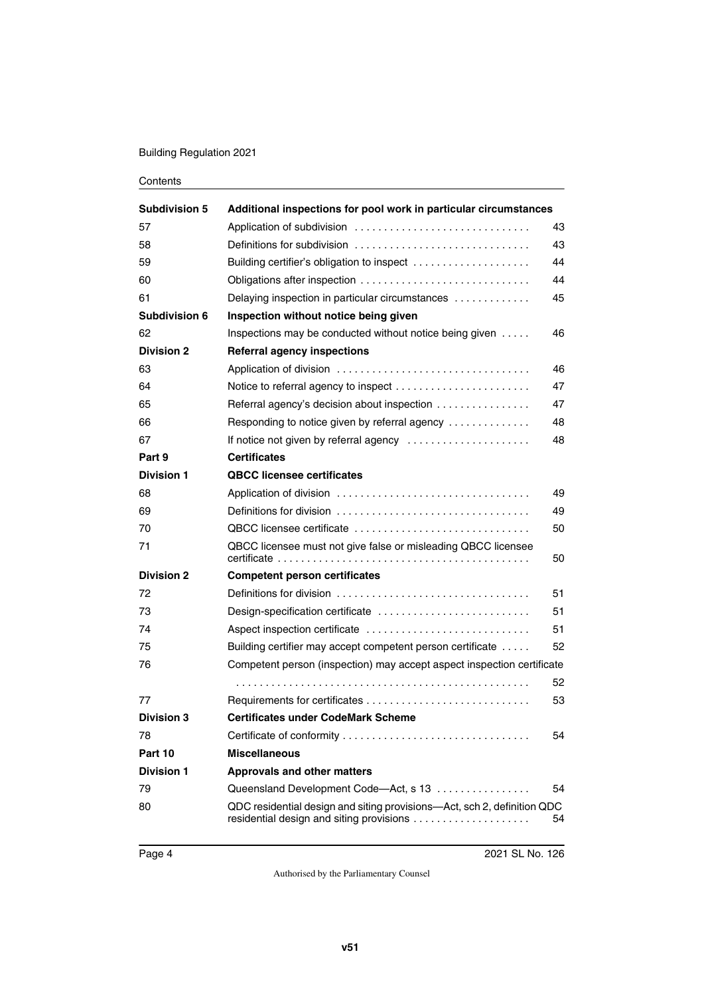#### Building Regulation 2021

| <b>Subdivision 5</b> | Additional inspections for pool work in particular circumstances                                                    |    |
|----------------------|---------------------------------------------------------------------------------------------------------------------|----|
| 57                   |                                                                                                                     | 43 |
| 58                   | Definitions for subdivision                                                                                         | 43 |
| 59                   | Building certifier's obligation to inspect                                                                          | 44 |
| 60                   | Obligations after inspection                                                                                        | 44 |
| 61                   | Delaying inspection in particular circumstances                                                                     | 45 |
| <b>Subdivision 6</b> | Inspection without notice being given                                                                               |    |
| 62                   | Inspections may be conducted without notice being given                                                             | 46 |
| <b>Division 2</b>    | <b>Referral agency inspections</b>                                                                                  |    |
| 63                   |                                                                                                                     | 46 |
| 64                   |                                                                                                                     | 47 |
| 65                   | Referral agency's decision about inspection                                                                         | 47 |
| 66                   | Responding to notice given by referral agency                                                                       | 48 |
| 67                   | If notice not given by referral agency                                                                              | 48 |
| Part 9               | <b>Certificates</b>                                                                                                 |    |
| <b>Division 1</b>    | <b>QBCC licensee certificates</b>                                                                                   |    |
| 68                   |                                                                                                                     | 49 |
| 69                   |                                                                                                                     | 49 |
| 70                   | QBCC licensee certificate                                                                                           | 50 |
| 71                   | QBCC licensee must not give false or misleading QBCC licensee                                                       | 50 |
| <b>Division 2</b>    | <b>Competent person certificates</b>                                                                                |    |
| 72                   |                                                                                                                     | 51 |
| 73                   | Design-specification certificate                                                                                    | 51 |
| 74                   | Aspect inspection certificate                                                                                       | 51 |
| 75                   | Building certifier may accept competent person certificate                                                          | 52 |
| 76                   | Competent person (inspection) may accept aspect inspection certificate                                              |    |
|                      |                                                                                                                     | 52 |
| 77                   |                                                                                                                     | 53 |
| <b>Division 3</b>    | <b>Certificates under CodeMark Scheme</b>                                                                           |    |
| 78                   |                                                                                                                     | 54 |
| Part 10              | <b>Miscellaneous</b>                                                                                                |    |
| <b>Division 1</b>    | <b>Approvals and other matters</b>                                                                                  |    |
| 79                   | Queensland Development Code-Act, s 13                                                                               | 54 |
| 80                   | QDC residential design and siting provisions-Act, sch 2, definition QDC<br>residential design and siting provisions | 54 |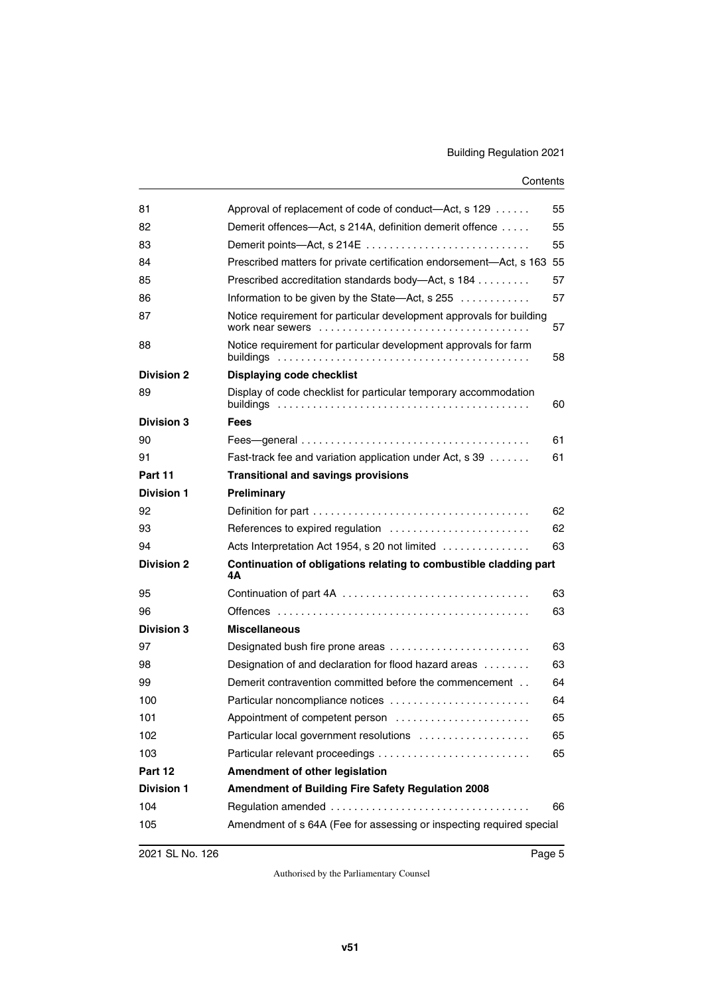| 81                | Approval of replacement of code of conduct—Act, s 129                         | 55 |
|-------------------|-------------------------------------------------------------------------------|----|
| 82                | Demerit offences—Act, s 214A, definition demerit offence                      | 55 |
| 83                | Demerit points-Act, s 214E                                                    | 55 |
| 84                | Prescribed matters for private certification endorsement-Act, s 163 55        |    |
| 85                | Prescribed accreditation standards body-Act, s 184                            | 57 |
| 86                | Information to be given by the State—Act, s $255$                             | 57 |
| 87                | Notice requirement for particular development approvals for building          | 57 |
| 88                | Notice requirement for particular development approvals for farm<br>buildings | 58 |
| <b>Division 2</b> | Displaying code checklist                                                     |    |
| 89                | Display of code checklist for particular temporary accommodation              | 60 |
| <b>Division 3</b> | <b>Fees</b>                                                                   |    |
| 90                |                                                                               | 61 |
| 91                | Fast-track fee and variation application under Act, s 39                      | 61 |
| Part 11           | <b>Transitional and savings provisions</b>                                    |    |
| <b>Division 1</b> | Preliminary                                                                   |    |
| 92                |                                                                               | 62 |
| 93                | References to expired regulation                                              | 62 |
| 94                | Acts Interpretation Act 1954, s 20 not limited                                | 63 |
| <b>Division 2</b> | Continuation of obligations relating to combustible cladding part<br>4А       |    |
| 95                |                                                                               | 63 |
| 96                |                                                                               | 63 |
| <b>Division 3</b> | <b>Miscellaneous</b>                                                          |    |
| 97                | Designated bush fire prone areas                                              | 63 |
| 98                | Designation of and declaration for flood hazard areas                         | 63 |
| 99                | Demerit contravention committed before the commencement                       | 64 |
| 100               | Particular noncompliance notices                                              | 64 |
| 101               | Appointment of competent person                                               | 65 |
| 102               | Particular local government resolutions                                       | 65 |
| 103               |                                                                               | 65 |
| Part 12           | Amendment of other legislation                                                |    |
| <b>Division 1</b> | Amendment of Building Fire Safety Regulation 2008                             |    |
| 104               | Regulation amended                                                            | 66 |
| 105               | Amendment of s 64A (Fee for assessing or inspecting required special          |    |
|                   |                                                                               |    |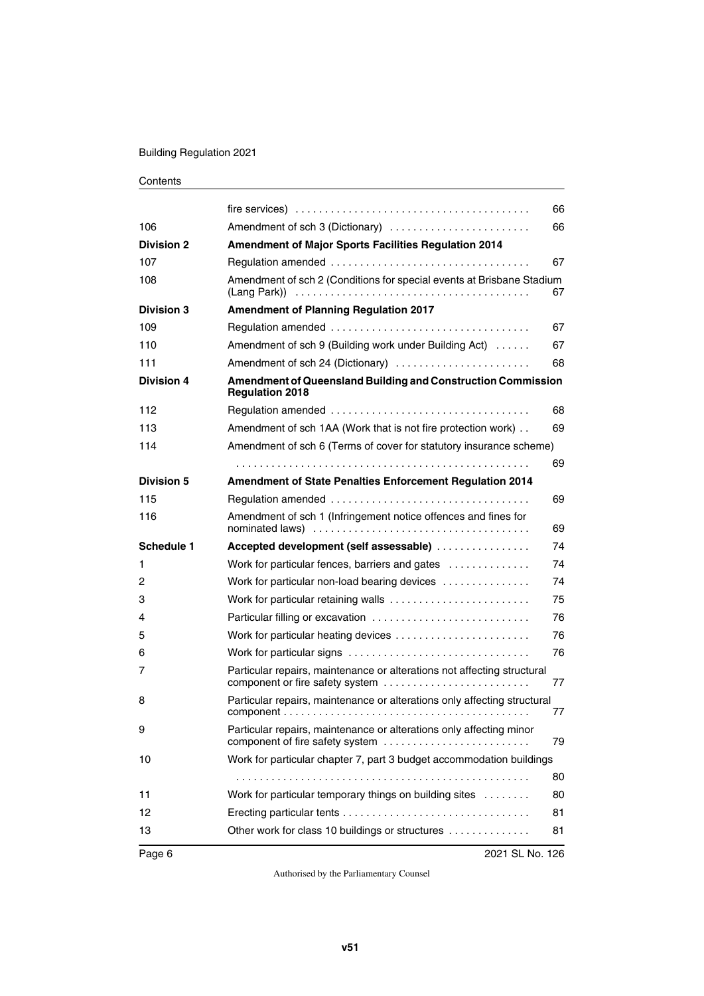#### Building Regulation 2021

|                   | $fire$ services) $\ldots \ldots \ldots \ldots \ldots \ldots \ldots \ldots \ldots \ldots \ldots \ldots \ldots$ | 66 |
|-------------------|---------------------------------------------------------------------------------------------------------------|----|
| 106               | Amendment of sch 3 (Dictionary)                                                                               | 66 |
| <b>Division 2</b> | <b>Amendment of Major Sports Facilities Regulation 2014</b>                                                   |    |
| 107               |                                                                                                               | 67 |
| 108               | Amendment of sch 2 (Conditions for special events at Brisbane Stadium                                         | 67 |
| <b>Division 3</b> | <b>Amendment of Planning Regulation 2017</b>                                                                  |    |
| 109               |                                                                                                               | 67 |
| 110               | Amendment of sch 9 (Building work under Building Act)                                                         | 67 |
| 111               | Amendment of sch 24 (Dictionary)                                                                              | 68 |
| <b>Division 4</b> | <b>Amendment of Queensland Building and Construction Commission</b><br><b>Regulation 2018</b>                 |    |
| 112               |                                                                                                               | 68 |
| 113               | Amendment of sch 1AA (Work that is not fire protection work)                                                  | 69 |
| 114               | Amendment of sch 6 (Terms of cover for statutory insurance scheme)                                            |    |
|                   |                                                                                                               | 69 |
| <b>Division 5</b> | <b>Amendment of State Penalties Enforcement Regulation 2014</b>                                               |    |
| 115               |                                                                                                               | 69 |
| 116               | Amendment of sch 1 (Infringement notice offences and fines for                                                | 69 |
| Schedule 1        | Accepted development (self assessable)                                                                        | 74 |
| 1                 | Work for particular fences, barriers and gates                                                                | 74 |
| 2                 | Work for particular non-load bearing devices                                                                  | 74 |
| 3                 | Work for particular retaining walls                                                                           | 75 |
| 4                 | Particular filling or excavation                                                                              | 76 |
| 5                 |                                                                                                               | 76 |
| 6                 | Work for particular signs                                                                                     | 76 |
| 7                 | Particular repairs, maintenance or alterations not affecting structural<br>component or fire safety system    | 77 |
| 8                 | Particular repairs, maintenance or alterations only affecting structural                                      | 77 |
| 9                 | Particular repairs, maintenance or alterations only affecting minor<br>component of fire safety system        | 79 |
| 10                | Work for particular chapter 7, part 3 budget accommodation buildings                                          |    |
|                   |                                                                                                               | 80 |
| 11                | Work for particular temporary things on building sites                                                        | 80 |
| 12                |                                                                                                               | 81 |
| 13                | Other work for class 10 buildings or structures                                                               | 81 |
|                   |                                                                                                               |    |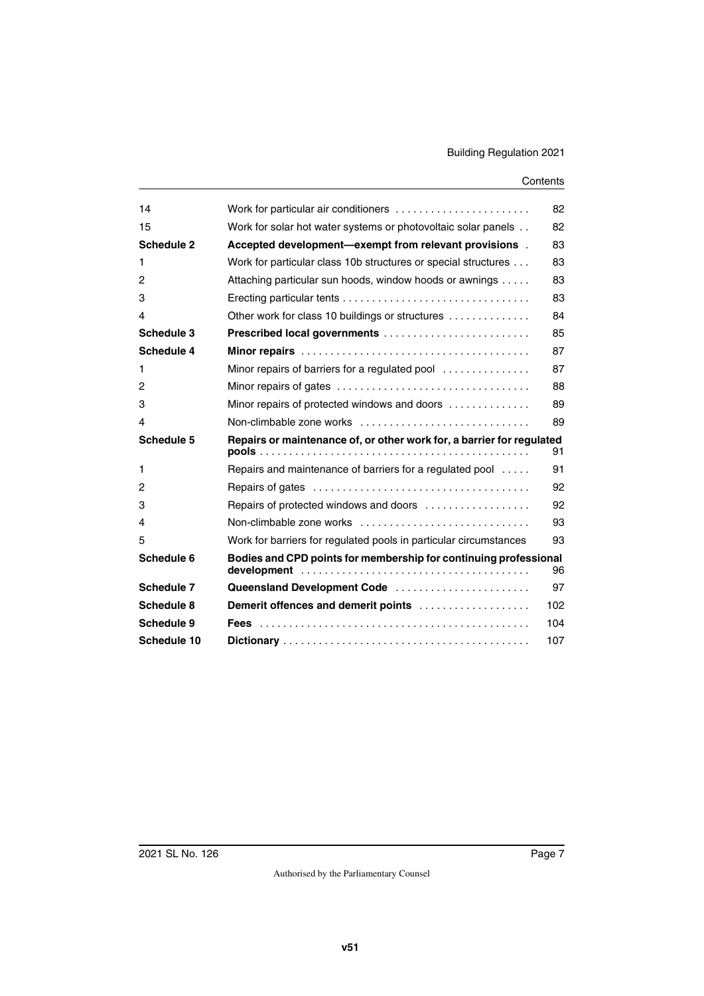| 14          | Work for particular air conditioners                                                              | 82  |
|-------------|---------------------------------------------------------------------------------------------------|-----|
| 15          | Work for solar hot water systems or photovoltaic solar panels                                     | 82  |
| Schedule 2  | Accepted development—exempt from relevant provisions.                                             | 83  |
| 1           | Work for particular class 10b structures or special structures                                    | 83  |
| 2           | Attaching particular sun hoods, window hoods or awnings                                           | 83  |
| 3           | Erecting particular tents $\ldots \ldots \ldots \ldots \ldots \ldots \ldots \ldots \ldots \ldots$ | 83  |
| 4           | Other work for class 10 buildings or structures                                                   | 84  |
| Schedule 3  | Prescribed local governments                                                                      | 85  |
| Schedule 4  |                                                                                                   | 87  |
| 1           | Minor repairs of barriers for a regulated pool                                                    | 87  |
| 2           |                                                                                                   | 88  |
| 3           | Minor repairs of protected windows and doors                                                      | 89  |
| 4           | Non-climbable zone works                                                                          | 89  |
| Schedule 5  | Repairs or maintenance of, or other work for, a barrier for regulated                             | 91  |
| 1           | Repairs and maintenance of barriers for a regulated pool                                          | 91  |
| 2           |                                                                                                   | 92  |
| 3           | Repairs of protected windows and doors                                                            | 92  |
| 4           | Non-climbable zone works                                                                          | 93  |
| 5           | Work for barriers for regulated pools in particular circumstances                                 | 93  |
| Schedule 6  | Bodies and CPD points for membership for continuing professional                                  | 96  |
| Schedule 7  | Queensland Development Code                                                                       | 97  |
| Schedule 8  | Demerit offences and demerit points                                                               | 102 |
| Schedule 9  |                                                                                                   | 104 |
| Schedule 10 |                                                                                                   | 107 |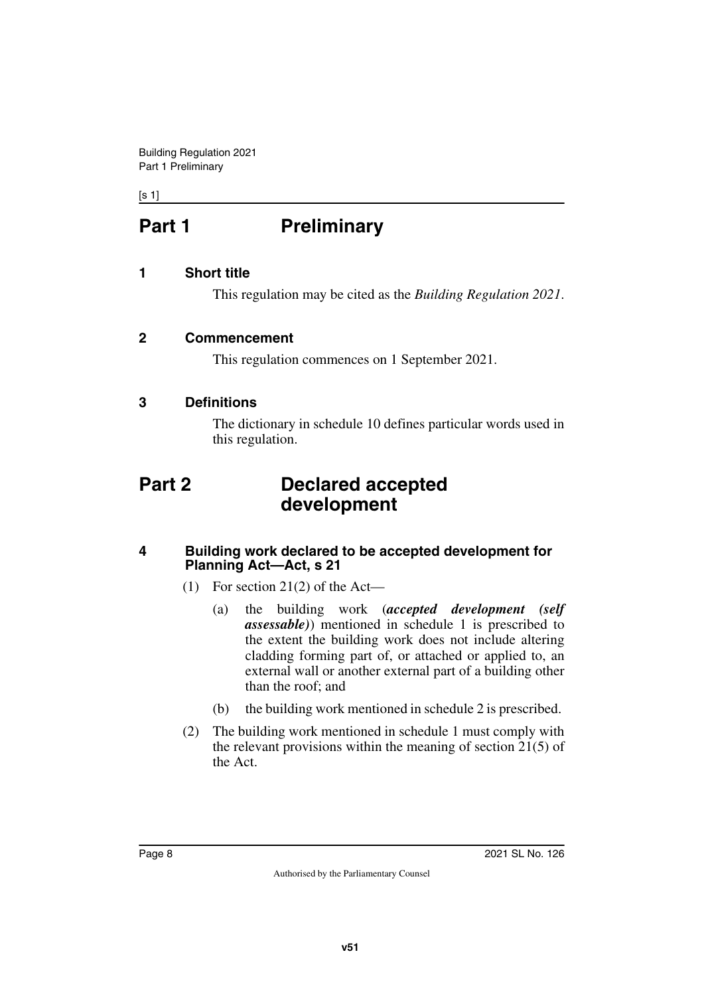<span id="page-7-0"></span> $[s 1]$ 

# **Part 1** Preliminary

#### <span id="page-7-2"></span>**1 Short title**

<span id="page-7-5"></span><span id="page-7-3"></span><span id="page-7-1"></span>This regulation may be cited as the *Building Regulation 2021*.

#### <span id="page-7-4"></span>**2 Commencement**

This regulation commences on 1 September 2021.

#### <span id="page-7-6"></span>**3 Definitions**

<span id="page-7-9"></span><span id="page-7-7"></span>The dictionary in schedule 10 defines particular words used in this regulation.

### <span id="page-7-8"></span>**Part 2 Declared accepted development**

#### <span id="page-7-10"></span>**4 Building work declared to be accepted development for Planning Act—Act, s 21**

- <span id="page-7-11"></span>(1) For section 21(2) of the Act—
	- (a) the building work (*accepted development (self assessable)*) mentioned in schedule 1 is prescribed to the extent the building work does not include altering cladding forming part of, or attached or applied to, an external wall or another external part of a building other than the roof; and
	- (b) the building work mentioned in schedule 2 is prescribed.
- (2) The building work mentioned in schedule 1 must comply with the relevant provisions within the meaning of section 21(5) of the Act.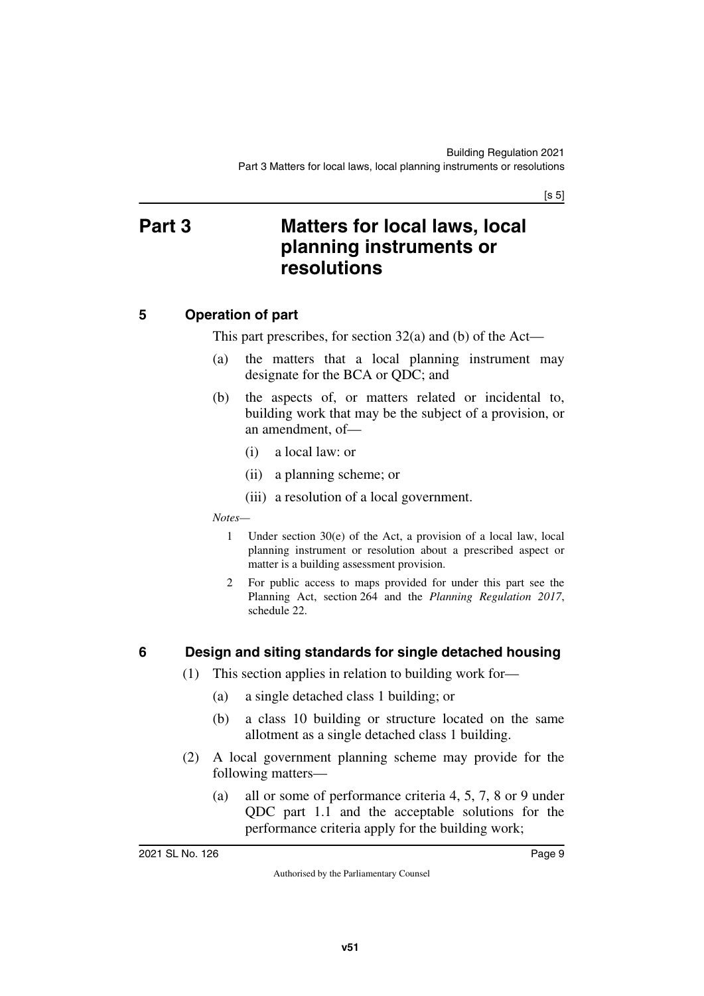$[s 5]$ 

### <span id="page-8-1"></span><span id="page-8-0"></span>**Part 3 Matters for local laws, local planning instruments or resolutions**

#### <span id="page-8-2"></span>**5 Operation of part**

<span id="page-8-3"></span>This part prescribes, for section 32(a) and (b) of the Act—

- (a) the matters that a local planning instrument may designate for the BCA or QDC; and
- (b) the aspects of, or matters related or incidental to, building work that may be the subject of a provision, or an amendment, of—
	- (i) a local law: or
	- (ii) a planning scheme; or
	- (iii) a resolution of a local government.

*Notes—*

- 1 Under section 30(e) of the Act, a provision of a local law, local planning instrument or resolution about a prescribed aspect or matter is a building assessment provision.
- 2 For public access to maps provided for under this part see the Planning Act, section 264 and the *Planning Regulation 2017*, schedule 22.

#### <span id="page-8-4"></span>**6 Design and siting standards for single detached housing**

- <span id="page-8-5"></span>(1) This section applies in relation to building work for—
	- (a) a single detached class 1 building; or
	- (b) a class 10 building or structure located on the same allotment as a single detached class 1 building.
- (2) A local government planning scheme may provide for the following matters—
	- (a) all or some of performance criteria 4, 5, 7, 8 or 9 under QDC part 1.1 and the acceptable solutions for the performance criteria apply for the building work;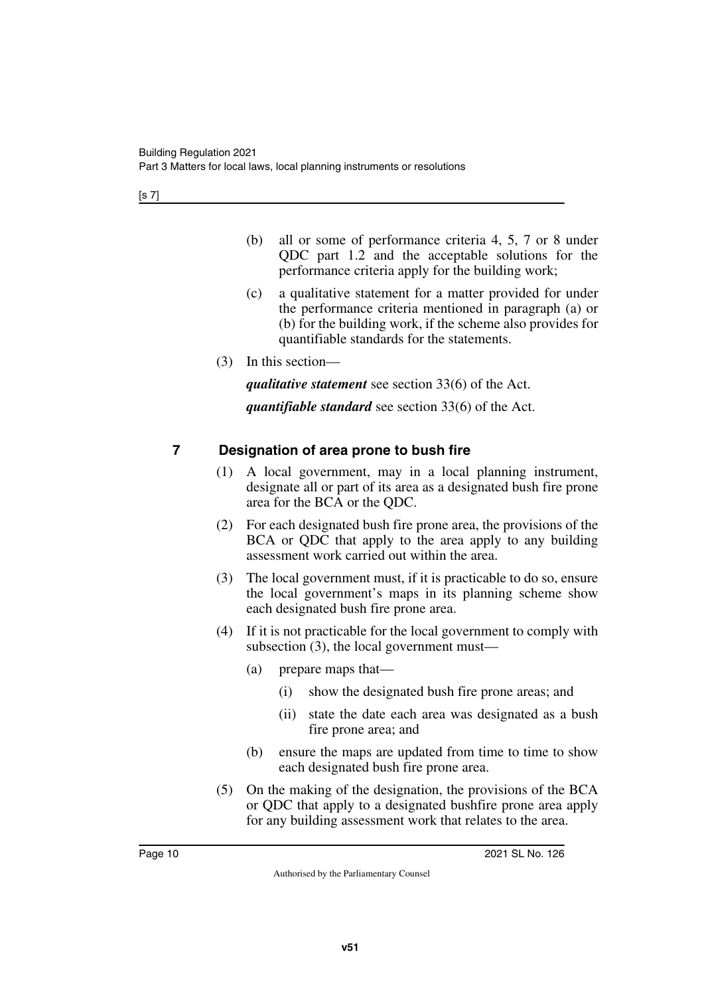[s 7]

- (b) all or some of performance criteria 4, 5, 7 or 8 under QDC part 1.2 and the acceptable solutions for the performance criteria apply for the building work;
- (c) a qualitative statement for a matter provided for under the performance criteria mentioned in paragraph (a) or (b) for the building work, if the scheme also provides for quantifiable standards for the statements.
- (3) In this section—

*qualitative statement* see section 33(6) of the Act.

*quantifiable standard* see section 33(6) of the Act.

### <span id="page-9-0"></span>**7 Designation of area prone to bush fire**

- <span id="page-9-1"></span>(1) A local government, may in a local planning instrument, designate all or part of its area as a designated bush fire prone area for the BCA or the QDC.
- (2) For each designated bush fire prone area, the provisions of the BCA or QDC that apply to the area apply to any building assessment work carried out within the area.
- (3) The local government must, if it is practicable to do so, ensure the local government's maps in its planning scheme show each designated bush fire prone area.
- (4) If it is not practicable for the local government to comply with subsection (3), the local government must—
	- (a) prepare maps that—
		- (i) show the designated bush fire prone areas; and
		- (ii) state the date each area was designated as a bush fire prone area; and
	- (b) ensure the maps are updated from time to time to show each designated bush fire prone area.
- (5) On the making of the designation, the provisions of the BCA or QDC that apply to a designated bushfire prone area apply for any building assessment work that relates to the area.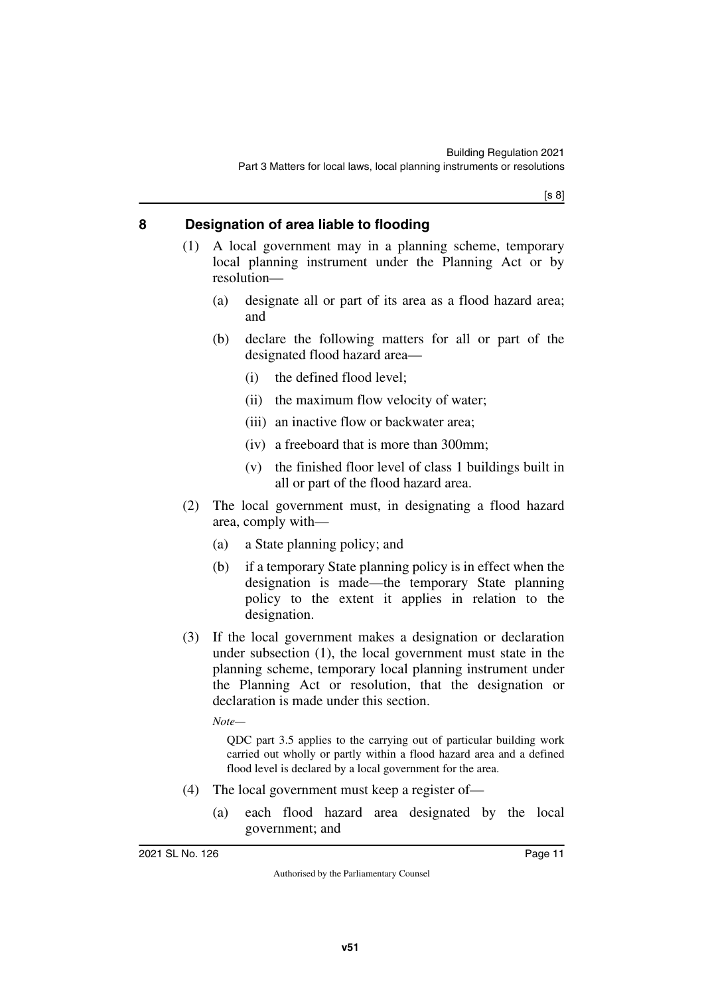[s 8]

#### <span id="page-10-0"></span>**8 Designation of area liable to flooding**

- <span id="page-10-1"></span>(1) A local government may in a planning scheme, temporary local planning instrument under the Planning Act or by resolution—
	- (a) designate all or part of its area as a flood hazard area; and
	- (b) declare the following matters for all or part of the designated flood hazard area—
		- (i) the defined flood level;
		- (ii) the maximum flow velocity of water;
		- (iii) an inactive flow or backwater area;
		- (iv) a freeboard that is more than 300mm;
		- (v) the finished floor level of class 1 buildings built in all or part of the flood hazard area.
- (2) The local government must, in designating a flood hazard area, comply with—
	- (a) a State planning policy; and
	- (b) if a temporary State planning policy is in effect when the designation is made—the temporary State planning policy to the extent it applies in relation to the designation.
- (3) If the local government makes a designation or declaration under subsection (1), the local government must state in the planning scheme, temporary local planning instrument under the Planning Act or resolution, that the designation or declaration is made under this section.

*Note—*

QDC part 3.5 applies to the carrying out of particular building work carried out wholly or partly within a flood hazard area and a defined flood level is declared by a local government for the area.

- (4) The local government must keep a register of—
	- (a) each flood hazard area designated by the local government; and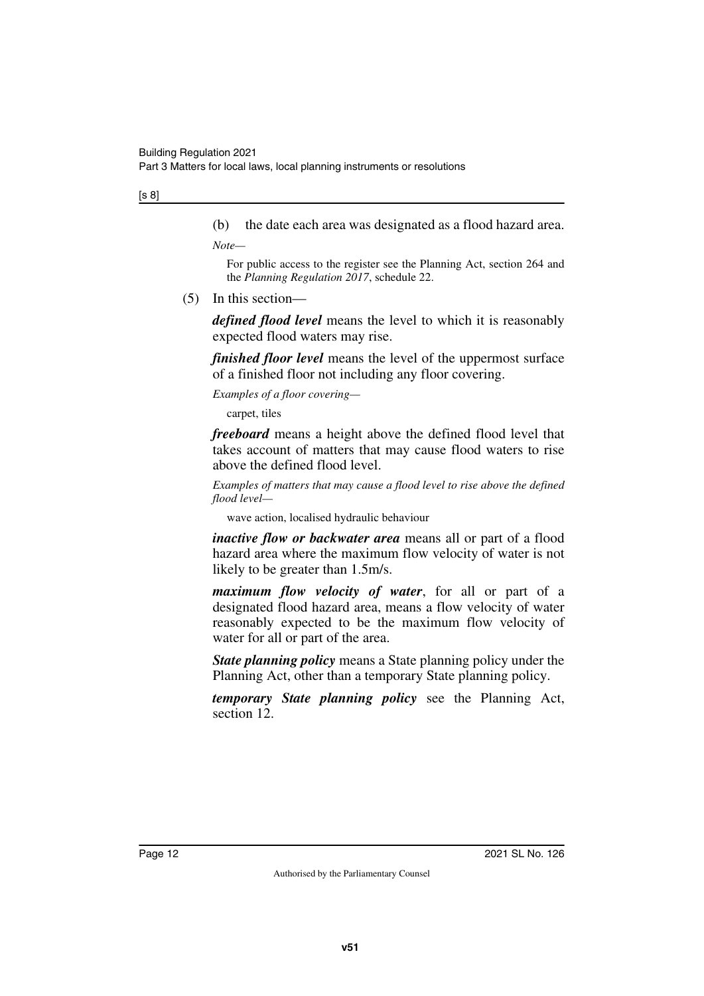#### [s 8]

(b) the date each area was designated as a flood hazard area.

*Note—*

For public access to the register see the Planning Act, section 264 and the *Planning Regulation 2017*, schedule 22.

(5) In this section—

*defined flood level* means the level to which it is reasonably expected flood waters may rise.

*finished floor level* means the level of the uppermost surface of a finished floor not including any floor covering.

*Examples of a floor covering—*

carpet, tiles

*freeboard* means a height above the defined flood level that takes account of matters that may cause flood waters to rise above the defined flood level.

*Examples of matters that may cause a flood level to rise above the defined flood level—*

wave action, localised hydraulic behaviour

*inactive flow or backwater area* means all or part of a flood hazard area where the maximum flow velocity of water is not likely to be greater than 1.5m/s.

*maximum flow velocity of water*, for all or part of a designated flood hazard area, means a flow velocity of water reasonably expected to be the maximum flow velocity of water for all or part of the area.

*State planning policy* means a State planning policy under the Planning Act, other than a temporary State planning policy.

*temporary State planning policy* see the Planning Act, section 12.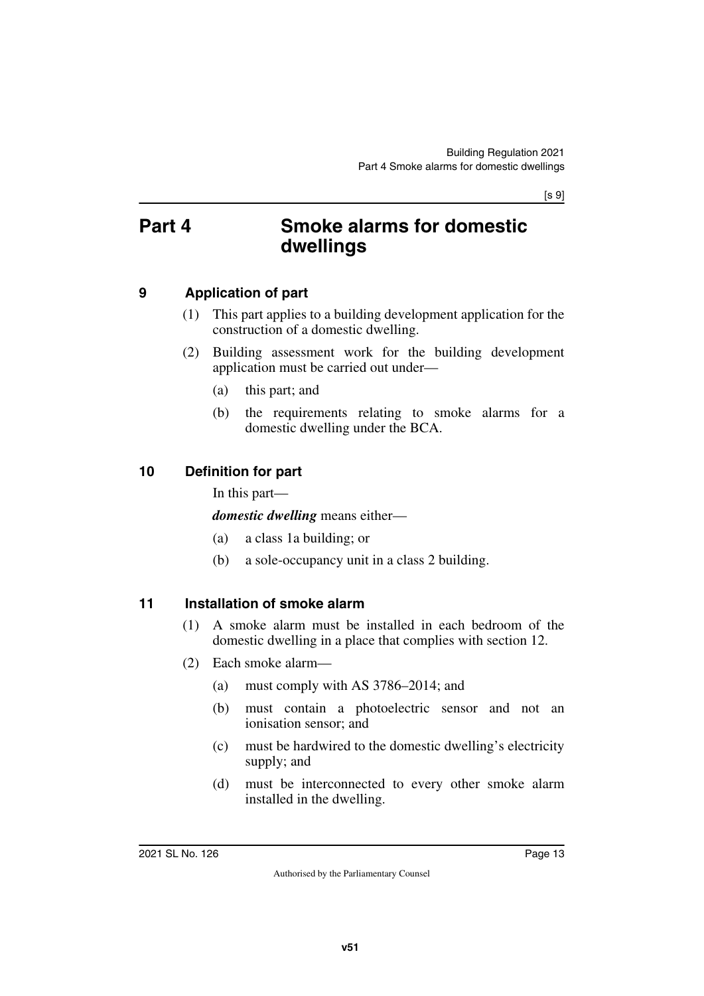[s 9]

### <span id="page-12-1"></span><span id="page-12-0"></span>**Part 4 Smoke alarms for domestic dwellings**

#### <span id="page-12-2"></span>**9 Application of part**

- <span id="page-12-3"></span>(1) This part applies to a building development application for the construction of a domestic dwelling.
- (2) Building assessment work for the building development application must be carried out under—
	- (a) this part; and
	- (b) the requirements relating to smoke alarms for a domestic dwelling under the BCA.

### <span id="page-12-4"></span>**10 Definition for part**

<span id="page-12-5"></span>In this part—

*domestic dwelling* means either—

- (a) a class 1a building; or
- (b) a sole-occupancy unit in a class 2 building.

#### <span id="page-12-6"></span>**11 Installation of smoke alarm**

- <span id="page-12-7"></span>(1) A smoke alarm must be installed in each bedroom of the domestic dwelling in a place that complies with section 12.
- (2) Each smoke alarm—
	- (a) must comply with AS 3786–2014; and
	- (b) must contain a photoelectric sensor and not an ionisation sensor; and
	- (c) must be hardwired to the domestic dwelling's electricity supply; and
	- (d) must be interconnected to every other smoke alarm installed in the dwelling.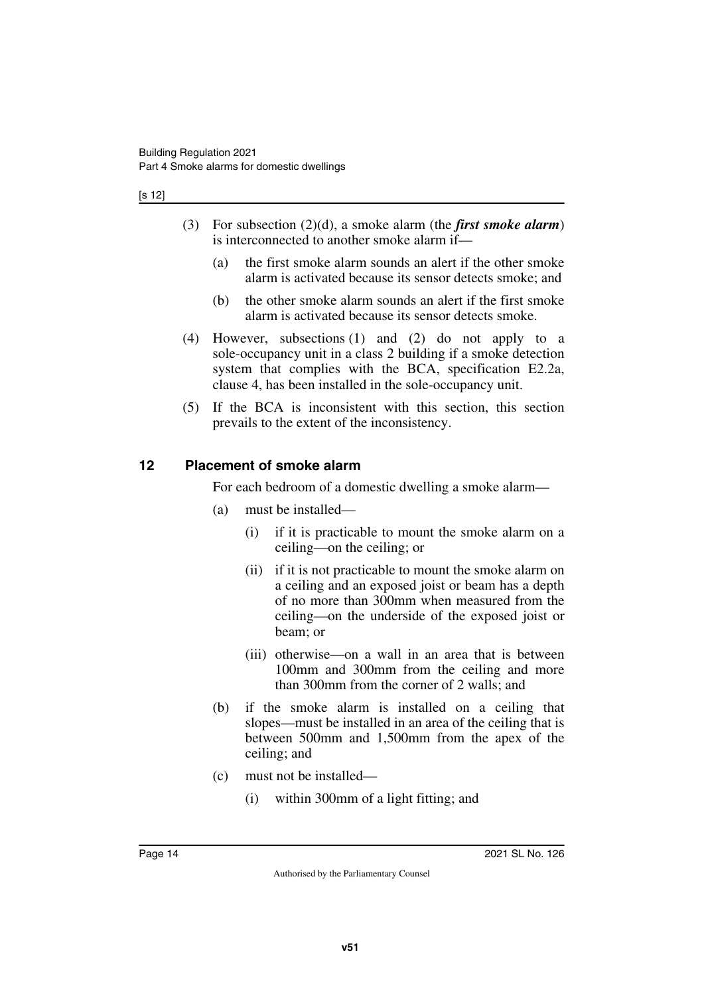#### [s 12]

- (3) For subsection (2)(d), a smoke alarm (the *first smoke alarm*) is interconnected to another smoke alarm if—
	- (a) the first smoke alarm sounds an alert if the other smoke alarm is activated because its sensor detects smoke; and
	- (b) the other smoke alarm sounds an alert if the first smoke alarm is activated because its sensor detects smoke.
- (4) However, subsections (1) and (2) do not apply to a sole-occupancy unit in a class 2 building if a smoke detection system that complies with the BCA, specification E2.2a, clause 4, has been installed in the sole-occupancy unit.
- (5) If the BCA is inconsistent with this section, this section prevails to the extent of the inconsistency.

#### <span id="page-13-0"></span>**12 Placement of smoke alarm**

<span id="page-13-1"></span>For each bedroom of a domestic dwelling a smoke alarm—

- (a) must be installed—
	- (i) if it is practicable to mount the smoke alarm on a ceiling—on the ceiling; or
	- (ii) if it is not practicable to mount the smoke alarm on a ceiling and an exposed joist or beam has a depth of no more than 300mm when measured from the ceiling—on the underside of the exposed joist or beam; or
	- (iii) otherwise—on a wall in an area that is between 100mm and 300mm from the ceiling and more than 300mm from the corner of 2 walls; and
- (b) if the smoke alarm is installed on a ceiling that slopes—must be installed in an area of the ceiling that is between 500mm and 1,500mm from the apex of the ceiling; and
- (c) must not be installed—
	- (i) within 300mm of a light fitting; and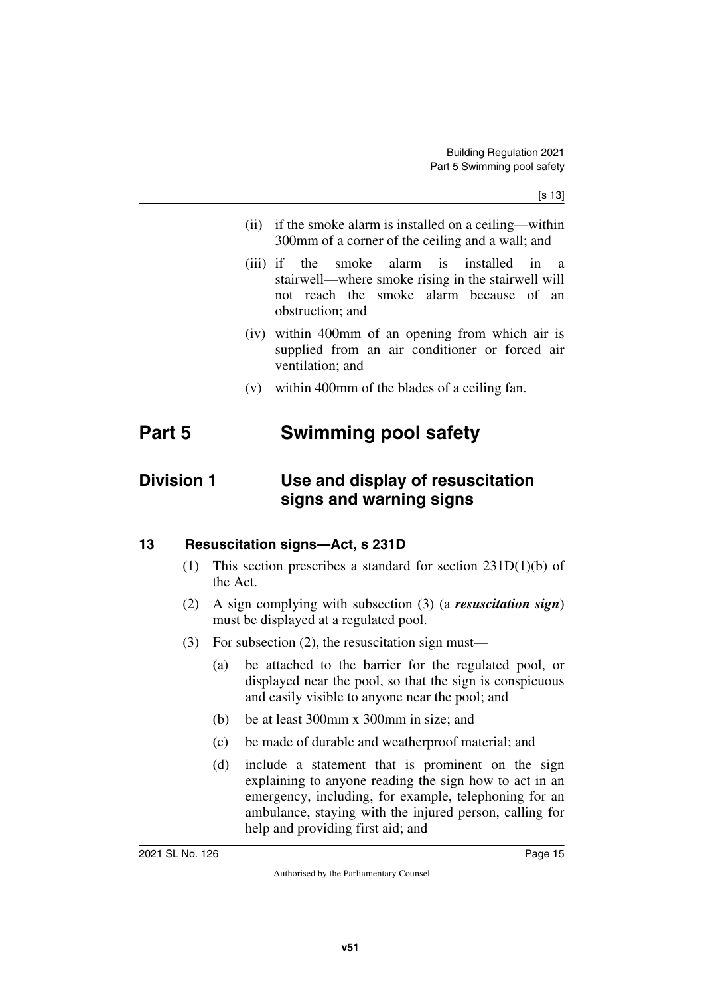- (ii) if the smoke alarm is installed on a ceiling—within 300mm of a corner of the ceiling and a wall; and
- (iii) if the smoke alarm is installed in a stairwell—where smoke rising in the stairwell will not reach the smoke alarm because of an obstruction; and
- (iv) within 400mm of an opening from which air is supplied from an air conditioner or forced air ventilation; and
- <span id="page-14-3"></span><span id="page-14-1"></span>(v) within 400mm of the blades of a ceiling fan.

## <span id="page-14-0"></span>**Part 5 Swimming pool safety**

### <span id="page-14-2"></span>**Division 1 Use and display of resuscitation signs and warning signs**

#### <span id="page-14-4"></span>**13 Resuscitation signs—Act, s 231D**

- <span id="page-14-5"></span>(1) This section prescribes a standard for section 231D(1)(b) of the Act.
- (2) A sign complying with subsection (3) (a *resuscitation sign*) must be displayed at a regulated pool.
- (3) For subsection (2), the resuscitation sign must—
	- (a) be attached to the barrier for the regulated pool, or displayed near the pool, so that the sign is conspicuous and easily visible to anyone near the pool; and
	- (b) be at least 300mm x 300mm in size; and
	- (c) be made of durable and weatherproof material; and
	- (d) include a statement that is prominent on the sign explaining to anyone reading the sign how to act in an emergency, including, for example, telephoning for an ambulance, staying with the injured person, calling for help and providing first aid; and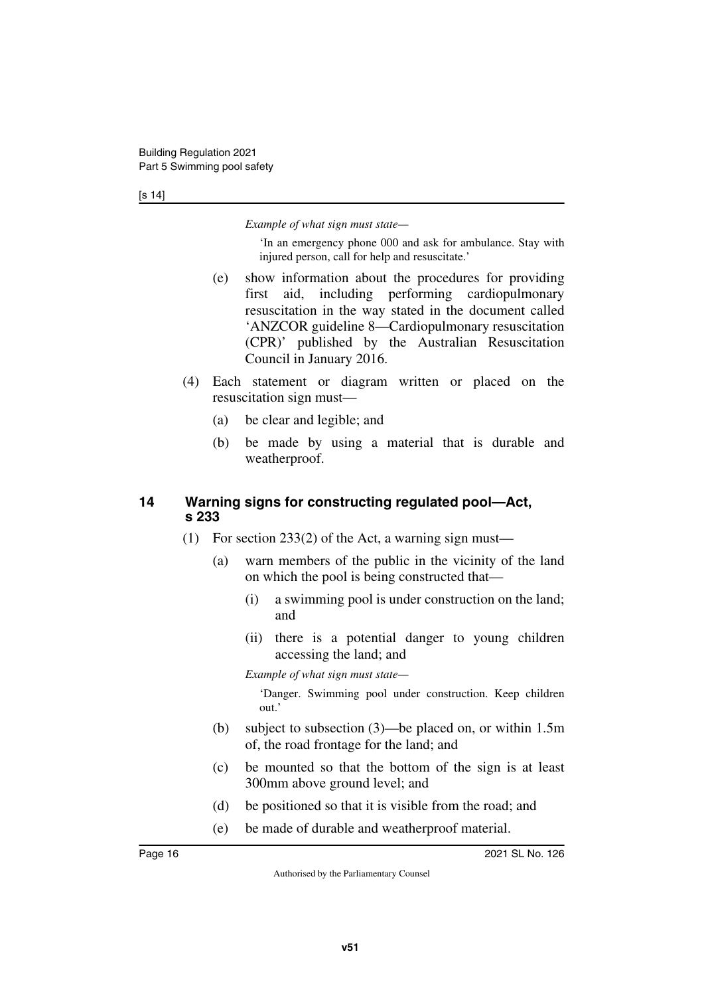#### [s 14]

*Example of what sign must state—*

'In an emergency phone 000 and ask for ambulance. Stay with injured person, call for help and resuscitate.'

- (e) show information about the procedures for providing first aid, including performing cardiopulmonary resuscitation in the way stated in the document called 'ANZCOR guideline 8—Cardiopulmonary resuscitation (CPR)' published by the Australian Resuscitation Council in January 2016.
- (4) Each statement or diagram written or placed on the resuscitation sign must—
	- (a) be clear and legible; and
	- (b) be made by using a material that is durable and weatherproof.

#### <span id="page-15-1"></span><span id="page-15-0"></span>**14 Warning signs for constructing regulated pool—Act, s 233**

- (1) For section 233(2) of the Act, a warning sign must—
	- (a) warn members of the public in the vicinity of the land on which the pool is being constructed that—
		- (i) a swimming pool is under construction on the land; and
		- (ii) there is a potential danger to young children accessing the land; and

*Example of what sign must state—*

'Danger. Swimming pool under construction. Keep children out.'

- (b) subject to subsection (3)—be placed on, or within 1.5m of, the road frontage for the land; and
- (c) be mounted so that the bottom of the sign is at least 300mm above ground level; and
- (d) be positioned so that it is visible from the road; and
- (e) be made of durable and weatherproof material.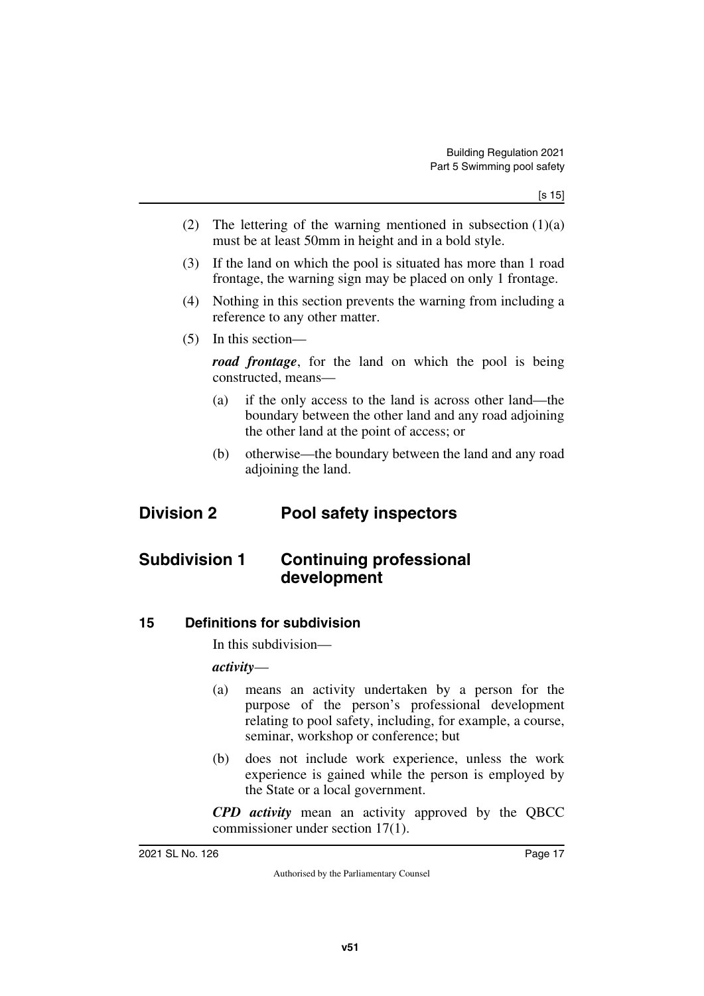- (2) The lettering of the warning mentioned in subsection  $(1)(a)$ must be at least 50mm in height and in a bold style.
- (3) If the land on which the pool is situated has more than 1 road frontage, the warning sign may be placed on only 1 frontage.
- (4) Nothing in this section prevents the warning from including a reference to any other matter.
- (5) In this section—

*road frontage*, for the land on which the pool is being constructed, means—

- (a) if the only access to the land is across other land—the boundary between the other land and any road adjoining the other land at the point of access; or
- <span id="page-16-3"></span><span id="page-16-1"></span>(b) otherwise—the boundary between the land and any road adjoining the land.

### <span id="page-16-0"></span>**Division 2 Pool safety inspectors**

### <span id="page-16-2"></span>**Subdivision 1 Continuing professional development**

<span id="page-16-4"></span>**15 Definitions for subdivision**

<span id="page-16-5"></span>In this subdivision—

#### *activity*—

- (a) means an activity undertaken by a person for the purpose of the person's professional development relating to pool safety, including, for example, a course, seminar, workshop or conference; but
- (b) does not include work experience, unless the work experience is gained while the person is employed by the State or a local government.

*CPD activity* mean an activity approved by the QBCC commissioner under section 17(1).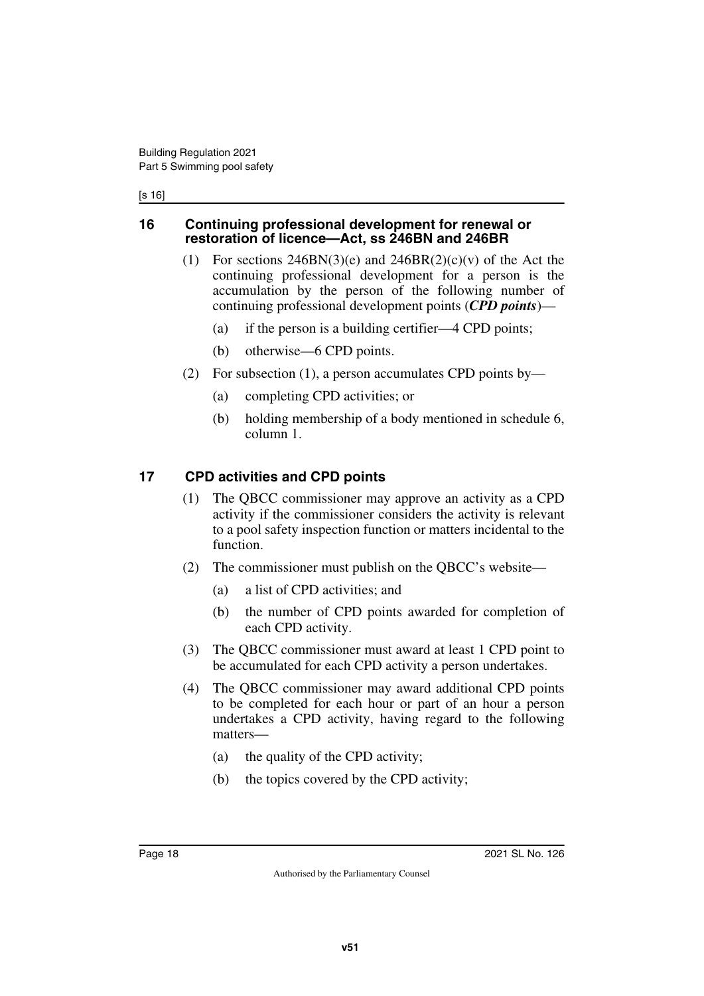#### [s 16]

#### <span id="page-17-1"></span><span id="page-17-0"></span>**16 Continuing professional development for renewal or restoration of licence—Act, ss 246BN and 246BR**

- (1) For sections  $246BN(3)(e)$  and  $246BR(2)(c)(v)$  of the Act the continuing professional development for a person is the accumulation by the person of the following number of continuing professional development points (*CPD points*)—
	- (a) if the person is a building certifier—4 CPD points;
	- (b) otherwise—6 CPD points.
- (2) For subsection (1), a person accumulates CPD points by—
	- (a) completing CPD activities; or
	- (b) holding membership of a body mentioned in schedule 6, column 1.

#### <span id="page-17-2"></span>**17 CPD activities and CPD points**

- <span id="page-17-3"></span>(1) The QBCC commissioner may approve an activity as a CPD activity if the commissioner considers the activity is relevant to a pool safety inspection function or matters incidental to the function.
- (2) The commissioner must publish on the QBCC's website—
	- (a) a list of CPD activities; and
	- (b) the number of CPD points awarded for completion of each CPD activity.
- (3) The QBCC commissioner must award at least 1 CPD point to be accumulated for each CPD activity a person undertakes.
- (4) The QBCC commissioner may award additional CPD points to be completed for each hour or part of an hour a person undertakes a CPD activity, having regard to the following matters—
	- (a) the quality of the CPD activity;
	- (b) the topics covered by the CPD activity;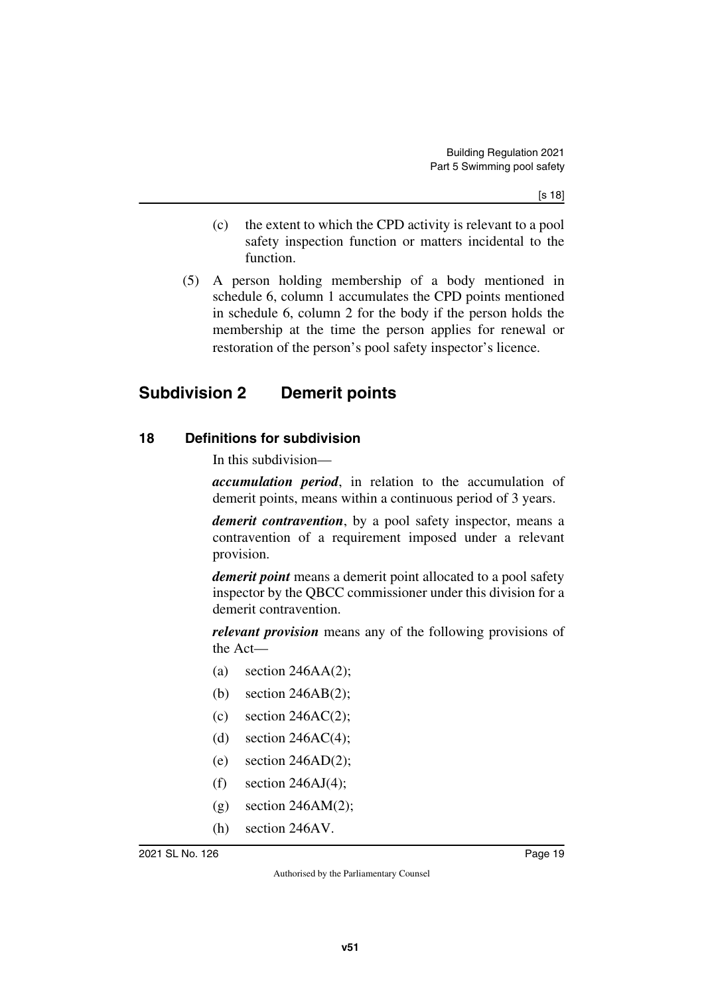- (c) the extent to which the CPD activity is relevant to a pool safety inspection function or matters incidental to the function.
- (5) A person holding membership of a body mentioned in schedule 6, column 1 accumulates the CPD points mentioned in schedule 6, column 2 for the body if the person holds the membership at the time the person applies for renewal or restoration of the person's pool safety inspector's licence.

### <span id="page-18-0"></span>**Subdivision 2 Demerit points**

#### <span id="page-18-2"></span>**18 Definitions for subdivision**

<span id="page-18-3"></span><span id="page-18-1"></span>In this subdivision—

*accumulation period*, in relation to the accumulation of demerit points, means within a continuous period of 3 years.

*demerit contravention*, by a pool safety inspector, means a contravention of a requirement imposed under a relevant provision.

*demerit point* means a demerit point allocated to a pool safety inspector by the QBCC commissioner under this division for a demerit contravention.

*relevant provision* means any of the following provisions of the Act—

- (a) section  $246AA(2)$ ;
- (b) section 246AB(2);
- (c) section 246AC(2);
- (d) section  $246AC(4)$ ;
- (e) section  $246AD(2)$ ;
- $(f)$  section 246AJ(4);
- $(g)$  section 246AM $(2)$ ;
- (h) section 246AV.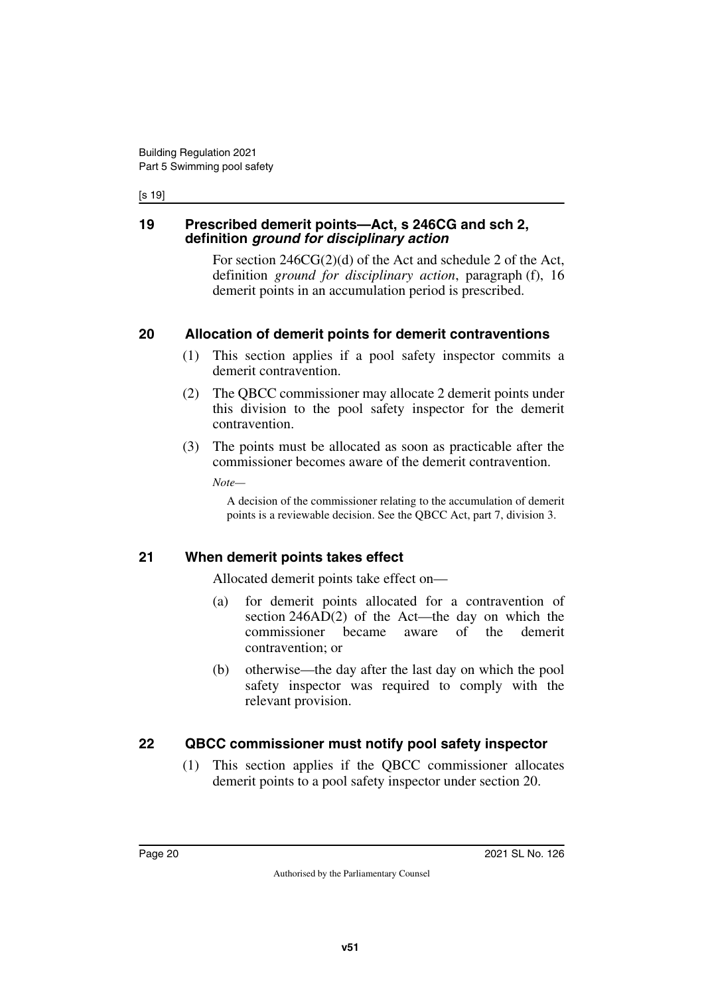#### [s 19]

#### <span id="page-19-1"></span><span id="page-19-0"></span>**19 Prescribed demerit points—Act, s 246CG and sch 2, definition** *ground for disciplinary action*

For section 246CG(2)(d) of the Act and schedule 2 of the Act, definition *ground for disciplinary action*, paragraph (f), 16 demerit points in an accumulation period is prescribed.

#### <span id="page-19-2"></span>**20 Allocation of demerit points for demerit contraventions**

- <span id="page-19-3"></span>(1) This section applies if a pool safety inspector commits a demerit contravention.
- (2) The QBCC commissioner may allocate 2 demerit points under this division to the pool safety inspector for the demerit contravention.
- (3) The points must be allocated as soon as practicable after the commissioner becomes aware of the demerit contravention.

*Note—*

A decision of the commissioner relating to the accumulation of demerit points is a reviewable decision. See the QBCC Act, part 7, division 3.

#### <span id="page-19-4"></span>**21 When demerit points takes effect**

<span id="page-19-5"></span>Allocated demerit points take effect on—

- (a) for demerit points allocated for a contravention of section 246AD(2) of the Act—the day on which the commissioner became aware of the demerit contravention; or
- (b) otherwise—the day after the last day on which the pool safety inspector was required to comply with the relevant provision.

#### <span id="page-19-6"></span>**22 QBCC commissioner must notify pool safety inspector**

<span id="page-19-7"></span>(1) This section applies if the QBCC commissioner allocates demerit points to a pool safety inspector under section 20.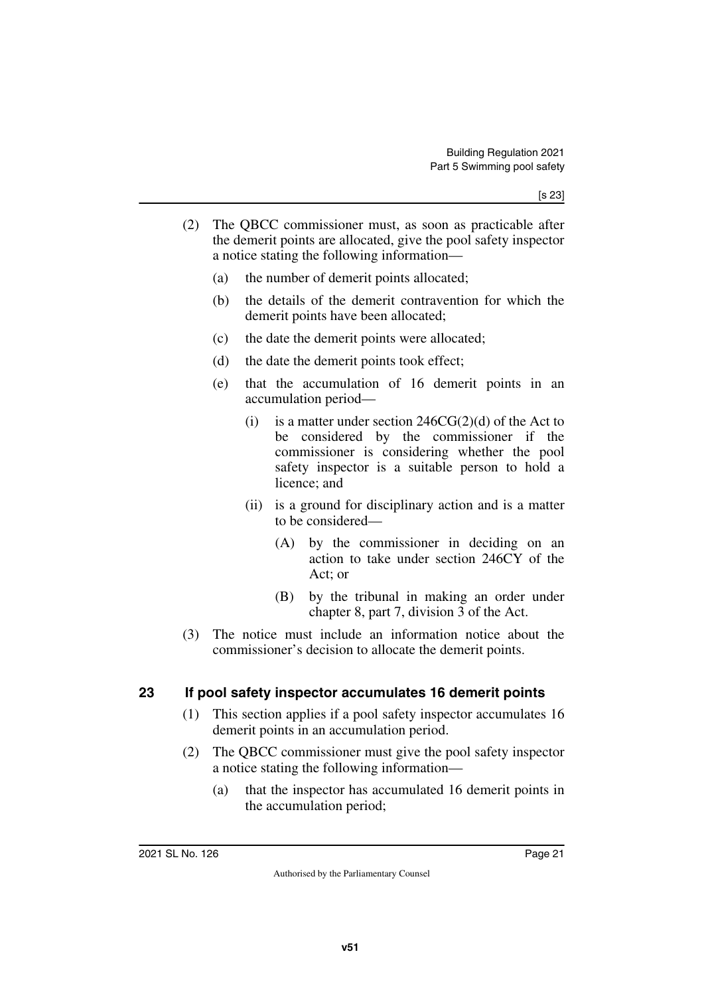- (2) The QBCC commissioner must, as soon as practicable after the demerit points are allocated, give the pool safety inspector a notice stating the following information—
	- (a) the number of demerit points allocated;
	- (b) the details of the demerit contravention for which the demerit points have been allocated;
	- (c) the date the demerit points were allocated;
	- (d) the date the demerit points took effect;
	- (e) that the accumulation of 16 demerit points in an accumulation period—
		- (i) is a matter under section  $246CG(2)(d)$  of the Act to be considered by the commissioner if the commissioner is considering whether the pool safety inspector is a suitable person to hold a licence; and
		- (ii) is a ground for disciplinary action and is a matter to be considered—
			- (A) by the commissioner in deciding on an action to take under section 246CY of the Act; or
			- (B) by the tribunal in making an order under chapter 8, part 7, division 3 of the Act.
- (3) The notice must include an information notice about the commissioner's decision to allocate the demerit points.

#### <span id="page-20-0"></span>**23 If pool safety inspector accumulates 16 demerit points**

- <span id="page-20-1"></span>(1) This section applies if a pool safety inspector accumulates 16 demerit points in an accumulation period.
- (2) The QBCC commissioner must give the pool safety inspector a notice stating the following information—
	- (a) that the inspector has accumulated 16 demerit points in the accumulation period;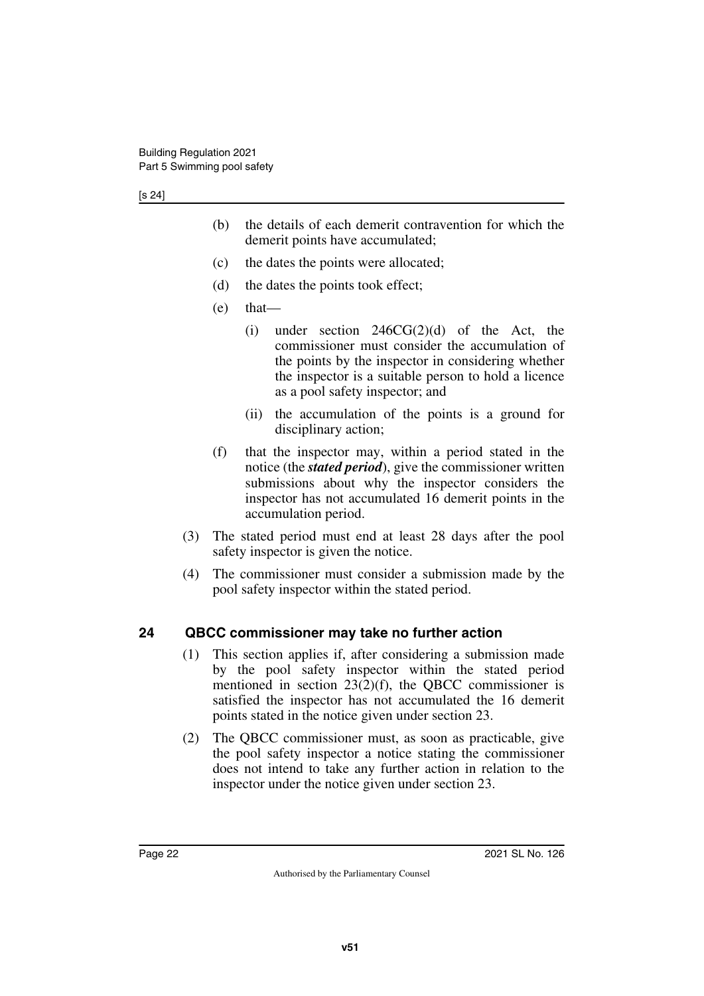- (b) the details of each demerit contravention for which the demerit points have accumulated;
- (c) the dates the points were allocated;
- (d) the dates the points took effect;
- (e) that—
	- (i) under section 246CG(2)(d) of the Act, the commissioner must consider the accumulation of the points by the inspector in considering whether the inspector is a suitable person to hold a licence as a pool safety inspector; and
	- (ii) the accumulation of the points is a ground for disciplinary action;
- (f) that the inspector may, within a period stated in the notice (the *stated period*), give the commissioner written submissions about why the inspector considers the inspector has not accumulated 16 demerit points in the accumulation period.
- (3) The stated period must end at least 28 days after the pool safety inspector is given the notice.
- (4) The commissioner must consider a submission made by the pool safety inspector within the stated period.

#### <span id="page-21-0"></span>**24 QBCC commissioner may take no further action**

- <span id="page-21-1"></span>(1) This section applies if, after considering a submission made by the pool safety inspector within the stated period mentioned in section  $23(2)(f)$ , the QBCC commissioner is satisfied the inspector has not accumulated the 16 demerit points stated in the notice given under section 23.
- (2) The QBCC commissioner must, as soon as practicable, give the pool safety inspector a notice stating the commissioner does not intend to take any further action in relation to the inspector under the notice given under section 23.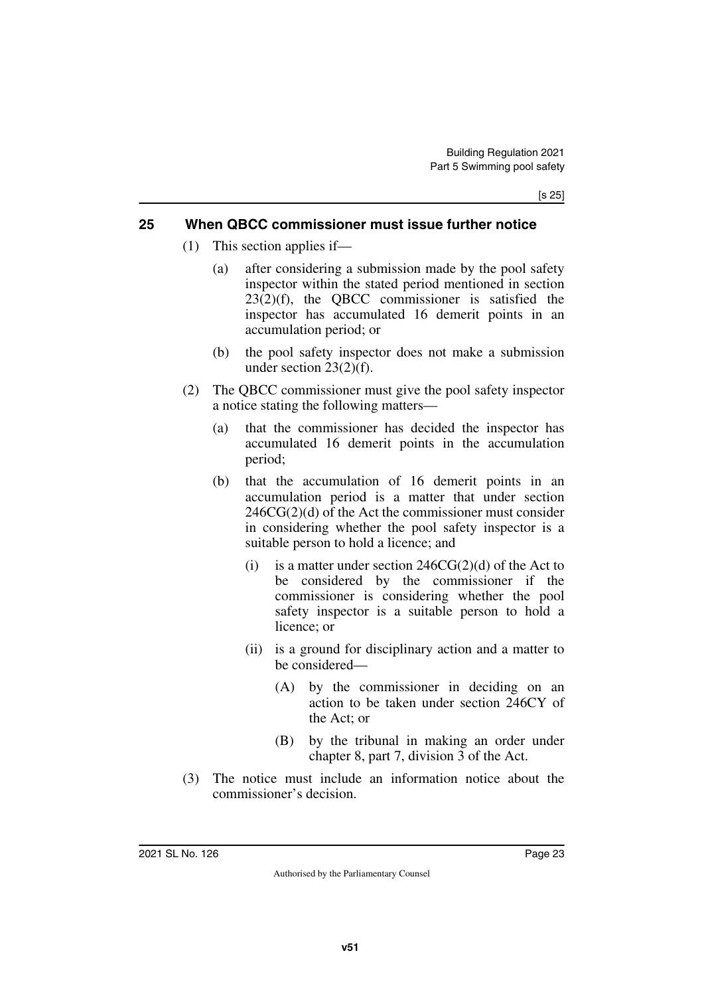#### <span id="page-22-0"></span>**25 When QBCC commissioner must issue further notice**

- <span id="page-22-1"></span>(1) This section applies if—
	- (a) after considering a submission made by the pool safety inspector within the stated period mentioned in section 23(2)(f), the QBCC commissioner is satisfied the inspector has accumulated 16 demerit points in an accumulation period; or
	- (b) the pool safety inspector does not make a submission under section 23(2)(f).
- (2) The QBCC commissioner must give the pool safety inspector a notice stating the following matters—
	- (a) that the commissioner has decided the inspector has accumulated 16 demerit points in the accumulation period;
	- (b) that the accumulation of 16 demerit points in an accumulation period is a matter that under section 246CG(2)(d) of the Act the commissioner must consider in considering whether the pool safety inspector is a suitable person to hold a licence; and
		- (i) is a matter under section  $246CG(2)(d)$  of the Act to be considered by the commissioner if the commissioner is considering whether the pool safety inspector is a suitable person to hold a licence; or
		- (ii) is a ground for disciplinary action and a matter to be considered—
			- (A) by the commissioner in deciding on an action to be taken under section 246CY of the Act; or
			- (B) by the tribunal in making an order under chapter 8, part 7, division 3 of the Act.
- (3) The notice must include an information notice about the commissioner's decision.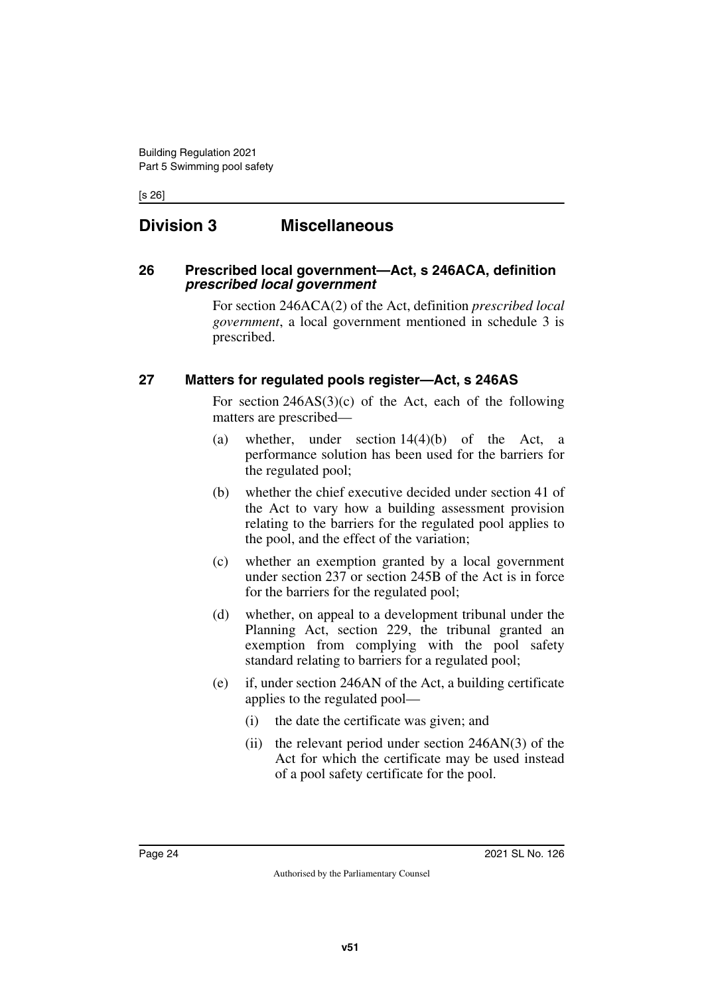[s 26]

### <span id="page-23-0"></span>**Division 3 Miscellaneous**

#### <span id="page-23-3"></span><span id="page-23-2"></span>**26 Prescribed local government—Act, s 246ACA, definition**  *prescribed local government*

<span id="page-23-1"></span>For section 246ACA(2) of the Act, definition *prescribed local government*, a local government mentioned in schedule 3 is prescribed.

#### <span id="page-23-4"></span>**27 Matters for regulated pools register—Act, s 246AS**

<span id="page-23-5"></span>For section 246AS(3)(c) of the Act, each of the following matters are prescribed—

- (a) whether, under section 14(4)(b) of the Act, a performance solution has been used for the barriers for the regulated pool;
- (b) whether the chief executive decided under section 41 of the Act to vary how a building assessment provision relating to the barriers for the regulated pool applies to the pool, and the effect of the variation;
- (c) whether an exemption granted by a local government under section 237 or section 245B of the Act is in force for the barriers for the regulated pool;
- (d) whether, on appeal to a development tribunal under the Planning Act, section 229, the tribunal granted an exemption from complying with the pool safety standard relating to barriers for a regulated pool;
- (e) if, under section 246AN of the Act, a building certificate applies to the regulated pool—
	- (i) the date the certificate was given; and
	- (ii) the relevant period under section 246AN(3) of the Act for which the certificate may be used instead of a pool safety certificate for the pool.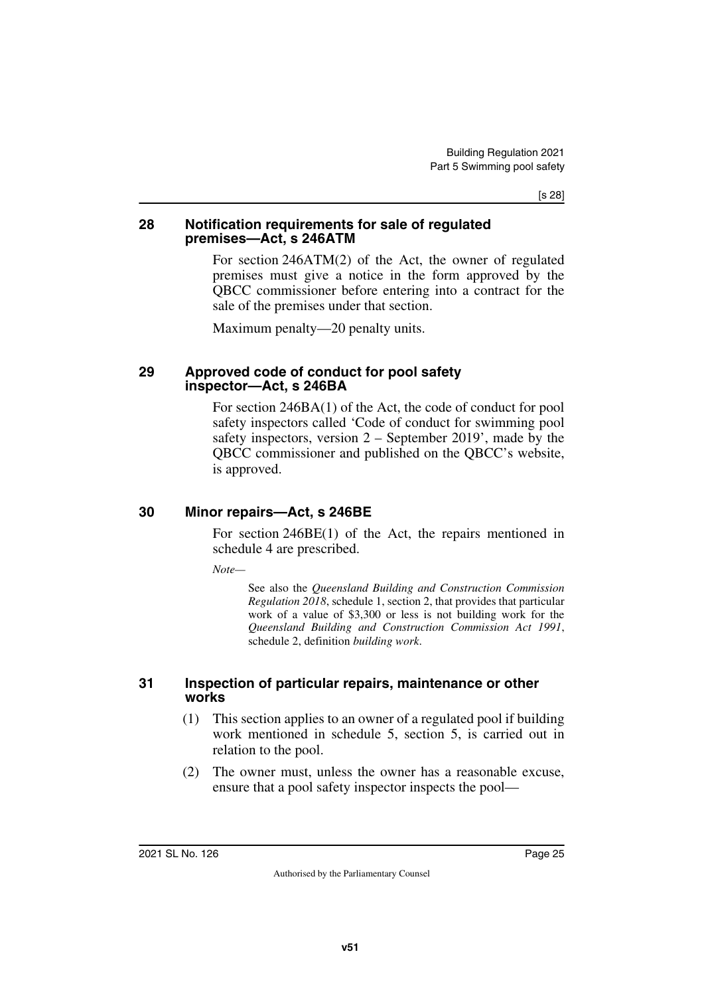[s 28]

#### <span id="page-24-1"></span><span id="page-24-0"></span>**28 Notification requirements for sale of regulated premises—Act, s 246ATM**

For section 246ATM(2) of the Act, the owner of regulated premises must give a notice in the form approved by the QBCC commissioner before entering into a contract for the sale of the premises under that section.

<span id="page-24-3"></span>Maximum penalty—20 penalty units.

#### <span id="page-24-2"></span>**29 Approved code of conduct for pool safety inspector—Act, s 246BA**

For section 246BA(1) of the Act, the code of conduct for pool safety inspectors called 'Code of conduct for swimming pool safety inspectors, version 2 – September 2019', made by the QBCC commissioner and published on the QBCC's website, is approved.

#### <span id="page-24-4"></span>**30 Minor repairs—Act, s 246BE**

<span id="page-24-5"></span>For section 246BE(1) of the Act, the repairs mentioned in schedule 4 are prescribed.

*Note—*

See also the *Queensland Building and Construction Commission Regulation 2018*, schedule 1, section 2, that provides that particular work of a value of \$3,300 or less is not building work for the *Queensland Building and Construction Commission Act 1991*, schedule 2, definition *building work*.

#### <span id="page-24-7"></span><span id="page-24-6"></span>**31 Inspection of particular repairs, maintenance or other works**

- (1) This section applies to an owner of a regulated pool if building work mentioned in schedule 5, section 5, is carried out in relation to the pool.
- (2) The owner must, unless the owner has a reasonable excuse, ensure that a pool safety inspector inspects the pool—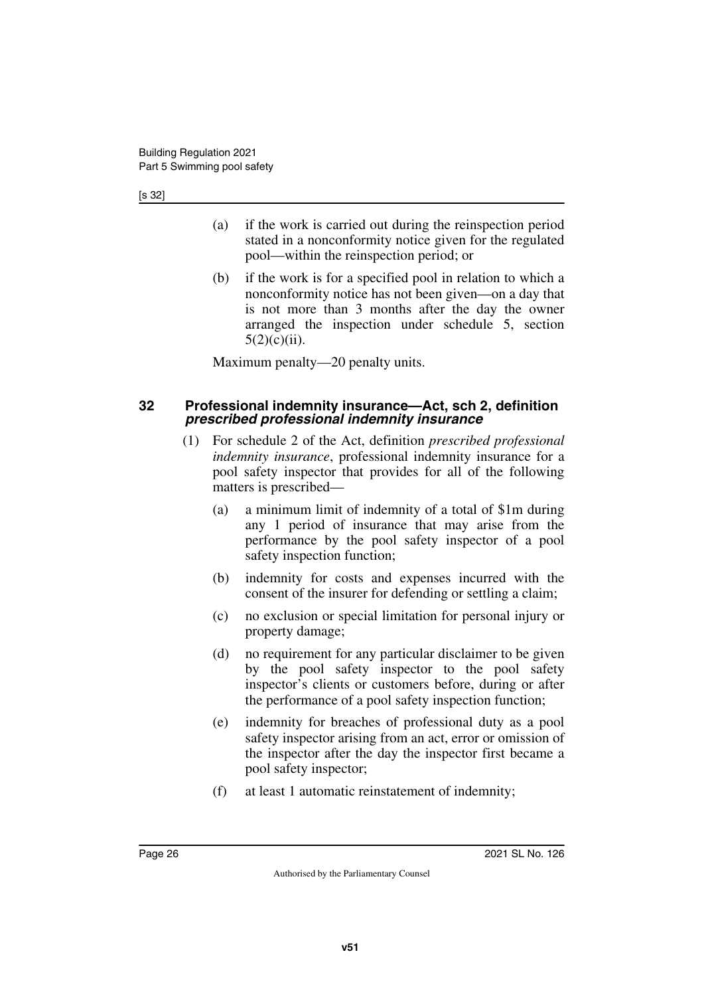- (a) if the work is carried out during the reinspection period stated in a nonconformity notice given for the regulated pool—within the reinspection period; or
- (b) if the work is for a specified pool in relation to which a nonconformity notice has not been given—on a day that is not more than 3 months after the day the owner arranged the inspection under schedule 5, section  $5(2)(c)(ii)$ .

<span id="page-25-1"></span>Maximum penalty—20 penalty units.

#### <span id="page-25-0"></span>**32 Professional indemnity insurance—Act, sch 2, definition**  *prescribed professional indemnity insurance*

- (1) For schedule 2 of the Act, definition *prescribed professional indemnity insurance*, professional indemnity insurance for a pool safety inspector that provides for all of the following matters is prescribed—
	- (a) a minimum limit of indemnity of a total of \$1m during any 1 period of insurance that may arise from the performance by the pool safety inspector of a pool safety inspection function;
	- (b) indemnity for costs and expenses incurred with the consent of the insurer for defending or settling a claim;
	- (c) no exclusion or special limitation for personal injury or property damage;
	- (d) no requirement for any particular disclaimer to be given by the pool safety inspector to the pool safety inspector's clients or customers before, during or after the performance of a pool safety inspection function;
	- (e) indemnity for breaches of professional duty as a pool safety inspector arising from an act, error or omission of the inspector after the day the inspector first became a pool safety inspector;
	- (f) at least 1 automatic reinstatement of indemnity;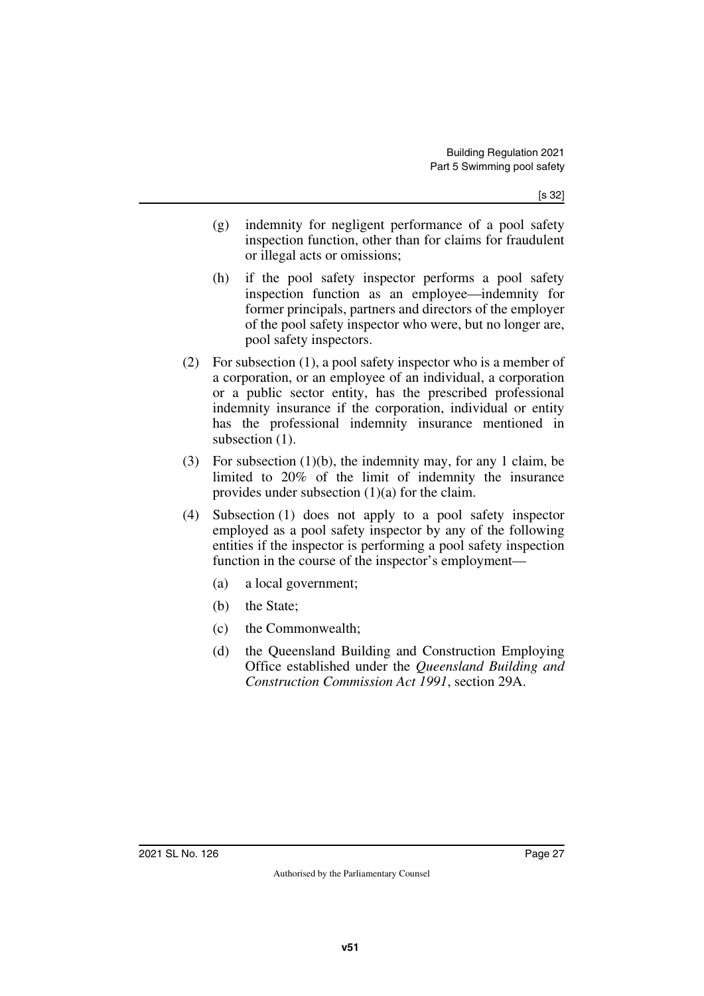- (g) indemnity for negligent performance of a pool safety inspection function, other than for claims for fraudulent or illegal acts or omissions;
- (h) if the pool safety inspector performs a pool safety inspection function as an employee—indemnity for former principals, partners and directors of the employer of the pool safety inspector who were, but no longer are, pool safety inspectors.
- (2) For subsection (1), a pool safety inspector who is a member of a corporation, or an employee of an individual, a corporation or a public sector entity, has the prescribed professional indemnity insurance if the corporation, individual or entity has the professional indemnity insurance mentioned in subsection  $(1)$ .
- (3) For subsection (1)(b), the indemnity may, for any 1 claim, be limited to 20% of the limit of indemnity the insurance provides under subsection (1)(a) for the claim.
- (4) Subsection (1) does not apply to a pool safety inspector employed as a pool safety inspector by any of the following entities if the inspector is performing a pool safety inspection function in the course of the inspector's employment—
	- (a) a local government;
	- (b) the State;
	- (c) the Commonwealth;
	- (d) the Queensland Building and Construction Employing Office established under the *Queensland Building and Construction Commission Act 1991*, section 29A.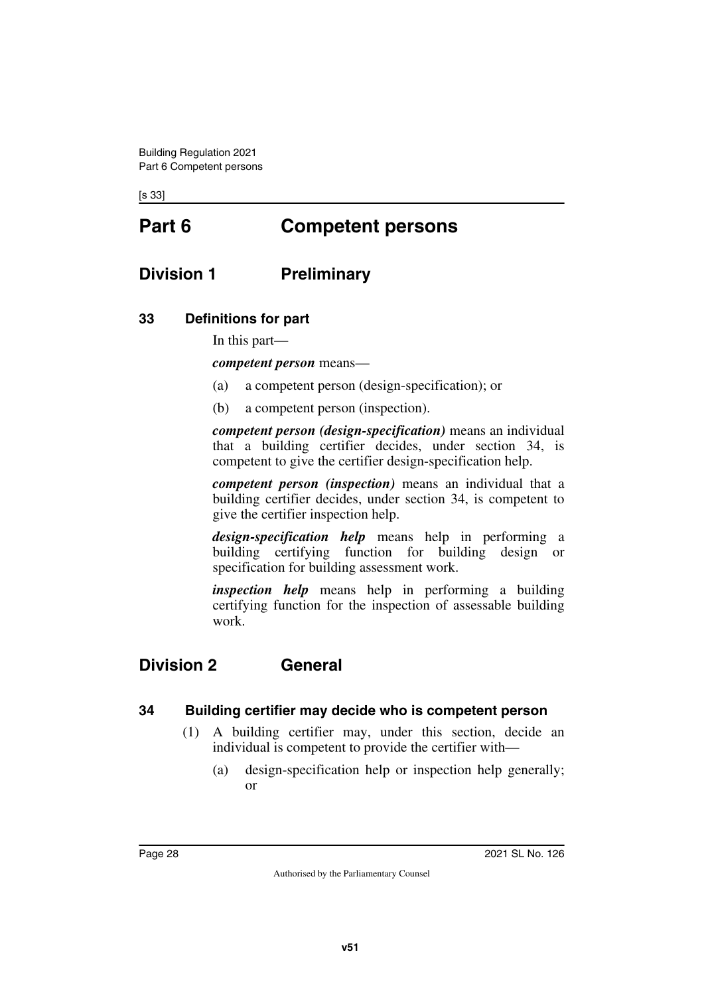<span id="page-27-1"></span><span id="page-27-0"></span>[s 33]

# **Part 6 Competent persons**

### <span id="page-27-2"></span>**Division 1 Preliminary**

#### <span id="page-27-4"></span>**33 Definitions for part**

<span id="page-27-5"></span><span id="page-27-3"></span>In this part—

*competent person* means—

- (a) a competent person (design-specification); or
- (b) a competent person (inspection).

*competent person (design-specification)* means an individual that a building certifier decides, under section 34, is competent to give the certifier design-specification help.

*competent person (inspection)* means an individual that a building certifier decides, under section 34, is competent to give the certifier inspection help.

*design-specification help* means help in performing a building certifying function for building design or specification for building assessment work.

<span id="page-27-7"></span>*inspection help* means help in performing a building certifying function for the inspection of assessable building work.

### <span id="page-27-6"></span>**Division 2 General**

#### <span id="page-27-8"></span>**34 Building certifier may decide who is competent person**

- <span id="page-27-9"></span>(1) A building certifier may, under this section, decide an individual is competent to provide the certifier with—
	- (a) design-specification help or inspection help generally; or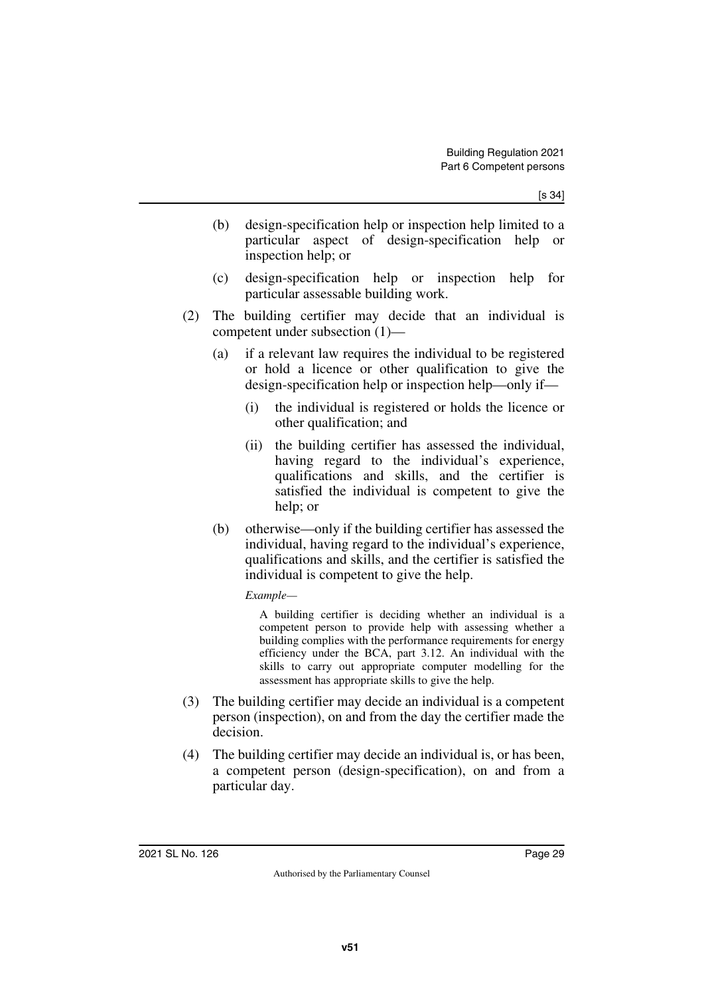- (b) design-specification help or inspection help limited to a particular aspect of design-specification help or inspection help; or
- (c) design-specification help or inspection help for particular assessable building work.
- (2) The building certifier may decide that an individual is competent under subsection (1)—
	- (a) if a relevant law requires the individual to be registered or hold a licence or other qualification to give the design-specification help or inspection help—only if—
		- (i) the individual is registered or holds the licence or other qualification; and
		- (ii) the building certifier has assessed the individual, having regard to the individual's experience, qualifications and skills, and the certifier is satisfied the individual is competent to give the help; or
	- (b) otherwise—only if the building certifier has assessed the individual, having regard to the individual's experience, qualifications and skills, and the certifier is satisfied the individual is competent to give the help.

#### *Example—*

A building certifier is deciding whether an individual is a competent person to provide help with assessing whether a building complies with the performance requirements for energy efficiency under the BCA, part 3.12. An individual with the skills to carry out appropriate computer modelling for the assessment has appropriate skills to give the help.

- (3) The building certifier may decide an individual is a competent person (inspection), on and from the day the certifier made the decision.
- (4) The building certifier may decide an individual is, or has been, a competent person (design-specification), on and from a particular day.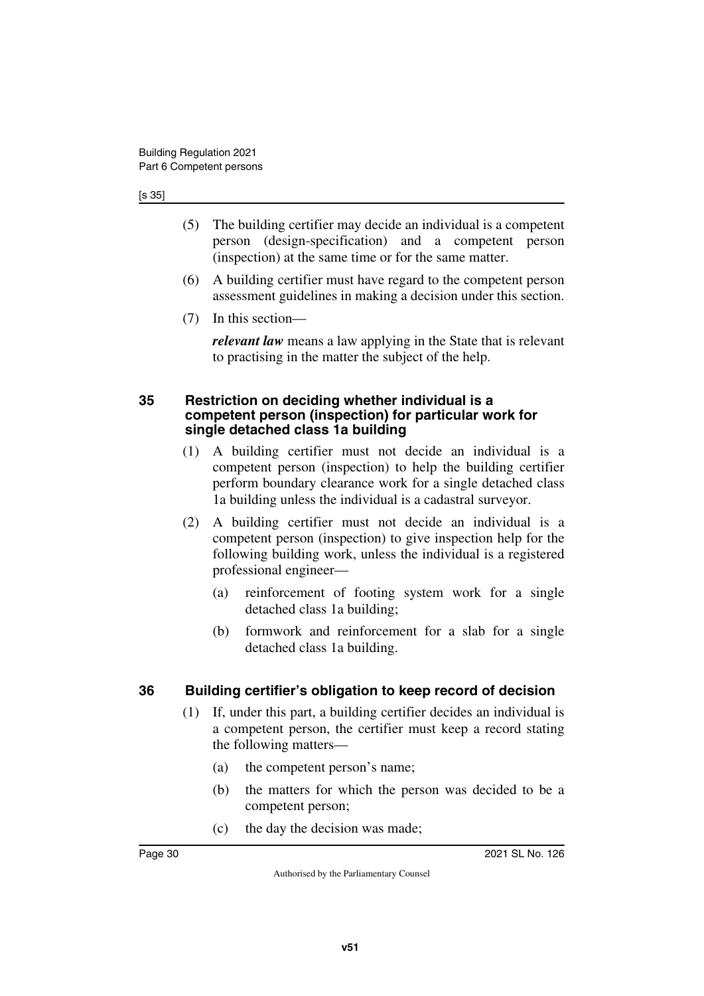#### [s 35]

- (5) The building certifier may decide an individual is a competent person (design-specification) and a competent person (inspection) at the same time or for the same matter.
- (6) A building certifier must have regard to the competent person assessment guidelines in making a decision under this section.
- (7) In this section—

*relevant law* means a law applying in the State that is relevant to practising in the matter the subject of the help.

#### <span id="page-29-1"></span><span id="page-29-0"></span>**35 Restriction on deciding whether individual is a competent person (inspection) for particular work for single detached class 1a building**

- (1) A building certifier must not decide an individual is a competent person (inspection) to help the building certifier perform boundary clearance work for a single detached class 1a building unless the individual is a cadastral surveyor.
- (2) A building certifier must not decide an individual is a competent person (inspection) to give inspection help for the following building work, unless the individual is a registered professional engineer—
	- (a) reinforcement of footing system work for a single detached class 1a building;
	- (b) formwork and reinforcement for a slab for a single detached class 1a building.

#### <span id="page-29-2"></span>**36 Building certifier's obligation to keep record of decision**

- <span id="page-29-3"></span>(1) If, under this part, a building certifier decides an individual is a competent person, the certifier must keep a record stating the following matters—
	- (a) the competent person's name;
	- (b) the matters for which the person was decided to be a competent person;
	- (c) the day the decision was made;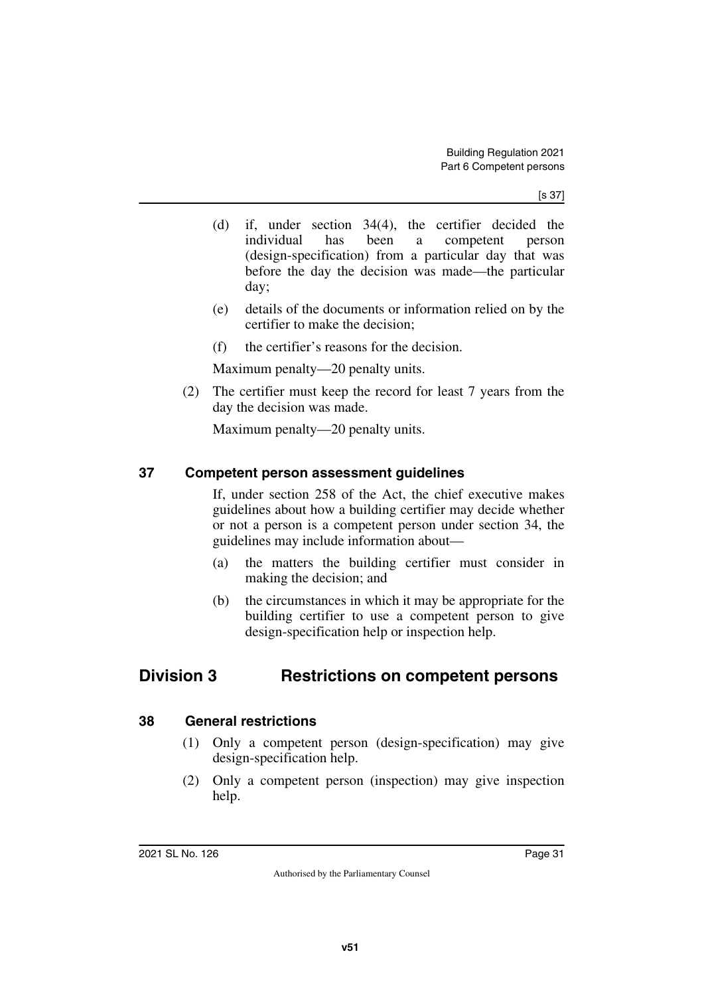[s 37]

- (d) if, under section 34(4), the certifier decided the individual has been a competent person (design-specification) from a particular day that was before the day the decision was made—the particular day;
- (e) details of the documents or information relied on by the certifier to make the decision;
- (f) the certifier's reasons for the decision.

Maximum penalty—20 penalty units.

(2) The certifier must keep the record for least 7 years from the day the decision was made.

<span id="page-30-1"></span>Maximum penalty—20 penalty units.

#### <span id="page-30-0"></span>**37 Competent person assessment guidelines**

If, under section 258 of the Act, the chief executive makes guidelines about how a building certifier may decide whether or not a person is a competent person under section 34, the guidelines may include information about—

- (a) the matters the building certifier must consider in making the decision; and
- <span id="page-30-3"></span>(b) the circumstances in which it may be appropriate for the building certifier to use a competent person to give design-specification help or inspection help.

### <span id="page-30-2"></span>**Division 3 Restrictions on competent persons**

#### <span id="page-30-4"></span>**38 General restrictions**

- <span id="page-30-5"></span>(1) Only a competent person (design-specification) may give design-specification help.
- (2) Only a competent person (inspection) may give inspection help.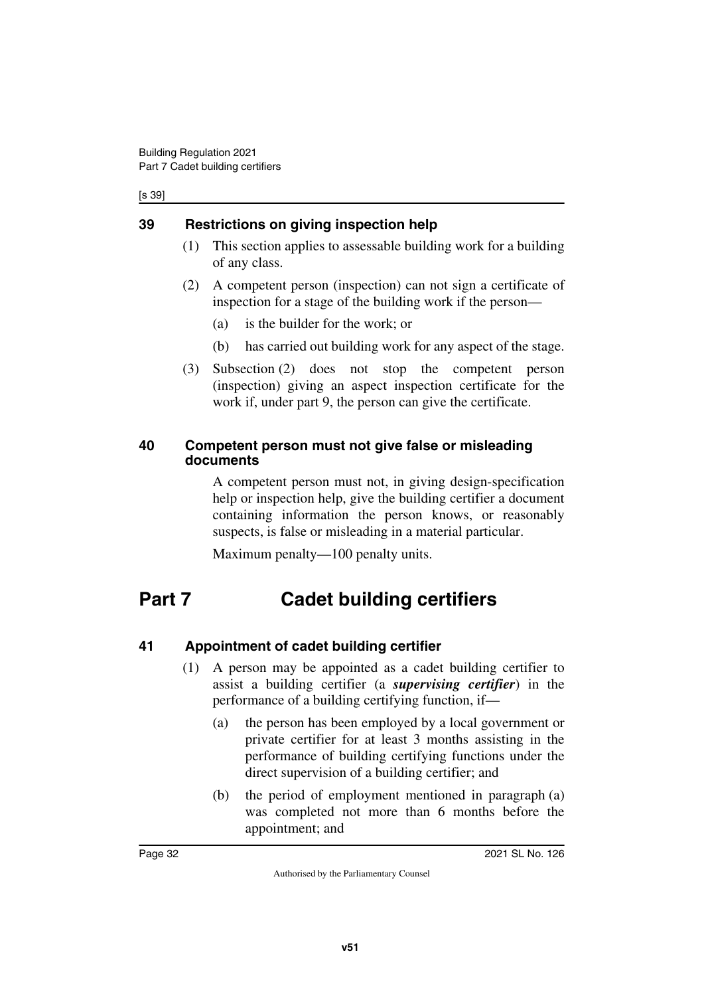#### [s 39]

#### <span id="page-31-0"></span>**39 Restrictions on giving inspection help**

- <span id="page-31-1"></span>(1) This section applies to assessable building work for a building of any class.
- (2) A competent person (inspection) can not sign a certificate of inspection for a stage of the building work if the person—
	- (a) is the builder for the work; or
	- (b) has carried out building work for any aspect of the stage.
- (3) Subsection (2) does not stop the competent person (inspection) giving an aspect inspection certificate for the work if, under part 9, the person can give the certificate.

#### <span id="page-31-3"></span><span id="page-31-2"></span>**40 Competent person must not give false or misleading documents**

A competent person must not, in giving design-specification help or inspection help, give the building certifier a document containing information the person knows, or reasonably suspects, is false or misleading in a material particular.

<span id="page-31-5"></span>Maximum penalty—100 penalty units.

# <span id="page-31-4"></span>**Part 7 Cadet building certifiers**

### <span id="page-31-6"></span>**41 Appointment of cadet building certifier**

- <span id="page-31-7"></span>(1) A person may be appointed as a cadet building certifier to assist a building certifier (a *supervising certifier*) in the performance of a building certifying function, if—
	- (a) the person has been employed by a local government or private certifier for at least 3 months assisting in the performance of building certifying functions under the direct supervision of a building certifier; and
	- (b) the period of employment mentioned in paragraph (a) was completed not more than 6 months before the appointment; and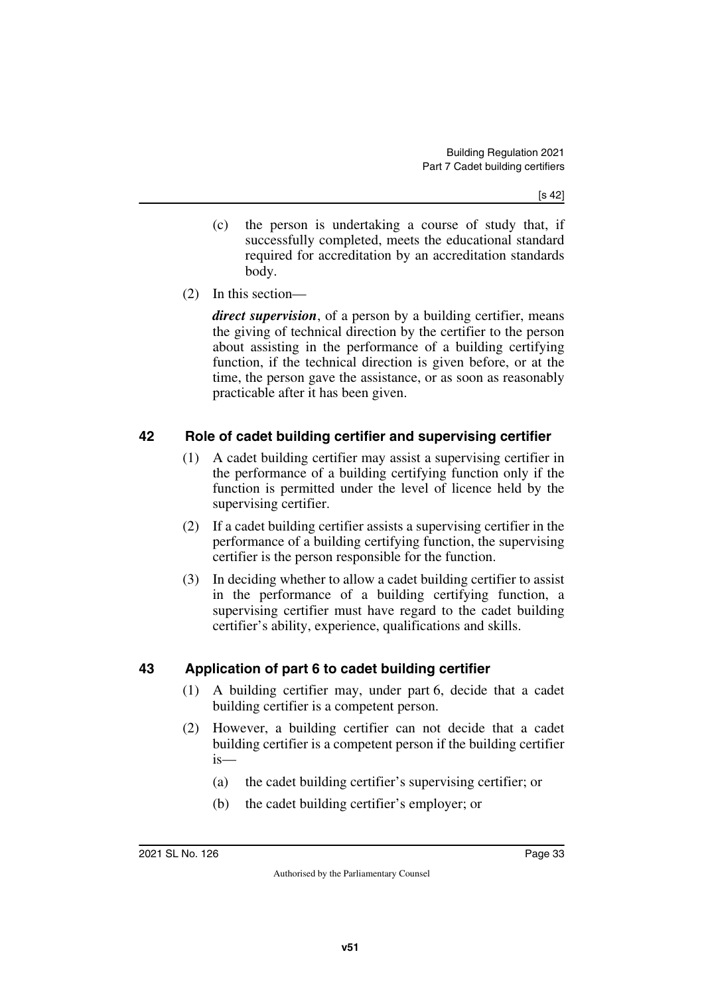- (c) the person is undertaking a course of study that, if successfully completed, meets the educational standard required for accreditation by an accreditation standards body.
- (2) In this section—

*direct supervision*, of a person by a building certifier, means the giving of technical direction by the certifier to the person about assisting in the performance of a building certifying function, if the technical direction is given before, or at the time, the person gave the assistance, or as soon as reasonably practicable after it has been given.

#### <span id="page-32-0"></span>**42 Role of cadet building certifier and supervising certifier**

- <span id="page-32-1"></span>(1) A cadet building certifier may assist a supervising certifier in the performance of a building certifying function only if the function is permitted under the level of licence held by the supervising certifier.
- (2) If a cadet building certifier assists a supervising certifier in the performance of a building certifying function, the supervising certifier is the person responsible for the function.
- (3) In deciding whether to allow a cadet building certifier to assist in the performance of a building certifying function, a supervising certifier must have regard to the cadet building certifier's ability, experience, qualifications and skills.

#### <span id="page-32-2"></span>**43 Application of part 6 to cadet building certifier**

- <span id="page-32-3"></span>(1) A building certifier may, under part 6, decide that a cadet building certifier is a competent person.
- (2) However, a building certifier can not decide that a cadet building certifier is a competent person if the building certifier is—
	- (a) the cadet building certifier's supervising certifier; or
	- (b) the cadet building certifier's employer; or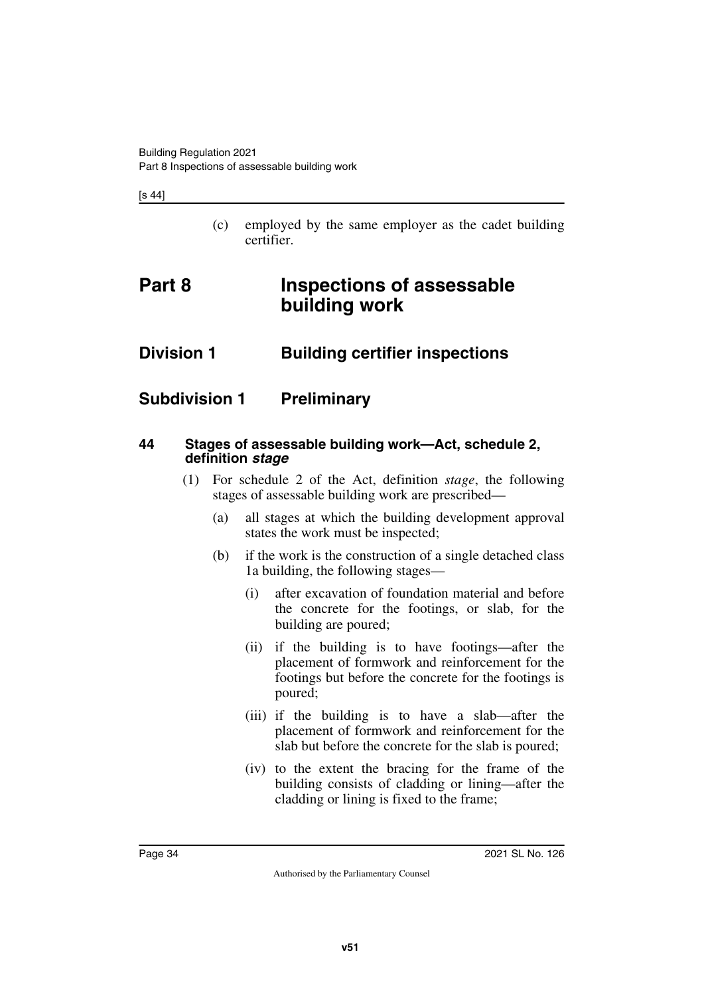[s 44]

<span id="page-33-3"></span><span id="page-33-1"></span>(c) employed by the same employer as the cadet building certifier.

# <span id="page-33-0"></span>**Part 8 Inspections of assessable building work**

### <span id="page-33-2"></span>**Division 1 Building certifier inspections**

### <span id="page-33-4"></span>**Subdivision 1 Preliminary**

#### <span id="page-33-7"></span><span id="page-33-6"></span>**44 Stages of assessable building work—Act, schedule 2, definition** *stage*

- <span id="page-33-5"></span>(1) For schedule 2 of the Act, definition *stage*, the following stages of assessable building work are prescribed—
	- (a) all stages at which the building development approval states the work must be inspected;
	- (b) if the work is the construction of a single detached class 1a building, the following stages—
		- (i) after excavation of foundation material and before the concrete for the footings, or slab, for the building are poured;
		- (ii) if the building is to have footings—after the placement of formwork and reinforcement for the footings but before the concrete for the footings is poured;
		- (iii) if the building is to have a slab—after the placement of formwork and reinforcement for the slab but before the concrete for the slab is poured;
		- (iv) to the extent the bracing for the frame of the building consists of cladding or lining—after the cladding or lining is fixed to the frame;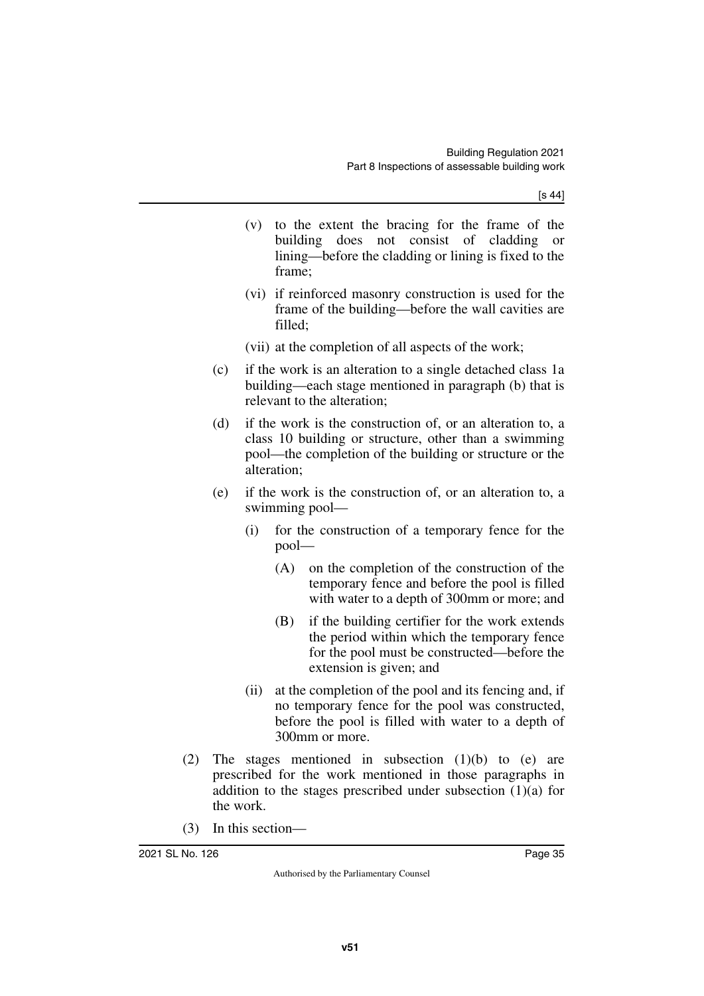[s 44]

- (v) to the extent the bracing for the frame of the building does not consist of cladding or lining—before the cladding or lining is fixed to the frame;
- (vi) if reinforced masonry construction is used for the frame of the building—before the wall cavities are filled;
- (vii) at the completion of all aspects of the work;
- (c) if the work is an alteration to a single detached class 1a building—each stage mentioned in paragraph (b) that is relevant to the alteration;
- (d) if the work is the construction of, or an alteration to, a class 10 building or structure, other than a swimming pool—the completion of the building or structure or the alteration;
- (e) if the work is the construction of, or an alteration to, a swimming pool—
	- (i) for the construction of a temporary fence for the pool—
		- (A) on the completion of the construction of the temporary fence and before the pool is filled with water to a depth of 300mm or more; and
		- (B) if the building certifier for the work extends the period within which the temporary fence for the pool must be constructed—before the extension is given; and
	- (ii) at the completion of the pool and its fencing and, if no temporary fence for the pool was constructed, before the pool is filled with water to a depth of 300mm or more.
- (2) The stages mentioned in subsection (1)(b) to (e) are prescribed for the work mentioned in those paragraphs in addition to the stages prescribed under subsection (1)(a) for the work.
- (3) In this section—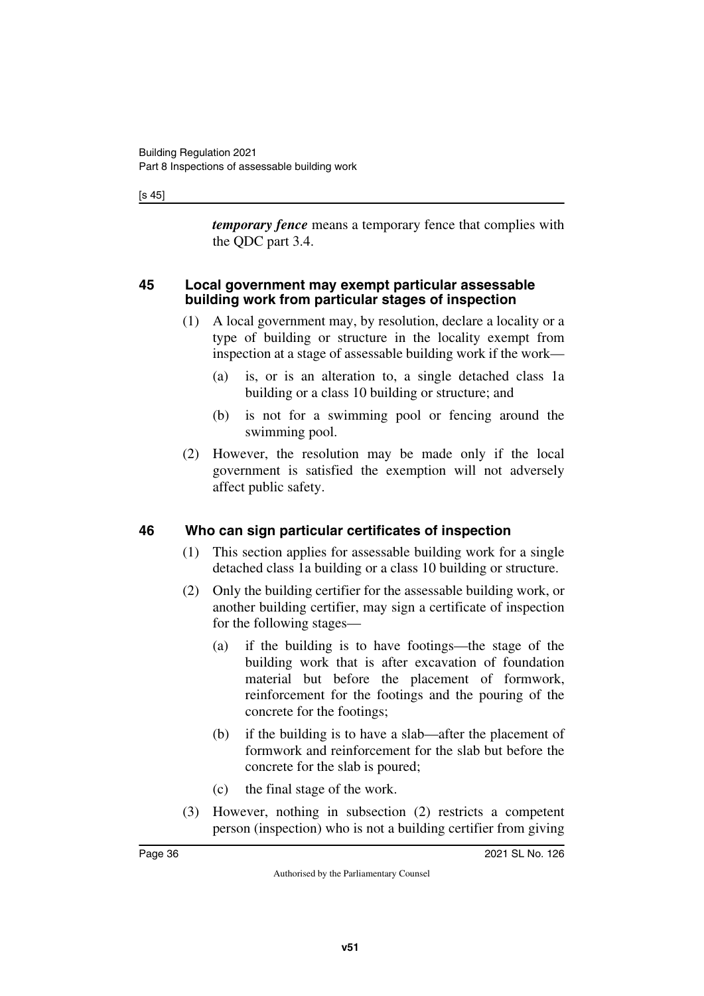[s 45]

*temporary fence* means a temporary fence that complies with the QDC part 3.4.

#### <span id="page-35-1"></span><span id="page-35-0"></span>**45 Local government may exempt particular assessable building work from particular stages of inspection**

- (1) A local government may, by resolution, declare a locality or a type of building or structure in the locality exempt from inspection at a stage of assessable building work if the work—
	- (a) is, or is an alteration to, a single detached class 1a building or a class 10 building or structure; and
	- (b) is not for a swimming pool or fencing around the swimming pool.
- (2) However, the resolution may be made only if the local government is satisfied the exemption will not adversely affect public safety.

### <span id="page-35-2"></span>**46 Who can sign particular certificates of inspection**

- <span id="page-35-3"></span>(1) This section applies for assessable building work for a single detached class 1a building or a class 10 building or structure.
- (2) Only the building certifier for the assessable building work, or another building certifier, may sign a certificate of inspection for the following stages—
	- (a) if the building is to have footings—the stage of the building work that is after excavation of foundation material but before the placement of formwork, reinforcement for the footings and the pouring of the concrete for the footings;
	- (b) if the building is to have a slab—after the placement of formwork and reinforcement for the slab but before the concrete for the slab is poured;
	- (c) the final stage of the work.
- (3) However, nothing in subsection (2) restricts a competent person (inspection) who is not a building certifier from giving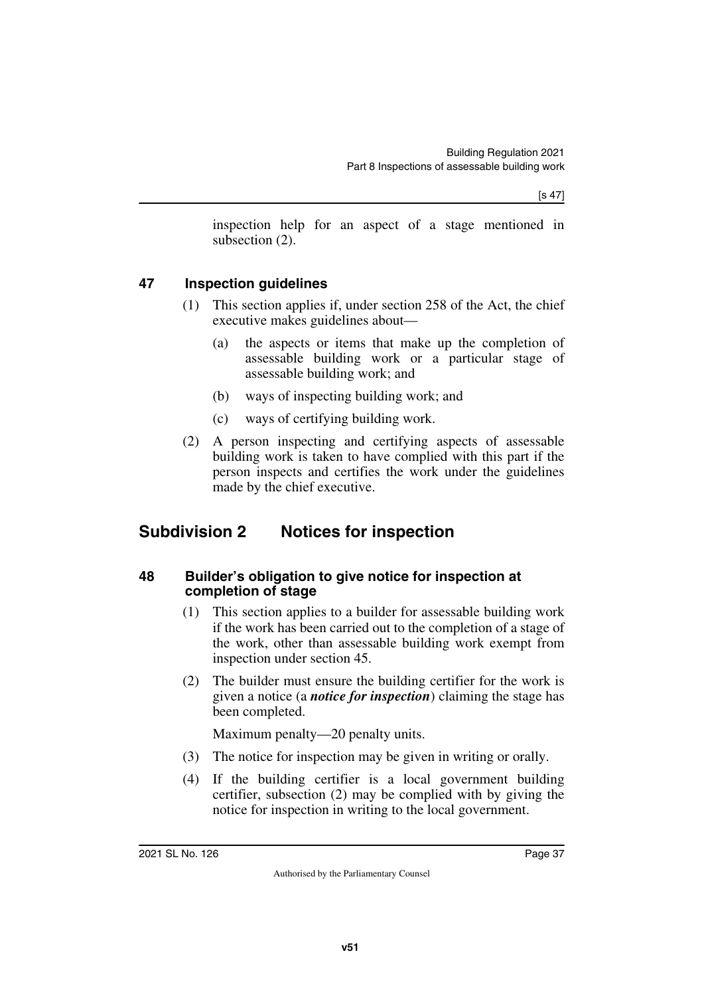inspection help for an aspect of a stage mentioned in subsection (2).

#### **47 Inspection guidelines**

- (1) This section applies if, under section 258 of the Act, the chief executive makes guidelines about—
	- (a) the aspects or items that make up the completion of assessable building work or a particular stage of assessable building work; and
	- (b) ways of inspecting building work; and
	- (c) ways of certifying building work.
- (2) A person inspecting and certifying aspects of assessable building work is taken to have complied with this part if the person inspects and certifies the work under the guidelines made by the chief executive.

### **Subdivision 2 Notices for inspection**

#### **48 Builder's obligation to give notice for inspection at completion of stage**

- (1) This section applies to a builder for assessable building work if the work has been carried out to the completion of a stage of the work, other than assessable building work exempt from inspection under section 45.
- (2) The builder must ensure the building certifier for the work is given a notice (a *notice for inspection*) claiming the stage has been completed.

Maximum penalty—20 penalty units.

- (3) The notice for inspection may be given in writing or orally.
- (4) If the building certifier is a local government building certifier, subsection (2) may be complied with by giving the notice for inspection in writing to the local government.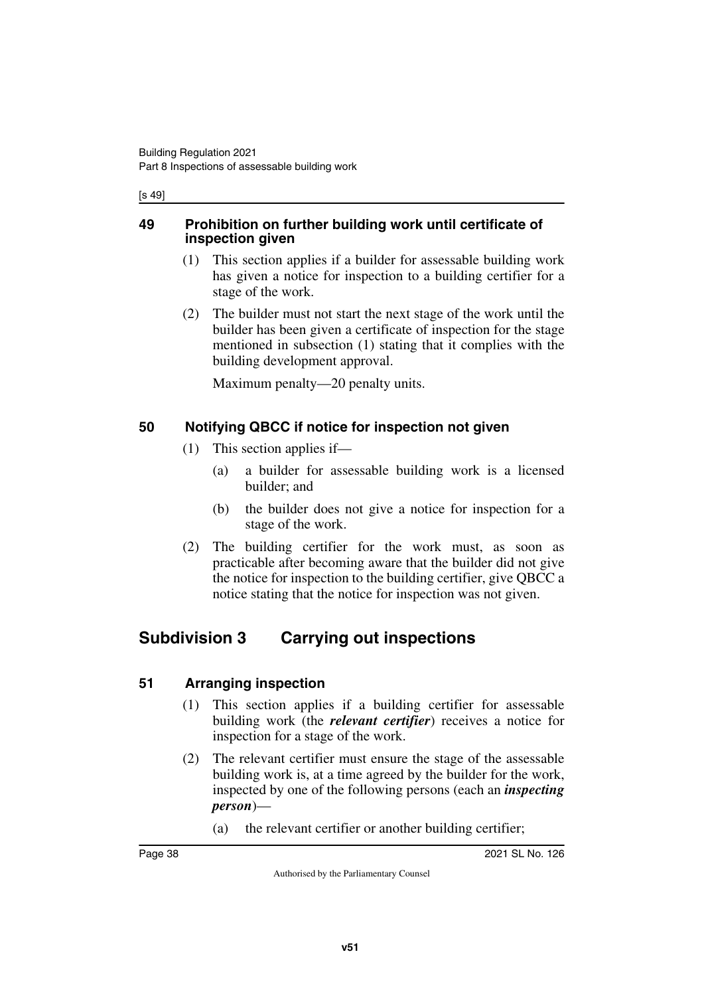[s 49]

#### **49 Prohibition on further building work until certificate of inspection given**

- (1) This section applies if a builder for assessable building work has given a notice for inspection to a building certifier for a stage of the work.
- (2) The builder must not start the next stage of the work until the builder has been given a certificate of inspection for the stage mentioned in subsection (1) stating that it complies with the building development approval.

Maximum penalty—20 penalty units.

### **50 Notifying QBCC if notice for inspection not given**

- (1) This section applies if—
	- (a) a builder for assessable building work is a licensed builder; and
	- (b) the builder does not give a notice for inspection for a stage of the work.
- (2) The building certifier for the work must, as soon as practicable after becoming aware that the builder did not give the notice for inspection to the building certifier, give QBCC a notice stating that the notice for inspection was not given.

### **Subdivision 3 Carrying out inspections**

### **51 Arranging inspection**

- (1) This section applies if a building certifier for assessable building work (the *relevant certifier*) receives a notice for inspection for a stage of the work.
- (2) The relevant certifier must ensure the stage of the assessable building work is, at a time agreed by the builder for the work, inspected by one of the following persons (each an *inspecting person*)—
	- (a) the relevant certifier or another building certifier;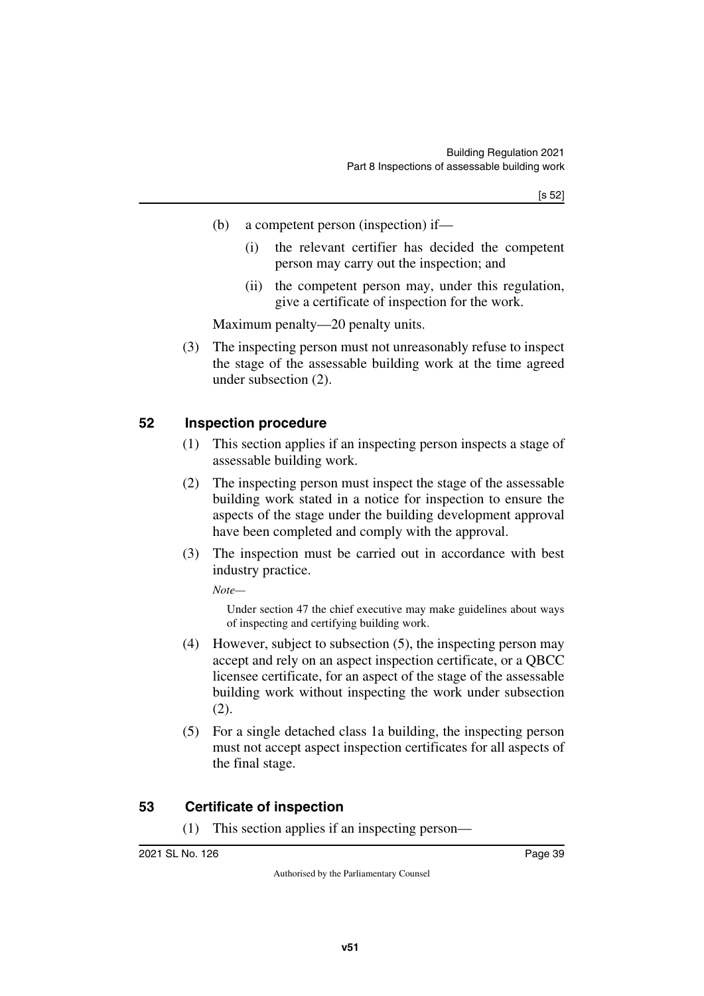- (b) a competent person (inspection) if—
	- (i) the relevant certifier has decided the competent person may carry out the inspection; and
	- (ii) the competent person may, under this regulation, give a certificate of inspection for the work.

Maximum penalty—20 penalty units.

(3) The inspecting person must not unreasonably refuse to inspect the stage of the assessable building work at the time agreed under subsection (2).

#### **52 Inspection procedure**

- (1) This section applies if an inspecting person inspects a stage of assessable building work.
- (2) The inspecting person must inspect the stage of the assessable building work stated in a notice for inspection to ensure the aspects of the stage under the building development approval have been completed and comply with the approval.
- (3) The inspection must be carried out in accordance with best industry practice.

*Note—*

Under section 47 the chief executive may make guidelines about ways of inspecting and certifying building work.

- (4) However, subject to subsection (5), the inspecting person may accept and rely on an aspect inspection certificate, or a QBCC licensee certificate, for an aspect of the stage of the assessable building work without inspecting the work under subsection (2).
- (5) For a single detached class 1a building, the inspecting person must not accept aspect inspection certificates for all aspects of the final stage.

#### **53 Certificate of inspection**

(1) This section applies if an inspecting person—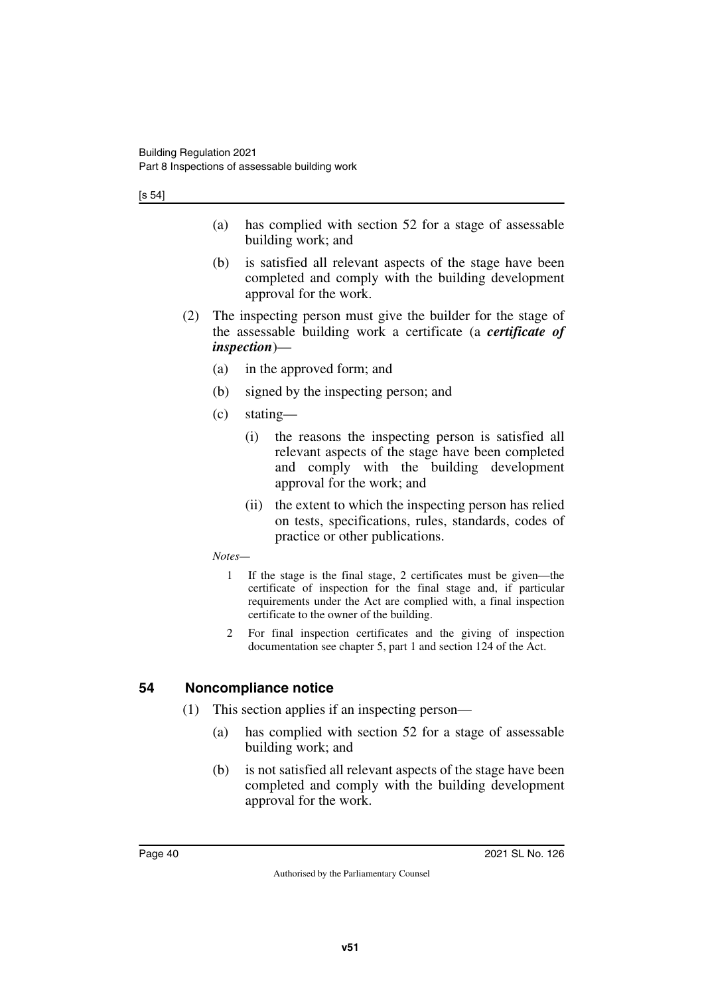[s 54]

- (a) has complied with section 52 for a stage of assessable building work; and
- (b) is satisfied all relevant aspects of the stage have been completed and comply with the building development approval for the work.
- (2) The inspecting person must give the builder for the stage of the assessable building work a certificate (a *certificate of inspection*)—
	- (a) in the approved form; and
	- (b) signed by the inspecting person; and
	- (c) stating—
		- (i) the reasons the inspecting person is satisfied all relevant aspects of the stage have been completed and comply with the building development approval for the work; and
		- (ii) the extent to which the inspecting person has relied on tests, specifications, rules, standards, codes of practice or other publications.
	- *Notes—*
		- 1 If the stage is the final stage, 2 certificates must be given—the certificate of inspection for the final stage and, if particular requirements under the Act are complied with, a final inspection certificate to the owner of the building.
		- 2 For final inspection certificates and the giving of inspection documentation see chapter 5, part 1 and section 124 of the Act.

#### **54 Noncompliance notice**

- (1) This section applies if an inspecting person—
	- (a) has complied with section 52 for a stage of assessable building work; and
	- (b) is not satisfied all relevant aspects of the stage have been completed and comply with the building development approval for the work.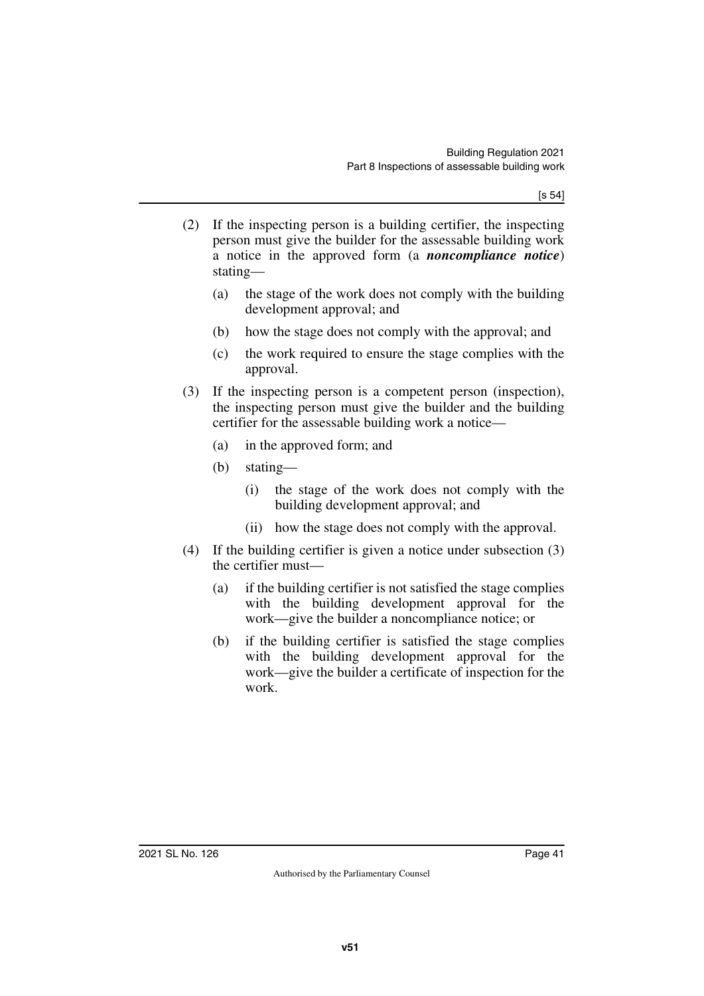[s 54]

- (2) If the inspecting person is a building certifier, the inspecting person must give the builder for the assessable building work a notice in the approved form (a *noncompliance notice*) stating—
	- (a) the stage of the work does not comply with the building development approval; and
	- (b) how the stage does not comply with the approval; and
	- (c) the work required to ensure the stage complies with the approval.
- (3) If the inspecting person is a competent person (inspection), the inspecting person must give the builder and the building certifier for the assessable building work a notice—
	- (a) in the approved form; and
	- (b) stating—
		- (i) the stage of the work does not comply with the building development approval; and
		- (ii) how the stage does not comply with the approval.
- (4) If the building certifier is given a notice under subsection (3) the certifier must—
	- (a) if the building certifier is not satisfied the stage complies with the building development approval for the work—give the builder a noncompliance notice; or
	- (b) if the building certifier is satisfied the stage complies with the building development approval for the work—give the builder a certificate of inspection for the work.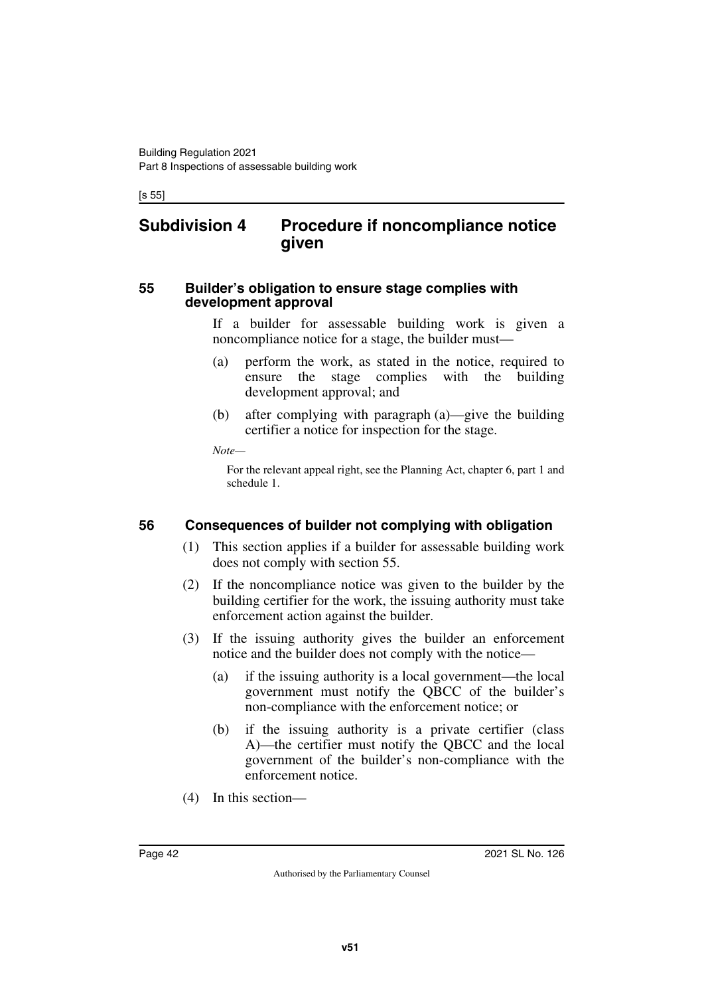[s 55]

### **Subdivision 4 Procedure if noncompliance notice given**

#### **55 Builder's obligation to ensure stage complies with development approval**

If a builder for assessable building work is given a noncompliance notice for a stage, the builder must—

- (a) perform the work, as stated in the notice, required to ensure the stage complies with the building development approval; and
- (b) after complying with paragraph (a)—give the building certifier a notice for inspection for the stage.

*Note—*

For the relevant appeal right, see the Planning Act, chapter 6, part 1 and schedule 1.

### **56 Consequences of builder not complying with obligation**

- (1) This section applies if a builder for assessable building work does not comply with section 55.
- (2) If the noncompliance notice was given to the builder by the building certifier for the work, the issuing authority must take enforcement action against the builder.
- (3) If the issuing authority gives the builder an enforcement notice and the builder does not comply with the notice—
	- (a) if the issuing authority is a local government—the local government must notify the QBCC of the builder's non-compliance with the enforcement notice; or
	- (b) if the issuing authority is a private certifier (class A)—the certifier must notify the QBCC and the local government of the builder's non-compliance with the enforcement notice.
- (4) In this section—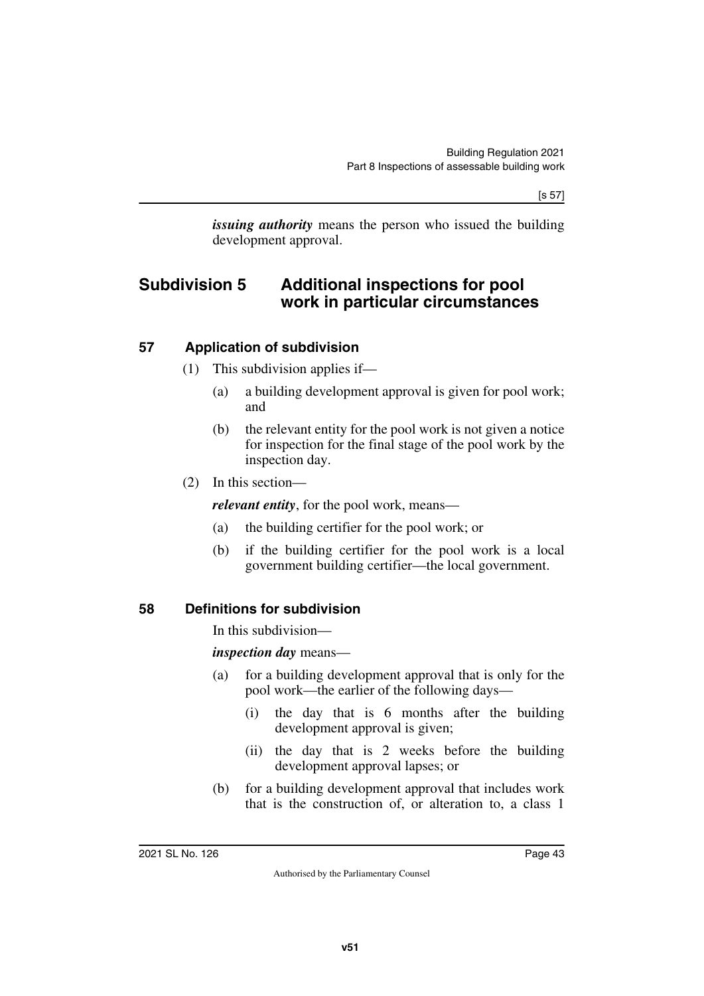[s 57]

*issuing authority* means the person who issued the building development approval.

### **Subdivision 5 Additional inspections for pool work in particular circumstances**

#### **57 Application of subdivision**

- (1) This subdivision applies if—
	- (a) a building development approval is given for pool work; and
	- (b) the relevant entity for the pool work is not given a notice for inspection for the final stage of the pool work by the inspection day.
- (2) In this section—

*relevant entity*, for the pool work, means—

- (a) the building certifier for the pool work; or
- (b) if the building certifier for the pool work is a local government building certifier—the local government.
- **58 Definitions for subdivision**

In this subdivision—

*inspection day* means—

- (a) for a building development approval that is only for the pool work—the earlier of the following days—
	- (i) the day that is 6 months after the building development approval is given;
	- (ii) the day that is 2 weeks before the building development approval lapses; or
- (b) for a building development approval that includes work that is the construction of, or alteration to, a class 1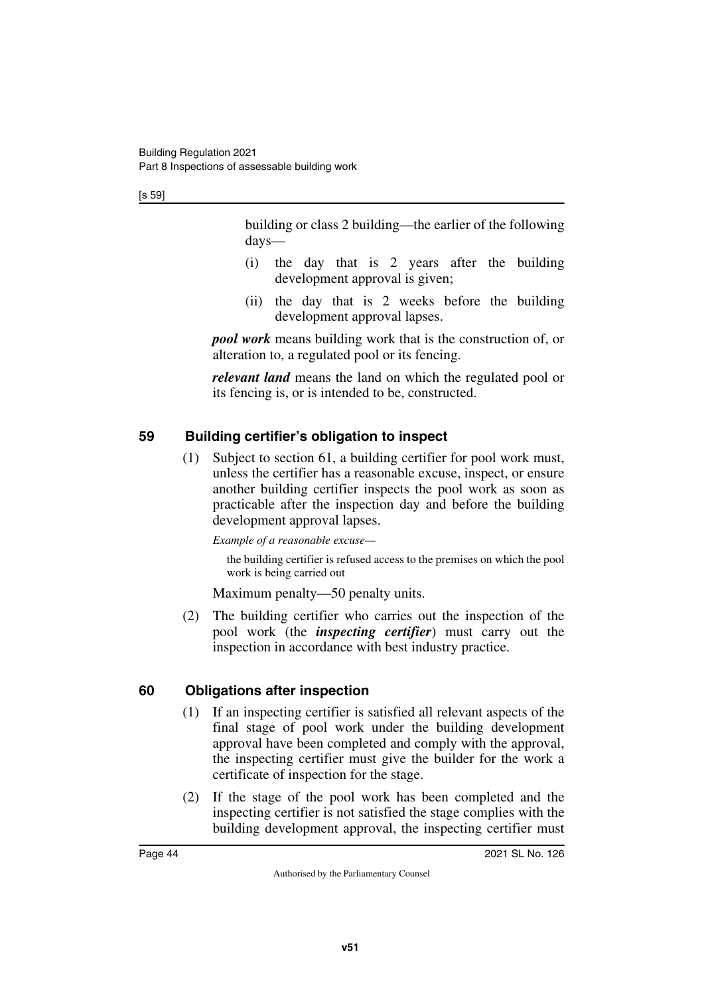[s 59]

building or class 2 building—the earlier of the following days—

- (i) the day that is 2 years after the building development approval is given;
- (ii) the day that is 2 weeks before the building development approval lapses.

*pool work* means building work that is the construction of, or alteration to, a regulated pool or its fencing.

*relevant land* means the land on which the regulated pool or its fencing is, or is intended to be, constructed.

### **59 Building certifier's obligation to inspect**

(1) Subject to section 61, a building certifier for pool work must, unless the certifier has a reasonable excuse, inspect, or ensure another building certifier inspects the pool work as soon as practicable after the inspection day and before the building development approval lapses.

*Example of a reasonable excuse—*

the building certifier is refused access to the premises on which the pool work is being carried out

Maximum penalty—50 penalty units.

(2) The building certifier who carries out the inspection of the pool work (the *inspecting certifier*) must carry out the inspection in accordance with best industry practice.

### **60 Obligations after inspection**

- (1) If an inspecting certifier is satisfied all relevant aspects of the final stage of pool work under the building development approval have been completed and comply with the approval, the inspecting certifier must give the builder for the work a certificate of inspection for the stage.
- (2) If the stage of the pool work has been completed and the inspecting certifier is not satisfied the stage complies with the building development approval, the inspecting certifier must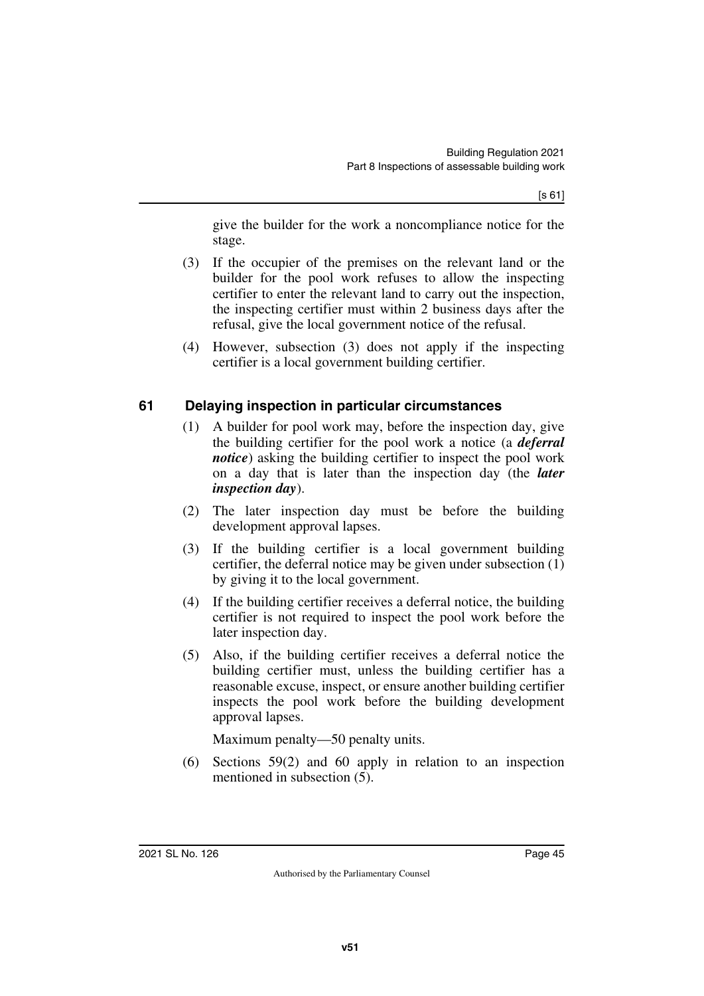give the builder for the work a noncompliance notice for the stage.

- (3) If the occupier of the premises on the relevant land or the builder for the pool work refuses to allow the inspecting certifier to enter the relevant land to carry out the inspection, the inspecting certifier must within 2 business days after the refusal, give the local government notice of the refusal.
- (4) However, subsection (3) does not apply if the inspecting certifier is a local government building certifier.

#### **61 Delaying inspection in particular circumstances**

- (1) A builder for pool work may, before the inspection day, give the building certifier for the pool work a notice (a *deferral notice*) asking the building certifier to inspect the pool work on a day that is later than the inspection day (the *later inspection day*).
- (2) The later inspection day must be before the building development approval lapses.
- (3) If the building certifier is a local government building certifier, the deferral notice may be given under subsection (1) by giving it to the local government.
- (4) If the building certifier receives a deferral notice, the building certifier is not required to inspect the pool work before the later inspection day.
- (5) Also, if the building certifier receives a deferral notice the building certifier must, unless the building certifier has a reasonable excuse, inspect, or ensure another building certifier inspects the pool work before the building development approval lapses.

Maximum penalty—50 penalty units.

(6) Sections 59(2) and 60 apply in relation to an inspection mentioned in subsection (5).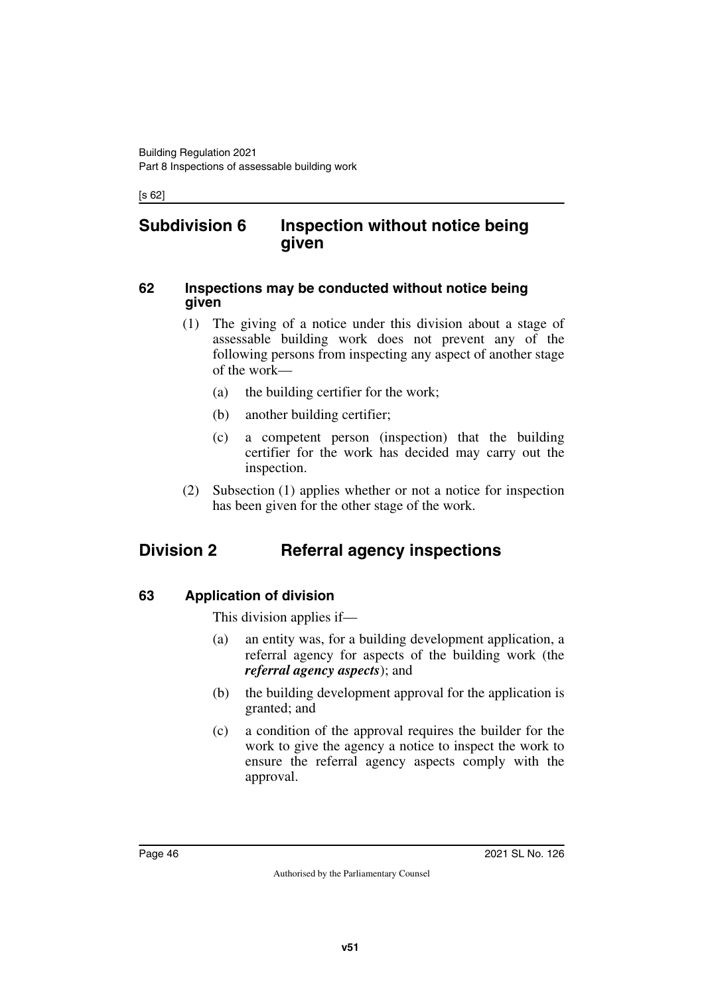[s 62]

### **Subdivision 6 Inspection without notice being given**

#### **62 Inspections may be conducted without notice being given**

- (1) The giving of a notice under this division about a stage of assessable building work does not prevent any of the following persons from inspecting any aspect of another stage of the work—
	- (a) the building certifier for the work;
	- (b) another building certifier;
	- (c) a competent person (inspection) that the building certifier for the work has decided may carry out the inspection.
- (2) Subsection (1) applies whether or not a notice for inspection has been given for the other stage of the work.

## **Division 2 Referral agency inspections**

### **63 Application of division**

This division applies if—

- (a) an entity was, for a building development application, a referral agency for aspects of the building work (the *referral agency aspects*); and
- (b) the building development approval for the application is granted; and
- (c) a condition of the approval requires the builder for the work to give the agency a notice to inspect the work to ensure the referral agency aspects comply with the approval.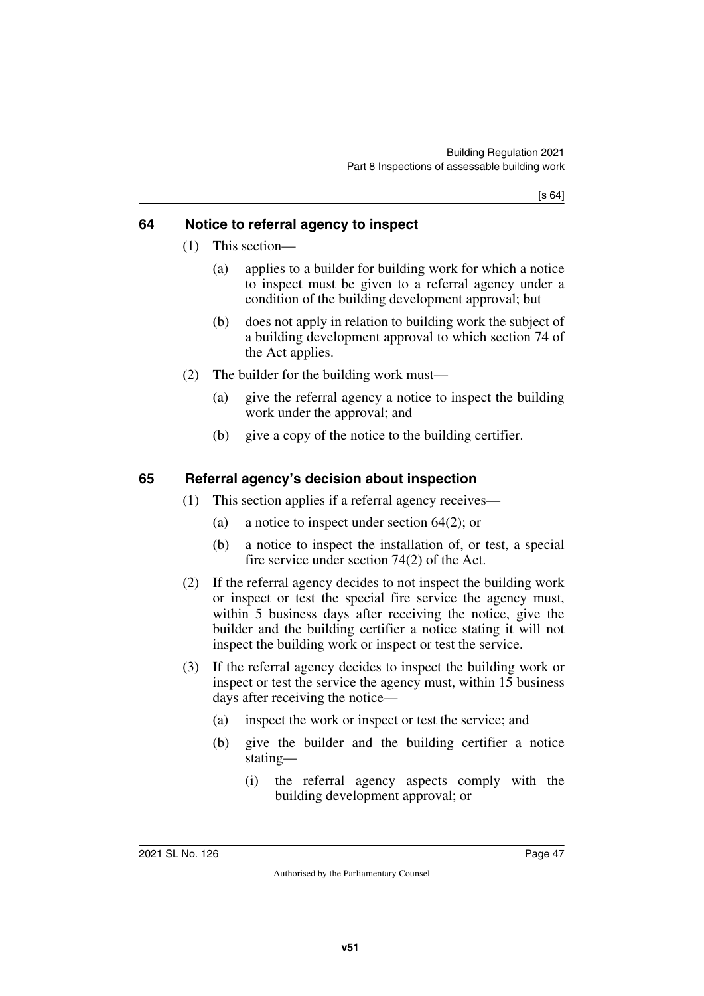[s 64]

#### **64 Notice to referral agency to inspect**

- (1) This section—
	- (a) applies to a builder for building work for which a notice to inspect must be given to a referral agency under a condition of the building development approval; but
	- (b) does not apply in relation to building work the subject of a building development approval to which section 74 of the Act applies.
- (2) The builder for the building work must—
	- (a) give the referral agency a notice to inspect the building work under the approval; and
	- (b) give a copy of the notice to the building certifier.

#### **65 Referral agency's decision about inspection**

- (1) This section applies if a referral agency receives—
	- (a) a notice to inspect under section 64(2); or
	- (b) a notice to inspect the installation of, or test, a special fire service under section 74(2) of the Act.
- (2) If the referral agency decides to not inspect the building work or inspect or test the special fire service the agency must, within 5 business days after receiving the notice, give the builder and the building certifier a notice stating it will not inspect the building work or inspect or test the service.
- (3) If the referral agency decides to inspect the building work or inspect or test the service the agency must, within 15 business days after receiving the notice—
	- (a) inspect the work or inspect or test the service; and
	- (b) give the builder and the building certifier a notice stating—
		- (i) the referral agency aspects comply with the building development approval; or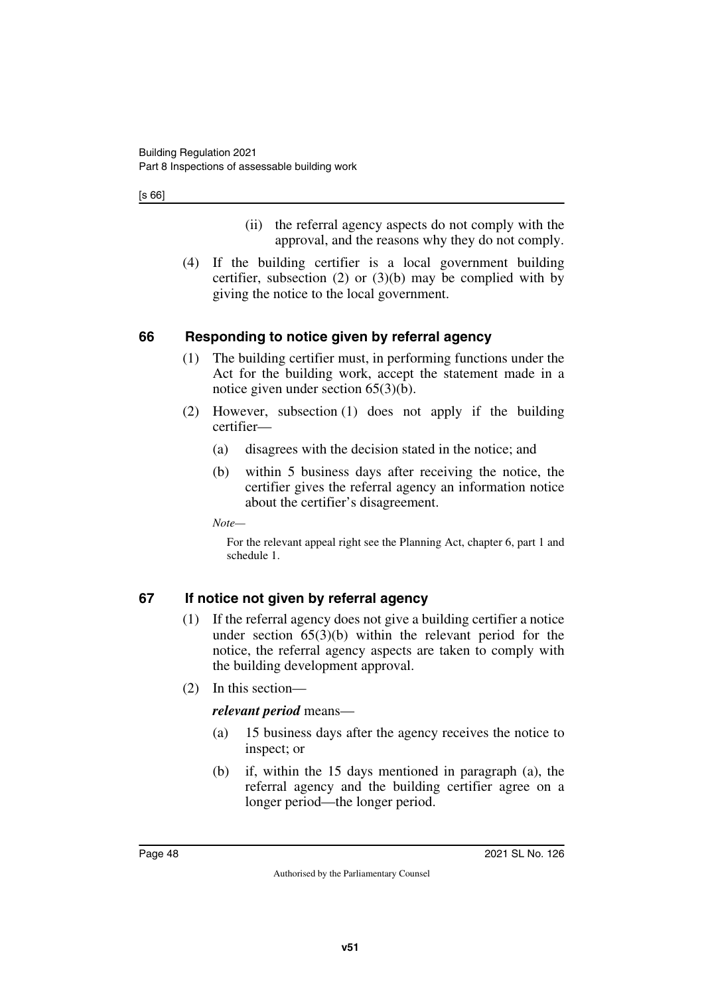[s 66]

- (ii) the referral agency aspects do not comply with the approval, and the reasons why they do not comply.
- (4) If the building certifier is a local government building certifier, subsection  $(2)$  or  $(3)(b)$  may be complied with by giving the notice to the local government.

### **66 Responding to notice given by referral agency**

- (1) The building certifier must, in performing functions under the Act for the building work, accept the statement made in a notice given under section 65(3)(b).
- (2) However, subsection (1) does not apply if the building certifier—
	- (a) disagrees with the decision stated in the notice; and
	- (b) within 5 business days after receiving the notice, the certifier gives the referral agency an information notice about the certifier's disagreement.

*Note—*

For the relevant appeal right see the Planning Act, chapter 6, part 1 and schedule 1.

### **67 If notice not given by referral agency**

- (1) If the referral agency does not give a building certifier a notice under section  $65(3)(b)$  within the relevant period for the notice, the referral agency aspects are taken to comply with the building development approval.
- (2) In this section—

#### *relevant period* means—

- (a) 15 business days after the agency receives the notice to inspect; or
- (b) if, within the 15 days mentioned in paragraph (a), the referral agency and the building certifier agree on a longer period—the longer period.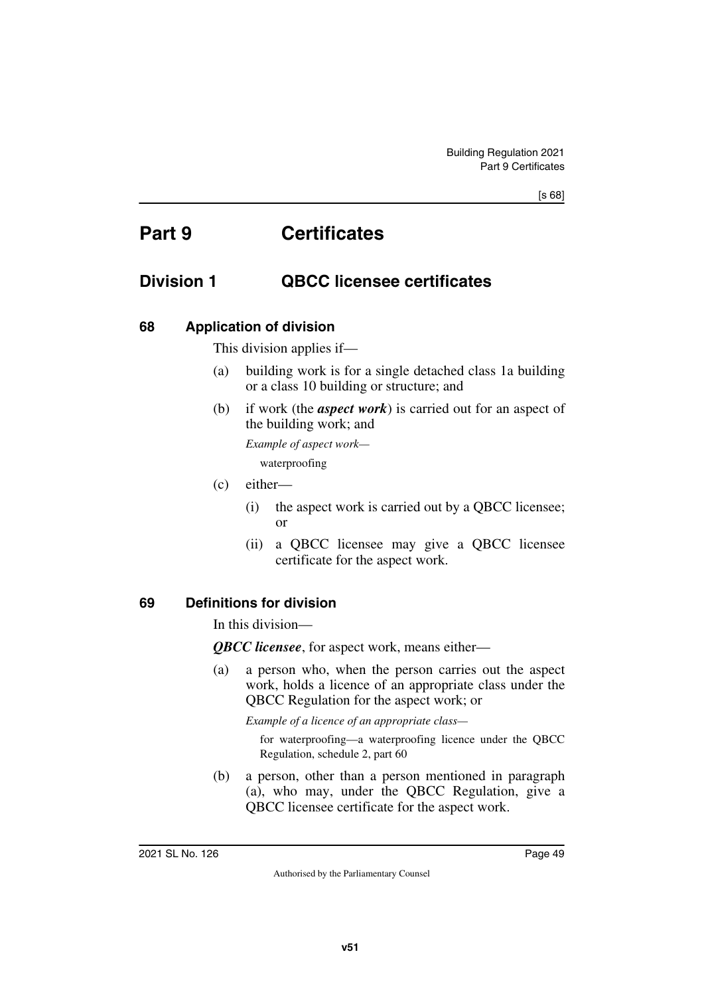# **Part 9 Certificates**

### **Division 1 QBCC licensee certificates**

#### **68 Application of division**

This division applies if—

- (a) building work is for a single detached class 1a building or a class 10 building or structure; and
- (b) if work (the *aspect work*) is carried out for an aspect of the building work; and

*Example of aspect work—*

waterproofing

- (c) either—
	- (i) the aspect work is carried out by a QBCC licensee; or
	- (ii) a QBCC licensee may give a QBCC licensee certificate for the aspect work.

#### **69 Definitions for division**

In this division—

*QBCC licensee*, for aspect work, means either—

(a) a person who, when the person carries out the aspect work, holds a licence of an appropriate class under the QBCC Regulation for the aspect work; or

*Example of a licence of an appropriate class—*

for waterproofing—a waterproofing licence under the QBCC Regulation, schedule 2, part 60

(b) a person, other than a person mentioned in paragraph (a), who may, under the QBCC Regulation, give a QBCC licensee certificate for the aspect work.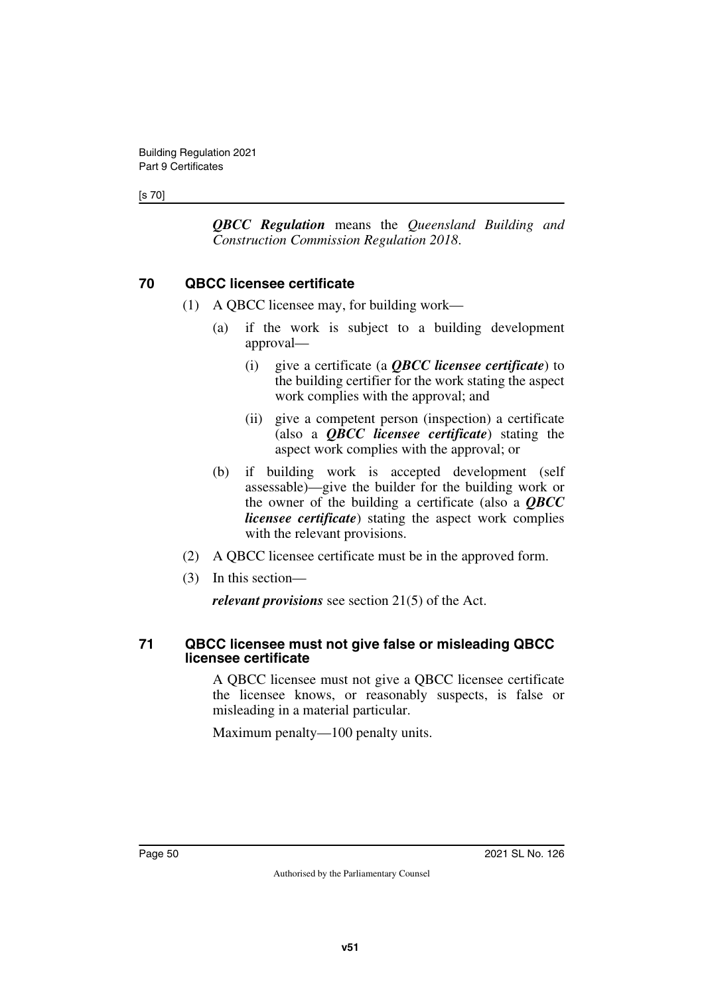#### [s 70]

*QBCC Regulation* means the *Queensland Building and Construction Commission Regulation 2018*.

#### **70 QBCC licensee certificate**

- (1) A QBCC licensee may, for building work—
	- (a) if the work is subject to a building development approval—
		- (i) give a certificate (a *QBCC licensee certificate*) to the building certifier for the work stating the aspect work complies with the approval; and
		- (ii) give a competent person (inspection) a certificate (also a *QBCC licensee certificate*) stating the aspect work complies with the approval; or
	- (b) if building work is accepted development (self assessable)—give the builder for the building work or the owner of the building a certificate (also a *QBCC licensee certificate*) stating the aspect work complies with the relevant provisions.
- (2) A QBCC licensee certificate must be in the approved form.
- (3) In this section—

*relevant provisions* see section 21(5) of the Act.

#### **71 QBCC licensee must not give false or misleading QBCC licensee certificate**

A QBCC licensee must not give a QBCC licensee certificate the licensee knows, or reasonably suspects, is false or misleading in a material particular.

Maximum penalty—100 penalty units.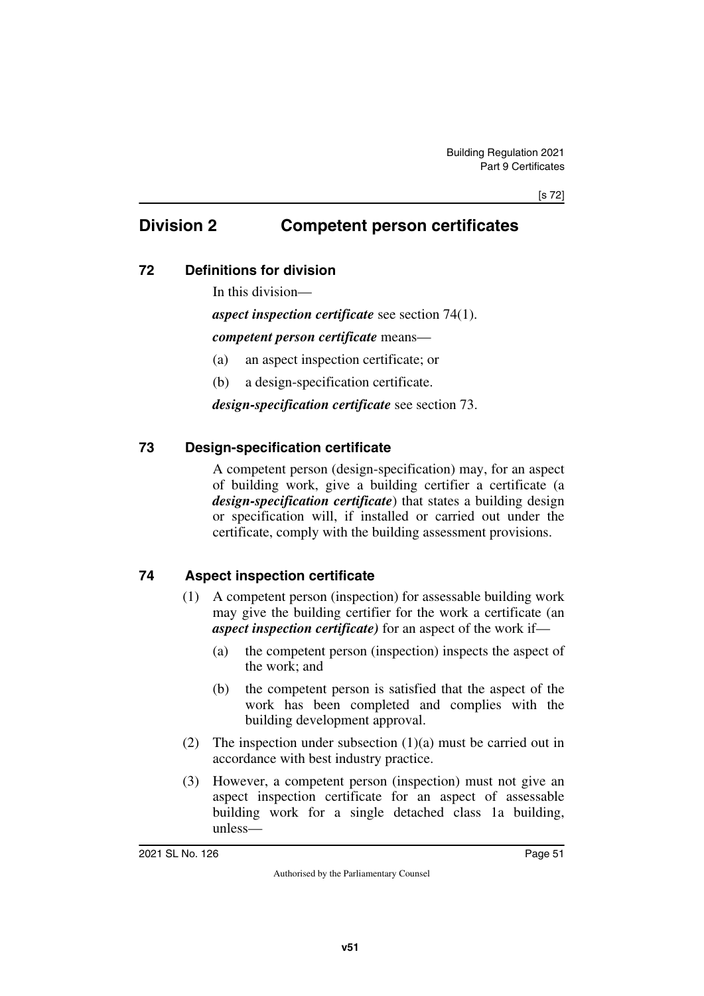### **Division 2 Competent person certificates**

### **72 Definitions for division**

In this division—

### *aspect inspection certificate* see section 74(1).

#### *competent person certificate* means—

- (a) an aspect inspection certificate; or
- (b) a design-specification certificate.

*design-specification certificate* see section 73.

### **73 Design-specification certificate**

A competent person (design-specification) may, for an aspect of building work, give a building certifier a certificate (a *design-specification certificate*) that states a building design or specification will, if installed or carried out under the certificate, comply with the building assessment provisions.

### **74 Aspect inspection certificate**

- (1) A competent person (inspection) for assessable building work may give the building certifier for the work a certificate (an *aspect inspection certificate)* for an aspect of the work if—
	- (a) the competent person (inspection) inspects the aspect of the work; and
	- (b) the competent person is satisfied that the aspect of the work has been completed and complies with the building development approval.
- (2) The inspection under subsection  $(1)(a)$  must be carried out in accordance with best industry practice.
- (3) However, a competent person (inspection) must not give an aspect inspection certificate for an aspect of assessable building work for a single detached class 1a building, unless—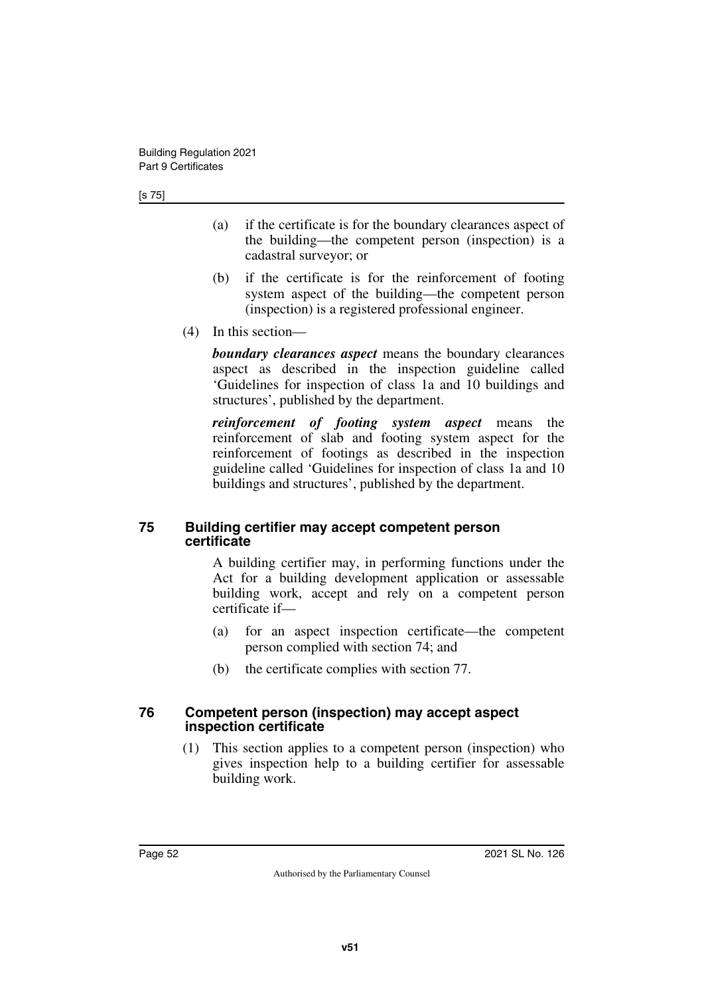- (a) if the certificate is for the boundary clearances aspect of the building—the competent person (inspection) is a cadastral surveyor; or
- (b) if the certificate is for the reinforcement of footing system aspect of the building—the competent person (inspection) is a registered professional engineer.
- (4) In this section—

*boundary clearances aspect* means the boundary clearances aspect as described in the inspection guideline called 'Guidelines for inspection of class 1a and 10 buildings and structures', published by the department.

*reinforcement of footing system aspect* means the reinforcement of slab and footing system aspect for the reinforcement of footings as described in the inspection guideline called 'Guidelines for inspection of class 1a and 10 buildings and structures', published by the department.

#### **75 Building certifier may accept competent person certificate**

A building certifier may, in performing functions under the Act for a building development application or assessable building work, accept and rely on a competent person certificate if—

- (a) for an aspect inspection certificate—the competent person complied with section 74; and
- (b) the certificate complies with section 77.

#### **76 Competent person (inspection) may accept aspect inspection certificate**

(1) This section applies to a competent person (inspection) who gives inspection help to a building certifier for assessable building work.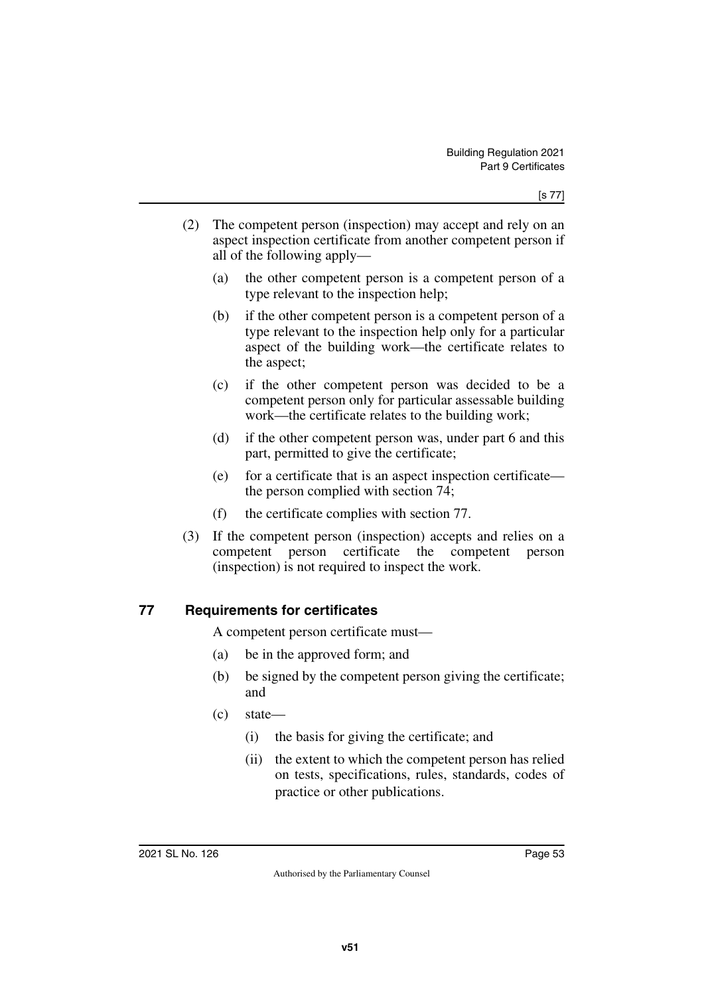- (2) The competent person (inspection) may accept and rely on an aspect inspection certificate from another competent person if all of the following apply—
	- (a) the other competent person is a competent person of a type relevant to the inspection help;
	- (b) if the other competent person is a competent person of a type relevant to the inspection help only for a particular aspect of the building work—the certificate relates to the aspect;
	- (c) if the other competent person was decided to be a competent person only for particular assessable building work—the certificate relates to the building work;
	- (d) if the other competent person was, under part 6 and this part, permitted to give the certificate;
	- (e) for a certificate that is an aspect inspection certificate the person complied with section 74;
	- (f) the certificate complies with section 77.
- (3) If the competent person (inspection) accepts and relies on a competent person certificate the competent person (inspection) is not required to inspect the work.

### **77 Requirements for certificates**

A competent person certificate must—

- (a) be in the approved form; and
- (b) be signed by the competent person giving the certificate; and
- (c) state—
	- (i) the basis for giving the certificate; and
	- (ii) the extent to which the competent person has relied on tests, specifications, rules, standards, codes of practice or other publications.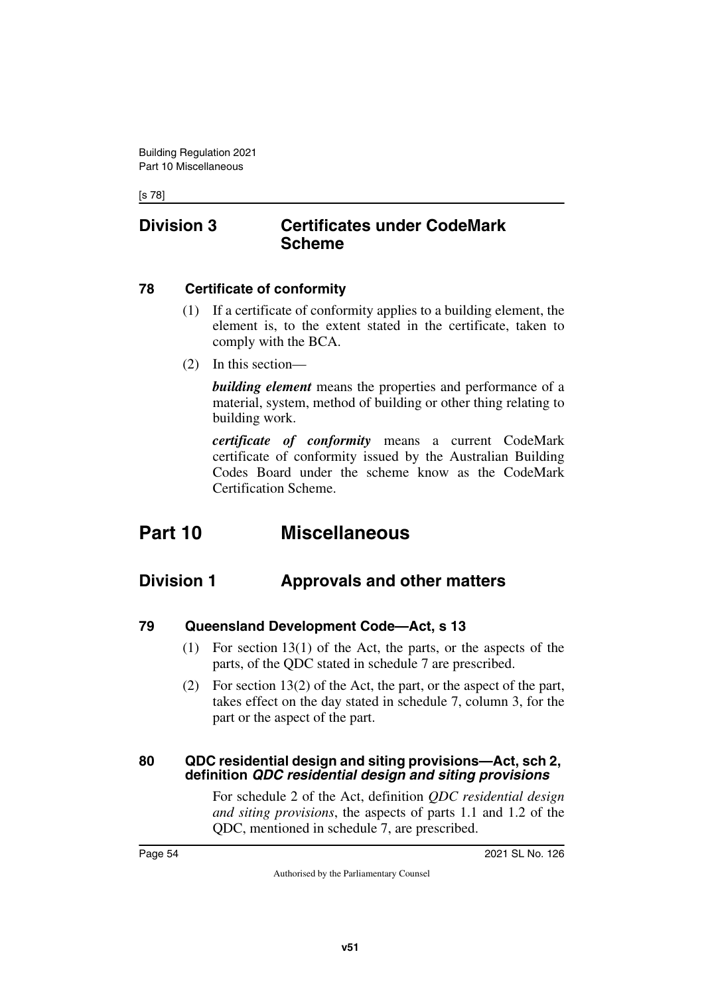[s 78]

### **Division 3 Certificates under CodeMark Scheme**

#### **78 Certificate of conformity**

- (1) If a certificate of conformity applies to a building element, the element is, to the extent stated in the certificate, taken to comply with the BCA.
- (2) In this section—

*building element* means the properties and performance of a material, system, method of building or other thing relating to building work.

*certificate of conformity* means a current CodeMark certificate of conformity issued by the Australian Building Codes Board under the scheme know as the CodeMark Certification Scheme.

# **Part 10 Miscellaneous**

### **Division 1 Approvals and other matters**

- **79 Queensland Development Code—Act, s 13**
	- (1) For section 13(1) of the Act, the parts, or the aspects of the parts, of the QDC stated in schedule 7 are prescribed.
	- (2) For section 13(2) of the Act, the part, or the aspect of the part, takes effect on the day stated in schedule 7, column 3, for the part or the aspect of the part.

#### **80 QDC residential design and siting provisions—Act, sch 2, definition** *QDC residential design and siting provisions*

For schedule 2 of the Act, definition *QDC residential design and siting provisions*, the aspects of parts 1.1 and 1.2 of the QDC, mentioned in schedule 7, are prescribed.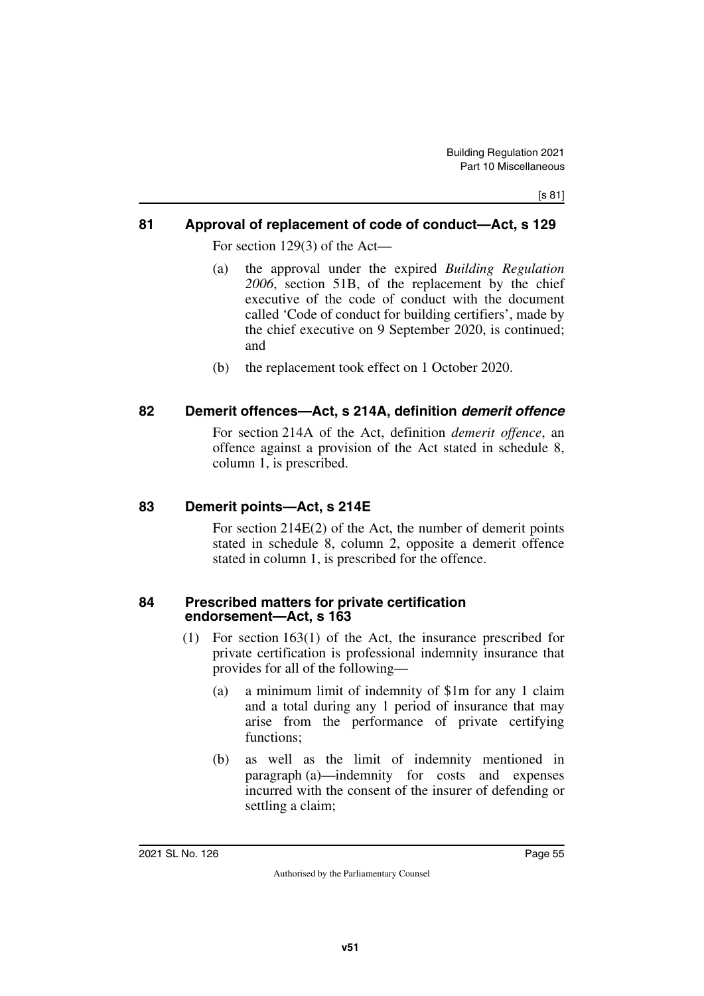#### **81 Approval of replacement of code of conduct—Act, s 129**

For section 129(3) of the Act—

- (a) the approval under the expired *Building Regulation 2006*, section 51B, of the replacement by the chief executive of the code of conduct with the document called 'Code of conduct for building certifiers', made by the chief executive on 9 September 2020, is continued; and
- (b) the replacement took effect on 1 October 2020.

#### **82 Demerit offences—Act, s 214A, definition** *demerit offence*

For section 214A of the Act, definition *demerit offence*, an offence against a provision of the Act stated in schedule 8, column 1, is prescribed.

#### **83 Demerit points—Act, s 214E**

For section 214E(2) of the Act, the number of demerit points stated in schedule 8, column 2, opposite a demerit offence stated in column 1, is prescribed for the offence.

#### **84 Prescribed matters for private certification endorsement—Act, s 163**

- (1) For section 163(1) of the Act, the insurance prescribed for private certification is professional indemnity insurance that provides for all of the following—
	- (a) a minimum limit of indemnity of \$1m for any 1 claim and a total during any 1 period of insurance that may arise from the performance of private certifying functions:
	- (b) as well as the limit of indemnity mentioned in paragraph (a)—indemnity for costs and expenses incurred with the consent of the insurer of defending or settling a claim;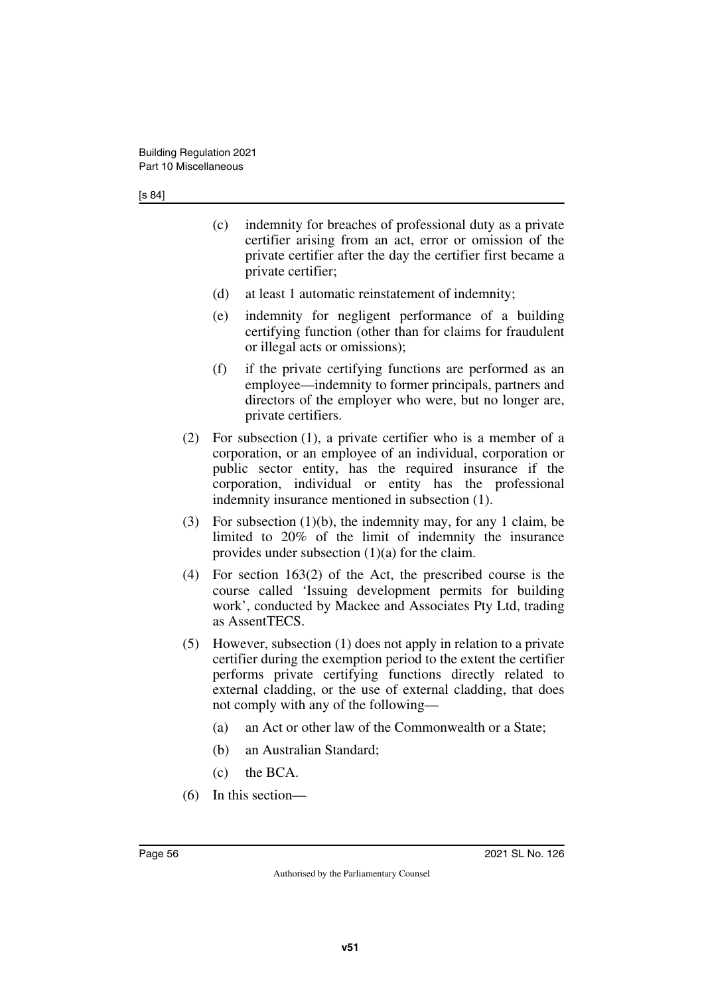- (c) indemnity for breaches of professional duty as a private certifier arising from an act, error or omission of the private certifier after the day the certifier first became a private certifier;
- (d) at least 1 automatic reinstatement of indemnity;
- (e) indemnity for negligent performance of a building certifying function (other than for claims for fraudulent or illegal acts or omissions);
- (f) if the private certifying functions are performed as an employee—indemnity to former principals, partners and directors of the employer who were, but no longer are, private certifiers.
- (2) For subsection (1), a private certifier who is a member of a corporation, or an employee of an individual, corporation or public sector entity, has the required insurance if the corporation, individual or entity has the professional indemnity insurance mentioned in subsection (1).
- (3) For subsection (1)(b), the indemnity may, for any 1 claim, be limited to 20% of the limit of indemnity the insurance provides under subsection (1)(a) for the claim.
- (4) For section 163(2) of the Act, the prescribed course is the course called 'Issuing development permits for building work', conducted by Mackee and Associates Pty Ltd, trading as AssentTECS.
- (5) However, subsection (1) does not apply in relation to a private certifier during the exemption period to the extent the certifier performs private certifying functions directly related to external cladding, or the use of external cladding, that does not comply with any of the following—
	- (a) an Act or other law of the Commonwealth or a State;
	- (b) an Australian Standard;
	- (c) the BCA.
- (6) In this section—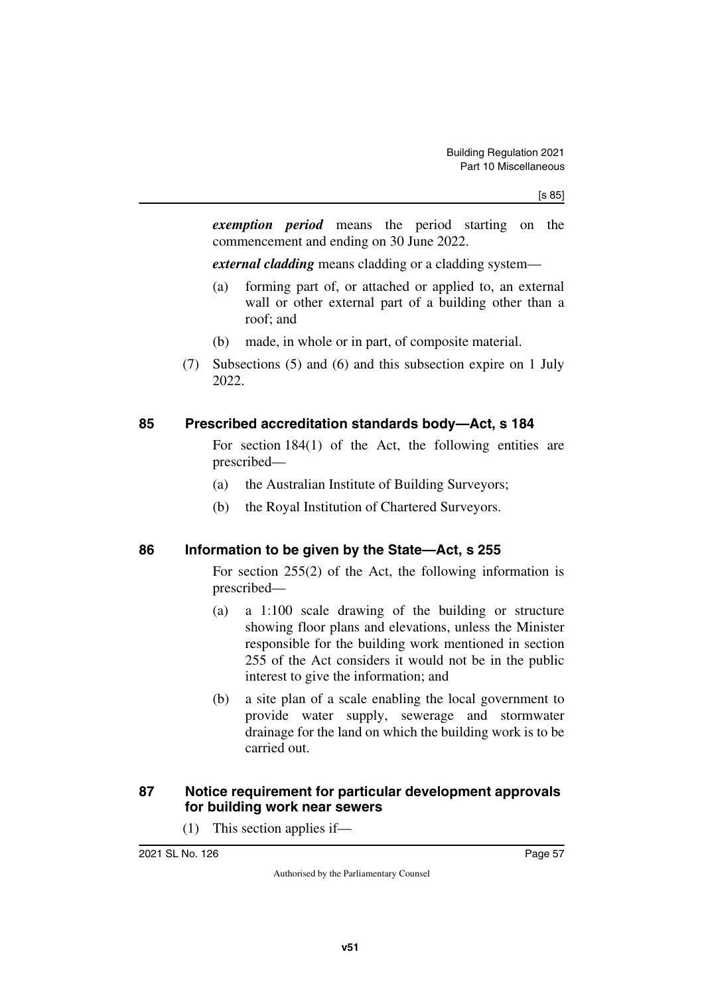*exemption period* means the period starting on the commencement and ending on 30 June 2022.

*external cladding* means cladding or a cladding system—

- (a) forming part of, or attached or applied to, an external wall or other external part of a building other than a roof; and
- (b) made, in whole or in part, of composite material.
- (7) Subsections (5) and (6) and this subsection expire on 1 July 2022.

#### **85 Prescribed accreditation standards body—Act, s 184**

For section 184(1) of the Act, the following entities are prescribed—

- (a) the Australian Institute of Building Surveyors;
- (b) the Royal Institution of Chartered Surveyors.

#### **86 Information to be given by the State—Act, s 255**

For section 255(2) of the Act, the following information is prescribed—

- (a) a 1:100 scale drawing of the building or structure showing floor plans and elevations, unless the Minister responsible for the building work mentioned in section 255 of the Act considers it would not be in the public interest to give the information; and
- (b) a site plan of a scale enabling the local government to provide water supply, sewerage and stormwater drainage for the land on which the building work is to be carried out.

#### **87 Notice requirement for particular development approvals for building work near sewers**

(1) This section applies if—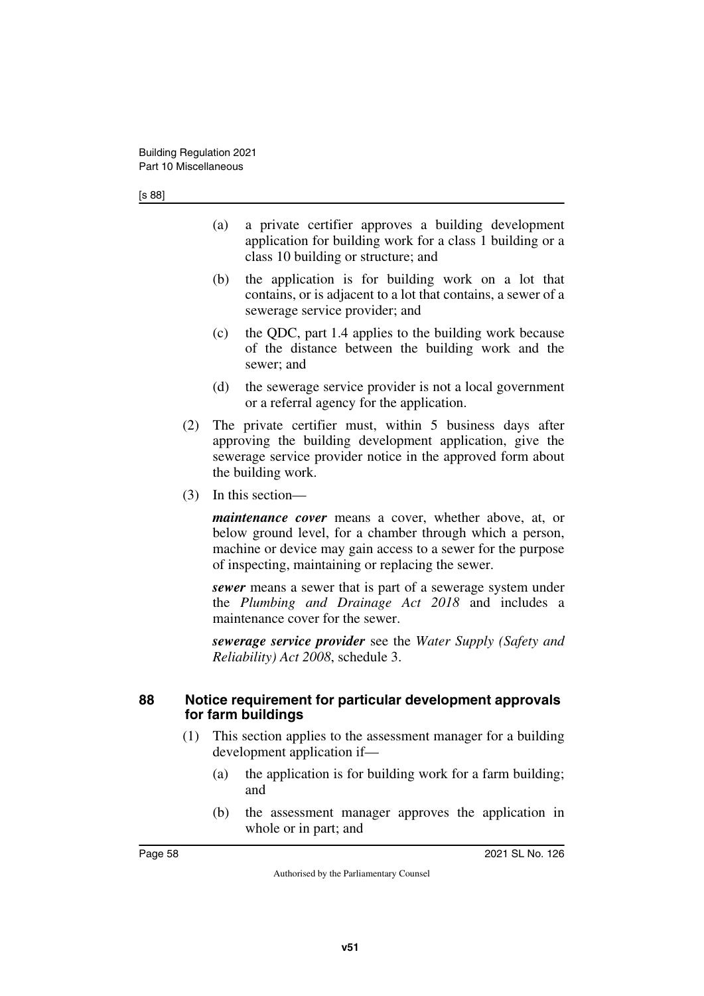- (a) a private certifier approves a building development application for building work for a class 1 building or a class 10 building or structure; and
- (b) the application is for building work on a lot that contains, or is adjacent to a lot that contains, a sewer of a sewerage service provider; and
- (c) the QDC, part 1.4 applies to the building work because of the distance between the building work and the sewer; and
- (d) the sewerage service provider is not a local government or a referral agency for the application.
- (2) The private certifier must, within 5 business days after approving the building development application, give the sewerage service provider notice in the approved form about the building work.
- (3) In this section—

*maintenance cover* means a cover, whether above, at, or below ground level, for a chamber through which a person, machine or device may gain access to a sewer for the purpose of inspecting, maintaining or replacing the sewer.

*sewer* means a sewer that is part of a sewerage system under the *Plumbing and Drainage Act 2018* and includes a maintenance cover for the sewer.

*sewerage service provider* see the *Water Supply (Safety and Reliability) Act 2008*, schedule 3.

#### **88 Notice requirement for particular development approvals for farm buildings**

- (1) This section applies to the assessment manager for a building development application if—
	- (a) the application is for building work for a farm building; and
	- (b) the assessment manager approves the application in whole or in part; and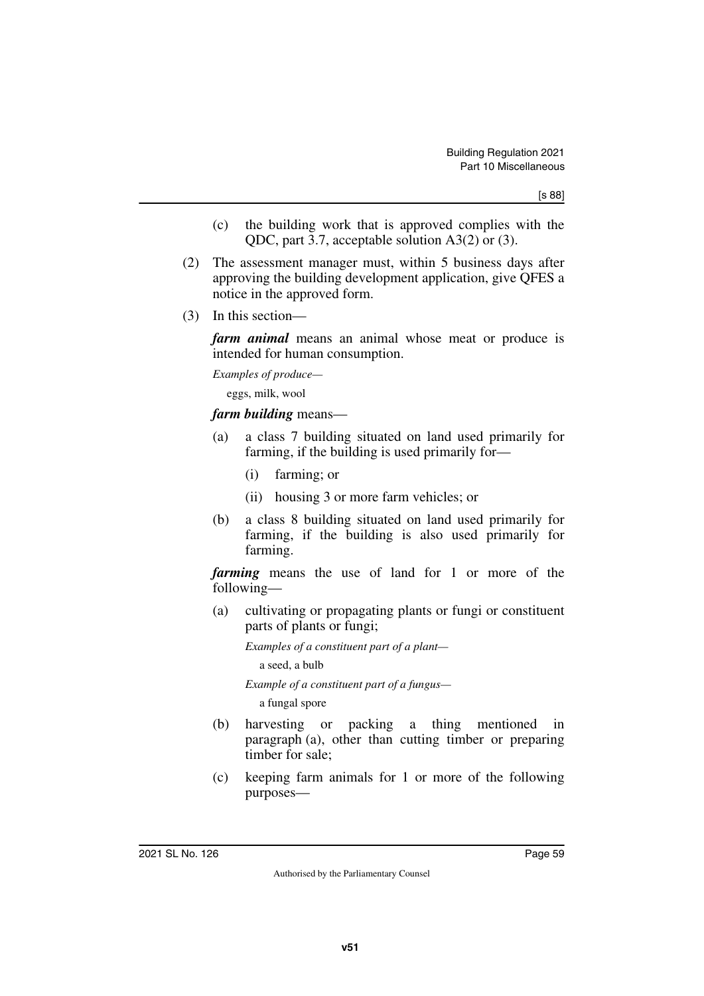- (c) the building work that is approved complies with the QDC, part 3.7, acceptable solution A3(2) or (3).
- (2) The assessment manager must, within 5 business days after approving the building development application, give QFES a notice in the approved form.
- (3) In this section—

*farm animal* means an animal whose meat or produce is intended for human consumption.

*Examples of produce—*

eggs, milk, wool

#### *farm building* means—

- (a) a class 7 building situated on land used primarily for farming, if the building is used primarily for—
	- (i) farming; or
	- (ii) housing 3 or more farm vehicles; or
- (b) a class 8 building situated on land used primarily for farming, if the building is also used primarily for farming.

*farming* means the use of land for 1 or more of the following—

(a) cultivating or propagating plants or fungi or constituent parts of plants or fungi;

*Examples of a constituent part of a plant—*

a seed, a bulb

*Example of a constituent part of a fungus—*

a fungal spore

- (b) harvesting or packing a thing mentioned in paragraph (a), other than cutting timber or preparing timber for sale;
- (c) keeping farm animals for 1 or more of the following purposes—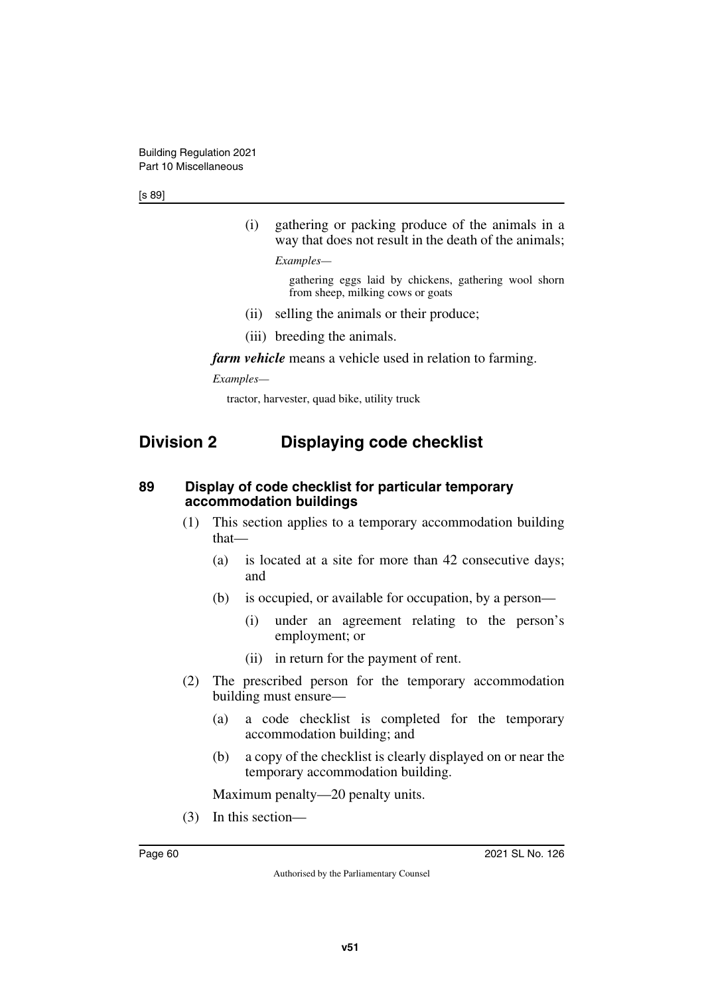[s 89]

(i) gathering or packing produce of the animals in a way that does not result in the death of the animals;

*Examples—*

gathering eggs laid by chickens, gathering wool shorn from sheep, milking cows or goats

- (ii) selling the animals or their produce;
- (iii) breeding the animals.

*farm vehicle* means a vehicle used in relation to farming.

*Examples—*

tractor, harvester, quad bike, utility truck

### **Division 2 Displaying code checklist**

#### **89 Display of code checklist for particular temporary accommodation buildings**

- (1) This section applies to a temporary accommodation building that—
	- (a) is located at a site for more than 42 consecutive days; and
	- (b) is occupied, or available for occupation, by a person—
		- (i) under an agreement relating to the person's employment; or
		- (ii) in return for the payment of rent.
- (2) The prescribed person for the temporary accommodation building must ensure—
	- (a) a code checklist is completed for the temporary accommodation building; and
	- (b) a copy of the checklist is clearly displayed on or near the temporary accommodation building.

Maximum penalty—20 penalty units.

(3) In this section—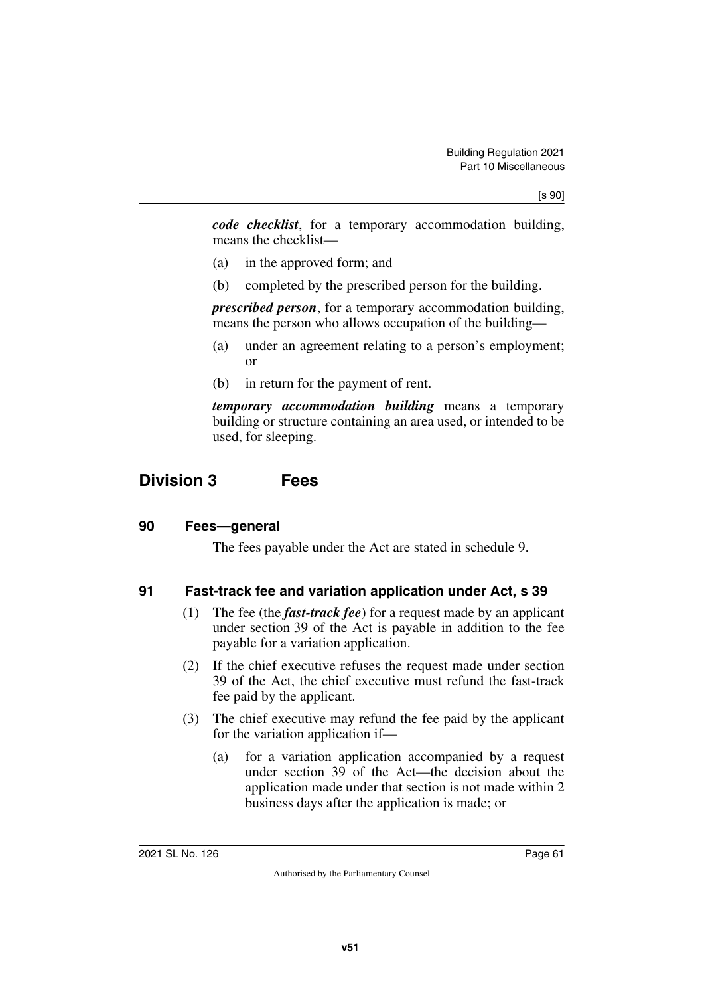*code checklist*, for a temporary accommodation building, means the checklist—

- (a) in the approved form; and
- (b) completed by the prescribed person for the building.

*prescribed person*, for a temporary accommodation building, means the person who allows occupation of the building—

- (a) under an agreement relating to a person's employment; or
- (b) in return for the payment of rent.

*temporary accommodation building* means a temporary building or structure containing an area used, or intended to be used, for sleeping.

### **Division 3 Fees**

#### **90 Fees—general**

The fees payable under the Act are stated in schedule 9.

#### **91 Fast-track fee and variation application under Act, s 39**

- (1) The fee (the *fast-track fee*) for a request made by an applicant under section 39 of the Act is payable in addition to the fee payable for a variation application.
- (2) If the chief executive refuses the request made under section 39 of the Act, the chief executive must refund the fast-track fee paid by the applicant.
- (3) The chief executive may refund the fee paid by the applicant for the variation application if—
	- (a) for a variation application accompanied by a request under section 39 of the Act—the decision about the application made under that section is not made within 2 business days after the application is made; or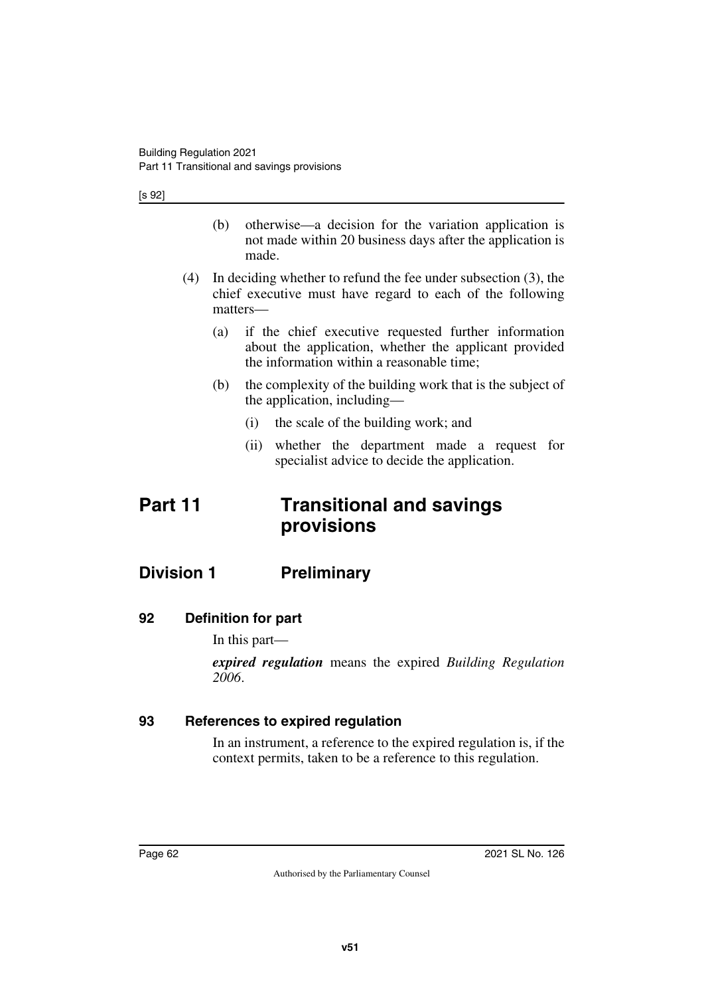[s 92]

- (b) otherwise—a decision for the variation application is not made within 20 business days after the application is made.
- (4) In deciding whether to refund the fee under subsection (3), the chief executive must have regard to each of the following matters—
	- (a) if the chief executive requested further information about the application, whether the applicant provided the information within a reasonable time;
	- (b) the complexity of the building work that is the subject of the application, including—
		- (i) the scale of the building work; and
		- (ii) whether the department made a request for specialist advice to decide the application.

# **Part 11 Transitional and savings provisions**

### **Division 1 Preliminary**

#### **92 Definition for part**

In this part—

*expired regulation* means the expired *Building Regulation 2006*.

#### **93 References to expired regulation**

In an instrument, a reference to the expired regulation is, if the context permits, taken to be a reference to this regulation.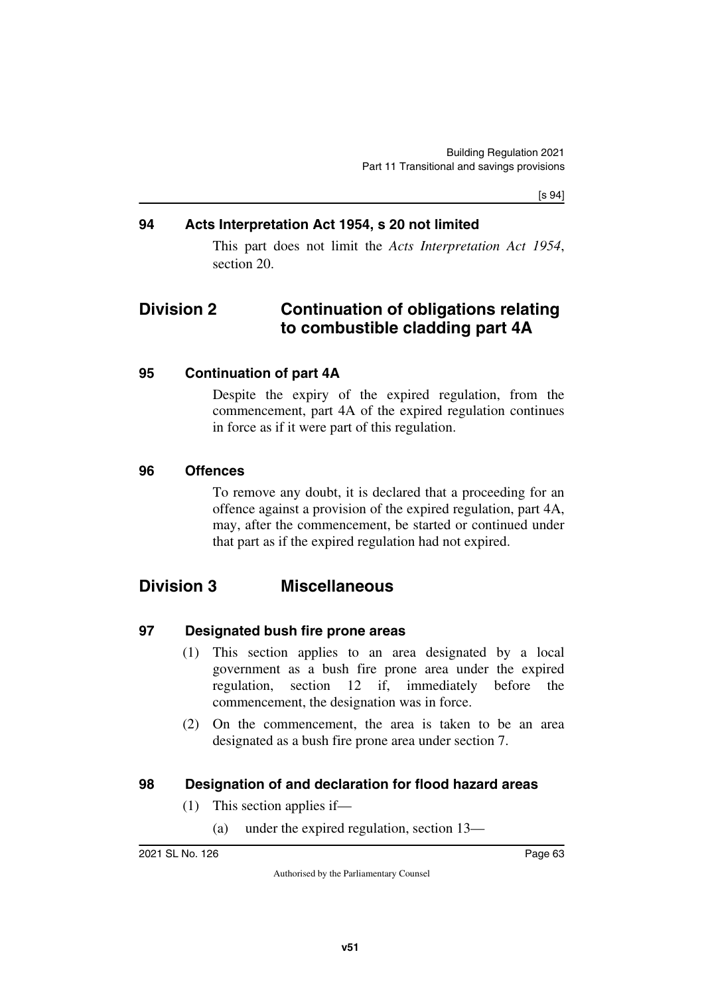[s 94]

#### **94 Acts Interpretation Act 1954, s 20 not limited**

This part does not limit the *Acts Interpretation Act 1954*, section 20.

### **Division 2 Continuation of obligations relating to combustible cladding part 4A**

#### **95 Continuation of part 4A**

Despite the expiry of the expired regulation, from the commencement, part 4A of the expired regulation continues in force as if it were part of this regulation.

#### **96 Offences**

To remove any doubt, it is declared that a proceeding for an offence against a provision of the expired regulation, part 4A, may, after the commencement, be started or continued under that part as if the expired regulation had not expired.

### **Division 3 Miscellaneous**

#### **97 Designated bush fire prone areas**

- (1) This section applies to an area designated by a local government as a bush fire prone area under the expired regulation, section 12 if, immediately before the commencement, the designation was in force.
- (2) On the commencement, the area is taken to be an area designated as a bush fire prone area under section 7.

#### **98 Designation of and declaration for flood hazard areas**

- (1) This section applies if—
	- (a) under the expired regulation, section 13—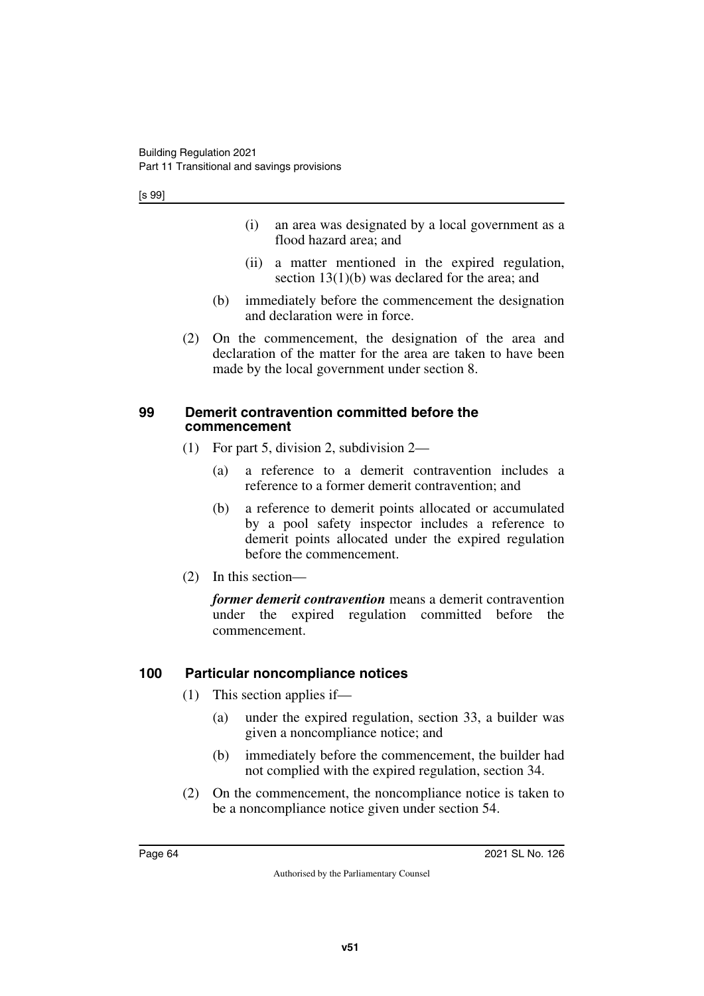- (i) an area was designated by a local government as a flood hazard area; and
- (ii) a matter mentioned in the expired regulation, section 13(1)(b) was declared for the area; and
- (b) immediately before the commencement the designation and declaration were in force.
- (2) On the commencement, the designation of the area and declaration of the matter for the area are taken to have been made by the local government under section 8.

#### **99 Demerit contravention committed before the commencement**

- (1) For part 5, division 2, subdivision 2—
	- (a) a reference to a demerit contravention includes a reference to a former demerit contravention; and
	- (b) a reference to demerit points allocated or accumulated by a pool safety inspector includes a reference to demerit points allocated under the expired regulation before the commencement.
- (2) In this section—

*former demerit contravention* means a demerit contravention under the expired regulation committed before the commencement.

### **100 Particular noncompliance notices**

- (1) This section applies if—
	- (a) under the expired regulation, section 33, a builder was given a noncompliance notice; and
	- (b) immediately before the commencement, the builder had not complied with the expired regulation, section 34.
- (2) On the commencement, the noncompliance notice is taken to be a noncompliance notice given under section 54.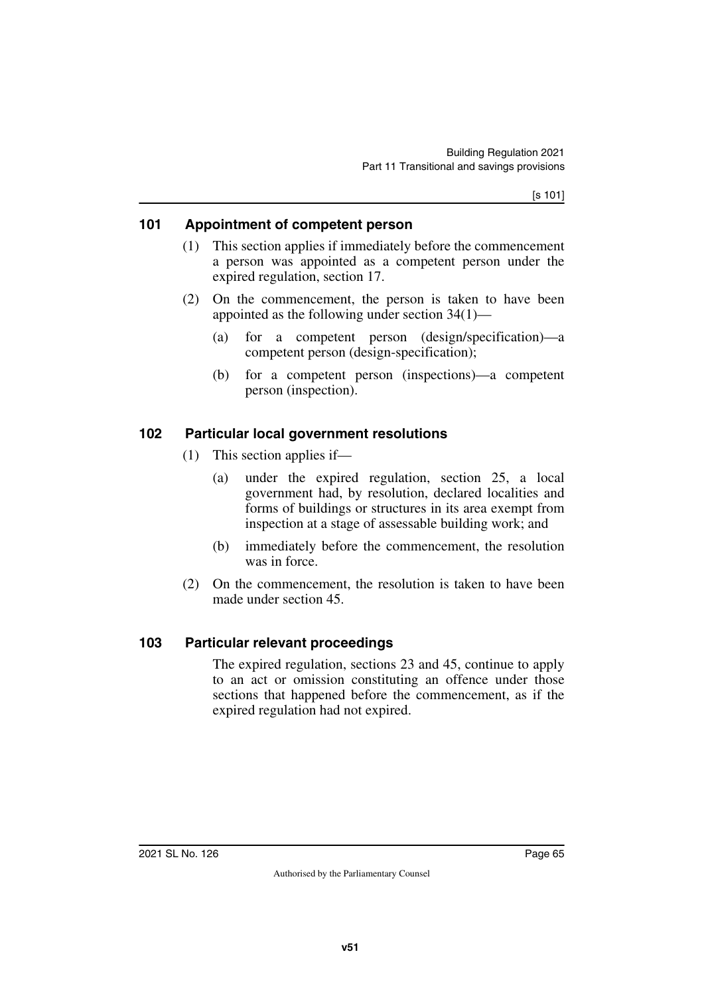#### **101 Appointment of competent person**

- (1) This section applies if immediately before the commencement a person was appointed as a competent person under the expired regulation, section 17.
- (2) On the commencement, the person is taken to have been appointed as the following under section 34(1)—
	- (a) for a competent person (design/specification)—a competent person (design-specification);
	- (b) for a competent person (inspections)—a competent person (inspection).

#### **102 Particular local government resolutions**

- (1) This section applies if—
	- (a) under the expired regulation, section 25, a local government had, by resolution, declared localities and forms of buildings or structures in its area exempt from inspection at a stage of assessable building work; and
	- (b) immediately before the commencement, the resolution was in force.
- (2) On the commencement, the resolution is taken to have been made under section 45.

#### **103 Particular relevant proceedings**

The expired regulation, sections 23 and 45, continue to apply to an act or omission constituting an offence under those sections that happened before the commencement, as if the expired regulation had not expired.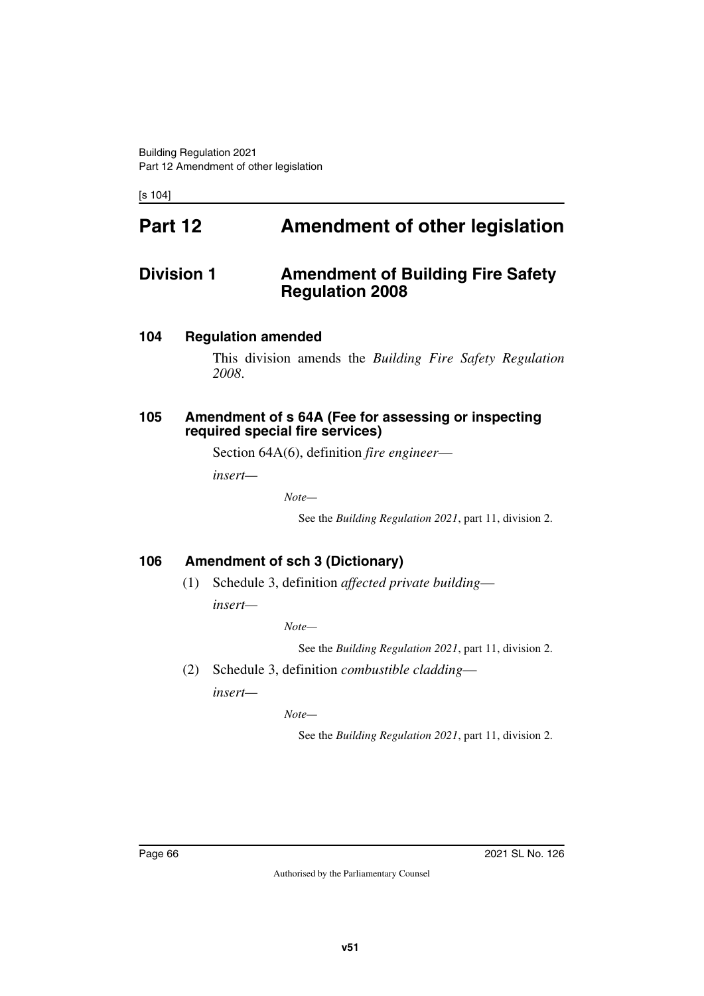[s 104]

# **Part 12 Amendment of other legislation**

### **Division 1** Amendment of Building Fire Safety **Regulation 2008**

#### **104 Regulation amended**

This division amends the *Building Fire Safety Regulation 2008*.

#### **105 Amendment of s 64A (Fee for assessing or inspecting required special fire services)**

Section 64A(6), definition *fire engineer*—

*insert—*

*Note—*

See the *Building Regulation 2021*, part 11, division 2.

#### **106 Amendment of sch 3 (Dictionary)**

(1) Schedule 3, definition *affected private building insert—*

*Note—*

See the *Building Regulation 2021*, part 11, division 2.

(2) Schedule 3, definition *combustible cladding*—

*insert—*

*Note—*

See the *Building Regulation 2021*, part 11, division 2.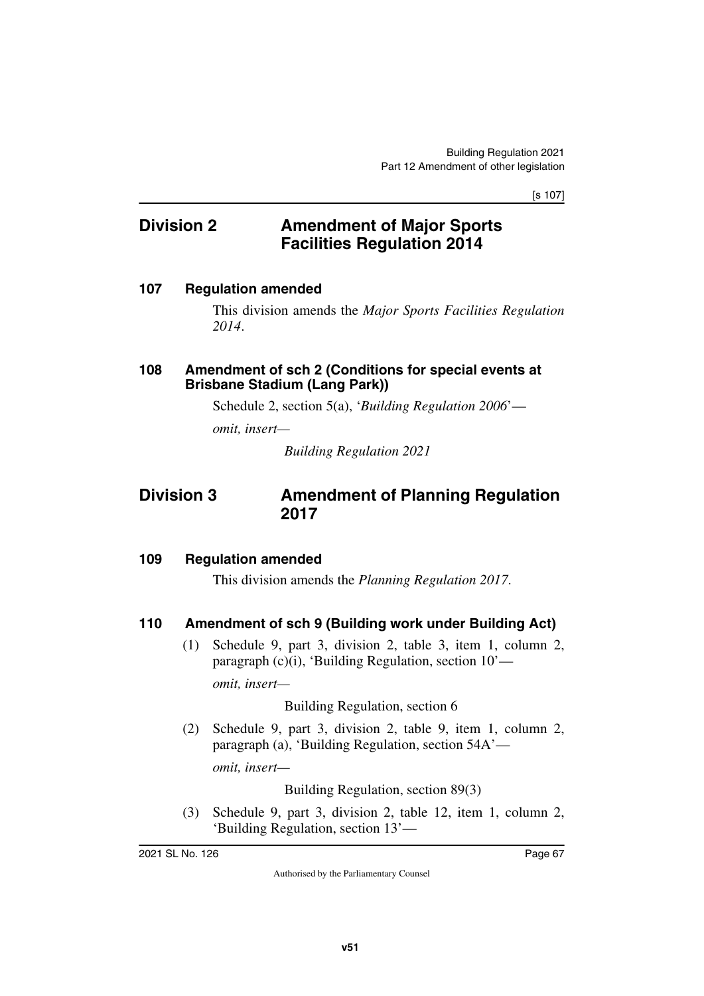[s 107]

### **Division 2 Amendment of Major Sports Facilities Regulation 2014**

#### **107 Regulation amended**

This division amends the *Major Sports Facilities Regulation 2014*.

#### **108 Amendment of sch 2 (Conditions for special events at Brisbane Stadium (Lang Park))**

Schedule 2, section 5(a), '*Building Regulation 2006*'—

*omit, insert—*

*Building Regulation 2021*

### **Division 3 Amendment of Planning Regulation 2017**

#### **109 Regulation amended**

This division amends the *Planning Regulation 2017*.

#### **110 Amendment of sch 9 (Building work under Building Act)**

(1) Schedule 9, part 3, division 2, table 3, item 1, column 2, paragraph (c)(i), 'Building Regulation, section 10' *omit, insert—*

Building Regulation, section 6

(2) Schedule 9, part 3, division 2, table 9, item 1, column 2, paragraph (a), 'Building Regulation, section 54A' *omit, insert—*

Building Regulation, section 89(3)

(3) Schedule 9, part 3, division 2, table 12, item 1, column 2, 'Building Regulation, section 13'—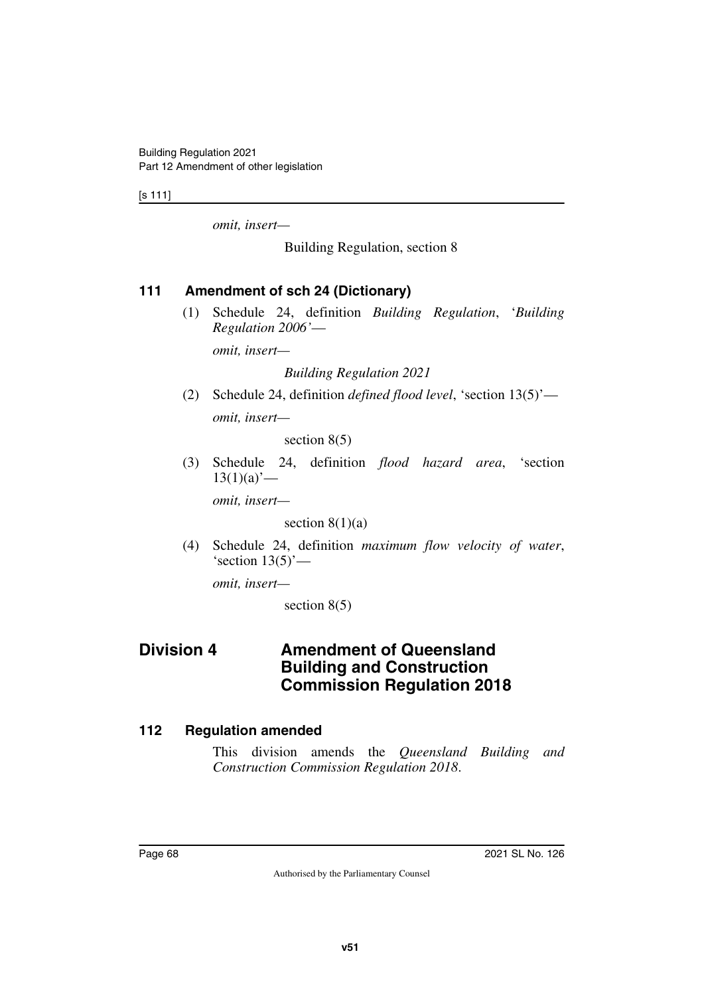[s 111]

*omit, insert—*

Building Regulation, section 8

#### **111 Amendment of sch 24 (Dictionary)**

(1) Schedule 24, definition *Building Regulation*, '*Building Regulation 2006'*—

*omit, insert—*

*Building Regulation 2021*

(2) Schedule 24, definition *defined flood level*, 'section 13(5)' *omit, insert—*

section 8(5)

(3) Schedule 24, definition *flood hazard area*, 'section  $13(1)(a)$ <sup>'</sup>—

*omit, insert—*

section  $8(1)(a)$ 

(4) Schedule 24, definition *maximum flow velocity of water*, 'section  $13(5)'$ —

*omit, insert—*

section 8(5)

### **Division 4 Amendment of Queensland Building and Construction Commission Regulation 2018**

#### **112 Regulation amended**

This division amends the *Queensland Building and Construction Commission Regulation 2018*.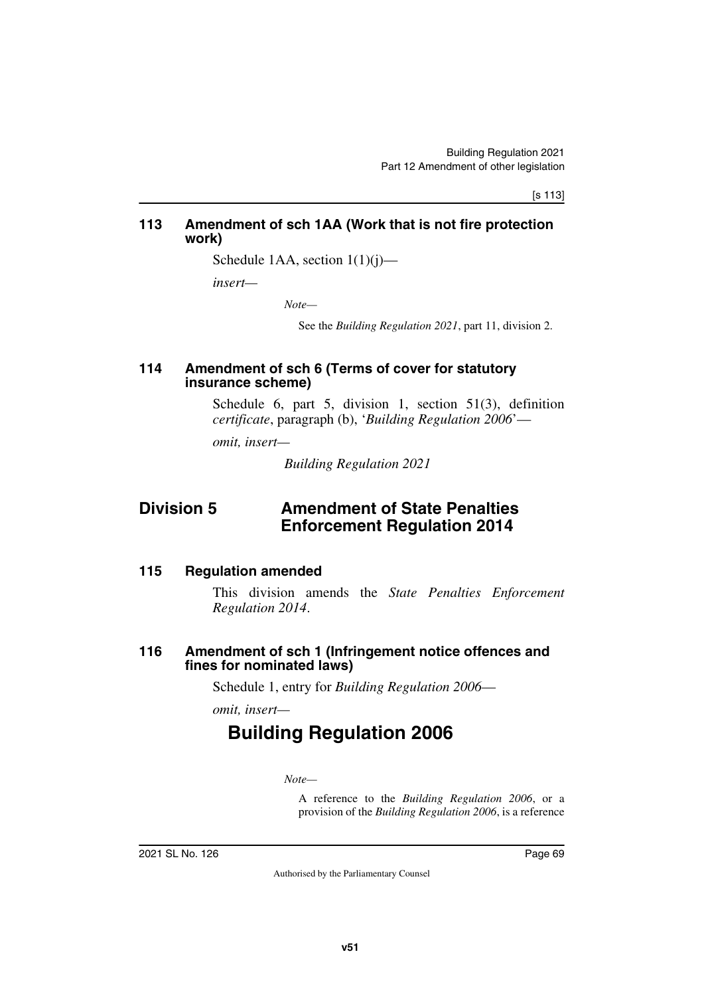[s 113]

#### **113 Amendment of sch 1AA (Work that is not fire protection work)**

Schedule 1AA, section  $1(1)(i)$ —

*insert—*

*Note—*

See the *Building Regulation 2021*, part 11, division 2.

#### **114 Amendment of sch 6 (Terms of cover for statutory insurance scheme)**

Schedule 6, part 5, division 1, section 51(3), definition *certificate*, paragraph (b), '*Building Regulation 2006*'—

*omit, insert—*

*Building Regulation 2021*

### **Division 5 Amendment of State Penalties Enforcement Regulation 2014**

#### **115 Regulation amended**

This division amends the *State Penalties Enforcement Regulation 2014*.

#### **116 Amendment of sch 1 (Infringement notice offences and fines for nominated laws)**

Schedule 1, entry for *Building Regulation 2006*—

*omit, insert—*

# **Building Regulation 2006**

*Note—*

A reference to the *Building Regulation 2006*, or a provision of the *Building Regulation 2006*, is a reference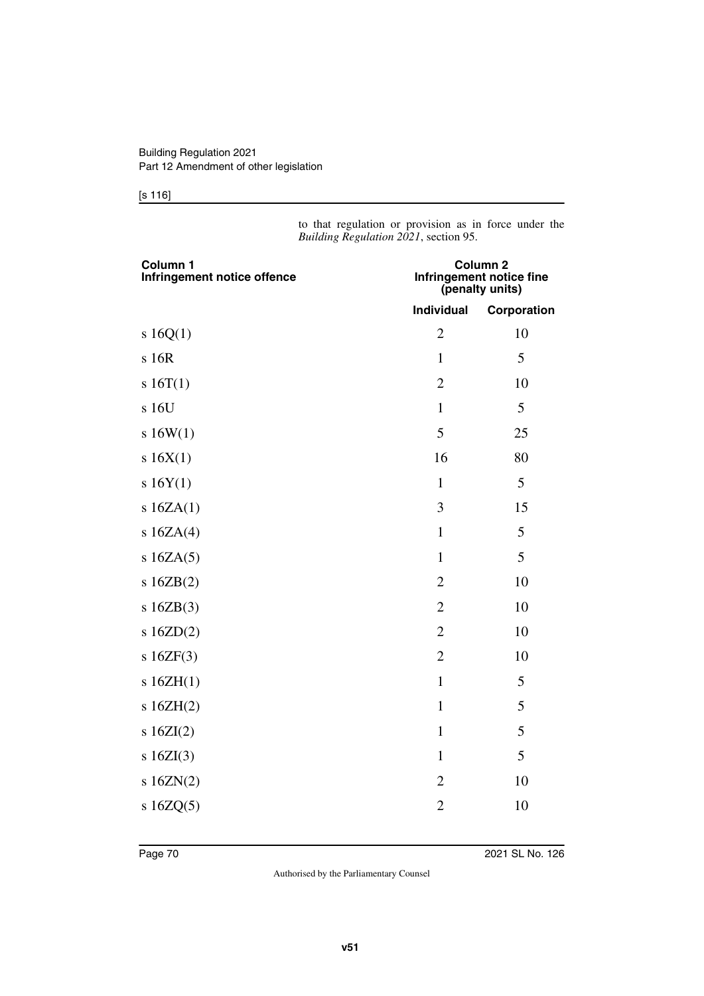#### [s 116]

to that regulation or provision as in force under the *Building Regulation 2021*, section 95.

| Column 1<br>Infringement notice offence | Column <sub>2</sub><br>Infringement notice fine<br>(penalty units) |             |
|-----------------------------------------|--------------------------------------------------------------------|-------------|
|                                         | <b>Individual</b>                                                  | Corporation |
| s 16Q(1)                                | $\overline{2}$                                                     | 10          |
| s 16R                                   | $\mathbf{1}$                                                       | 5           |
| s 16T(1)                                | $\overline{2}$                                                     | 10          |
| s 16U                                   | $\mathbf{1}$                                                       | 5           |
| s16W(1)                                 | 5                                                                  | 25          |
| s 16X(1)                                | 16                                                                 | 80          |
| s 16Y(1)                                | $\mathbf{1}$                                                       | 5           |
| s $16ZA(1)$                             | 3                                                                  | 15          |
| s $16ZA(4)$                             | $\mathbf{1}$                                                       | 5           |
| s $16ZA(5)$                             | $\mathbf{1}$                                                       | 5           |
| s16ZB(2)                                | $\overline{2}$                                                     | 10          |
| s16ZB(3)                                | $\overline{2}$                                                     | 10          |
| s $16ZD(2)$                             | $\overline{2}$                                                     | 10          |
| s16ZF(3)                                | $\overline{2}$                                                     | 10          |
| s16ZH(1)                                | $\mathbf{1}$                                                       | 5           |
| s16ZH(2)                                | $\mathbf{1}$                                                       | 5           |
| s $16ZI(2)$                             | $\mathbf{1}$                                                       | 5           |
| s $16ZI(3)$                             | $\mathbf{1}$                                                       | 5           |
| s $16ZN(2)$                             | $\overline{2}$                                                     | 10          |
| s $16ZQ(5)$                             | $\overline{c}$                                                     | 10          |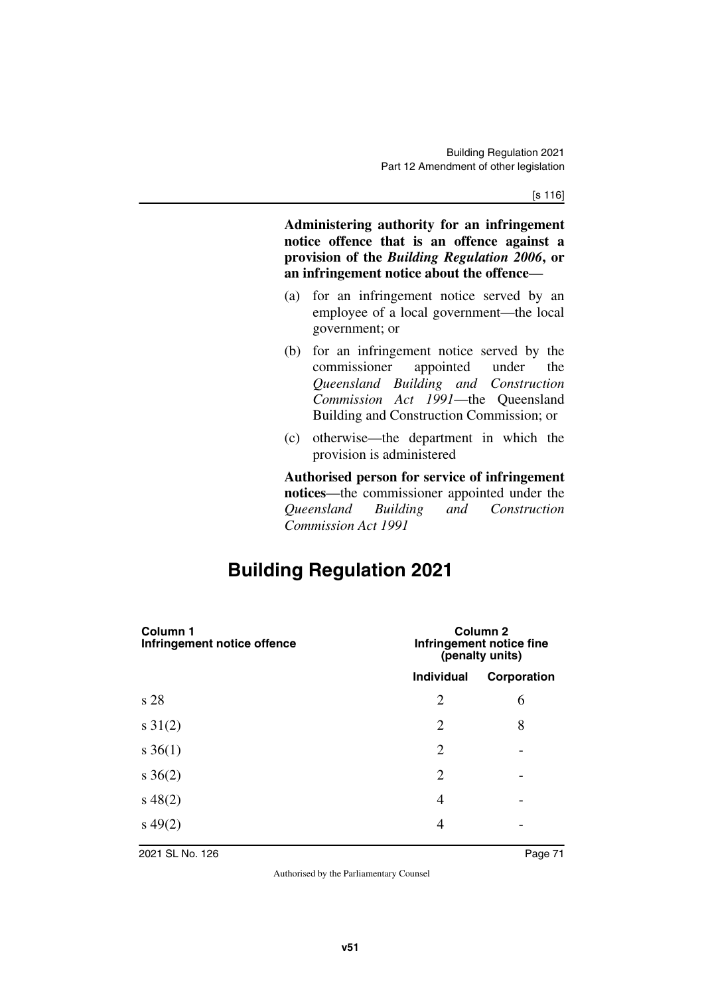**Administering authority for an infringement notice offence that is an offence against a provision of the** *Building Regulation 2006***, or an infringement notice about the offence**—

- (a) for an infringement notice served by an employee of a local government—the local government; or
- (b) for an infringement notice served by the commissioner appointed under the *Queensland Building and Construction Commission Act 1991*—the Queensland Building and Construction Commission; or
- (c) otherwise—the department in which the provision is administered

**Authorised person for service of infringement notices**—the commissioner appointed under the *Queensland Building and Construction Commission Act 1991*

# **Building Regulation 2021**

| Column 1<br>Infringement notice offence | Column <sub>2</sub><br>Infringement notice fine<br>(penalty units) |             |
|-----------------------------------------|--------------------------------------------------------------------|-------------|
|                                         | <b>Individual</b>                                                  | Corporation |
| s 28                                    | $\overline{2}$                                                     | 6           |
| $s \, 31(2)$                            | $\overline{2}$                                                     | 8           |
| $s \, 36(1)$                            | $\overline{2}$                                                     |             |
| $s \; 36(2)$                            | $\overline{2}$                                                     |             |
| $s\,48(2)$                              | 4                                                                  |             |
| $s\,49(2)$                              | 4                                                                  |             |
|                                         |                                                                    |             |

2021 SL No. 126 Page 71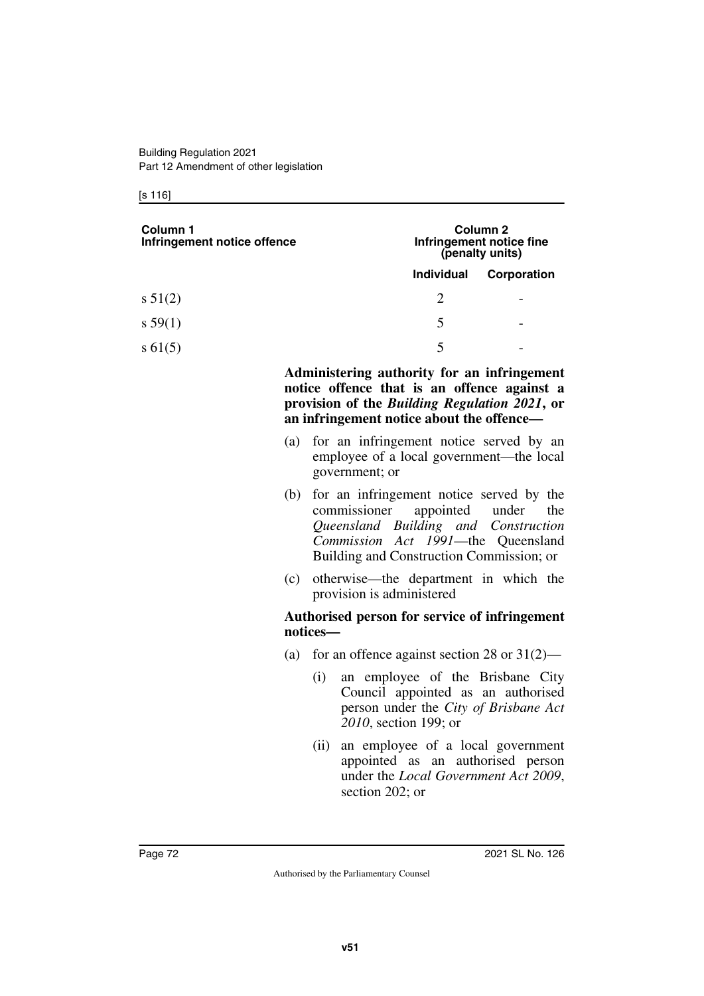#### [s 116]

| Column 1<br>Infringement notice offence | Column 2<br>Infringement notice fine<br>(penalty units) |             |
|-----------------------------------------|---------------------------------------------------------|-------------|
|                                         | <b>Individual</b>                                       | Corporation |
| $s\,51(2)$                              | $\mathcal{D}_{\mathcal{L}}$                             | -           |
| s 59(1)                                 | 5                                                       | -           |
| $s\,61(5)$                              | 5                                                       |             |

**Administering authority for an infringement notice offence that is an offence against a provision of the** *Building Regulation 2021***, or an infringement notice about the offence—**

- (a) for an infringement notice served by an employee of a local government—the local government; or
- (b) for an infringement notice served by the commissioner appointed under the *Queensland Building and Construction Commission Act 1991*—the Queensland Building and Construction Commission; or
- (c) otherwise—the department in which the provision is administered

#### **Authorised person for service of infringement notices—**

- (a) for an offence against section 28 or  $31(2)$ 
	- (i) an employee of the Brisbane City Council appointed as an authorised person under the *City of Brisbane Act 2010*, section 199; or
	- (ii) an employee of a local government appointed as an authorised person under the *Local Government Act 2009*, section 202; or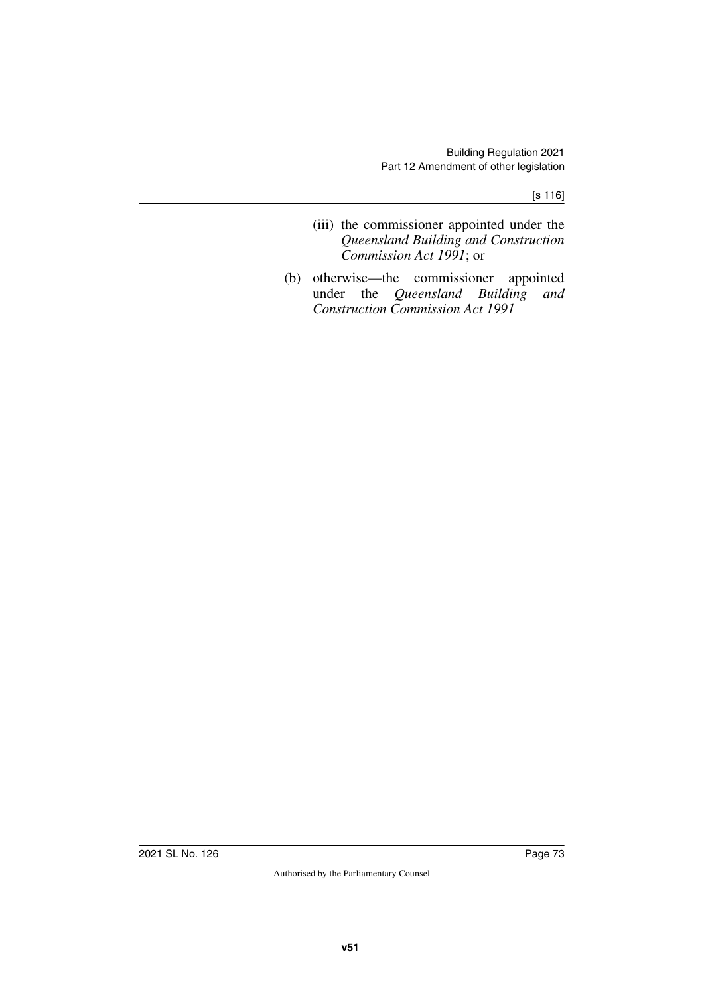[s 116]

- (iii) the commissioner appointed under the *Queensland Building and Construction Commission Act 1991*; or
- (b) otherwise—the commissioner appointed under the *Queensland Building and Construction Commission Act 1991*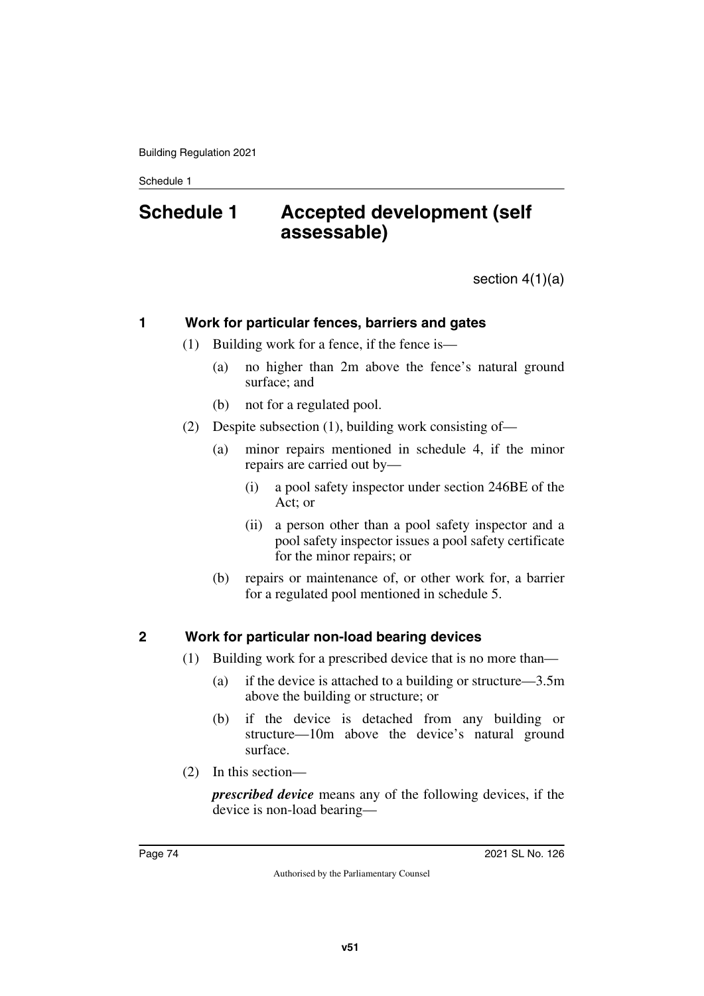# **Schedule 1 Accepted development (self assessable)**

section 4(1)(a)

# **1 Work for particular fences, barriers and gates**

- (1) Building work for a fence, if the fence is—
	- (a) no higher than 2m above the fence's natural ground surface; and
	- (b) not for a regulated pool.
- (2) Despite subsection (1), building work consisting of—
	- (a) minor repairs mentioned in schedule 4, if the minor repairs are carried out by—
		- (i) a pool safety inspector under section 246BE of the Act; or
		- (ii) a person other than a pool safety inspector and a pool safety inspector issues a pool safety certificate for the minor repairs; or
	- (b) repairs or maintenance of, or other work for, a barrier for a regulated pool mentioned in schedule 5.

## **2 Work for particular non-load bearing devices**

- (1) Building work for a prescribed device that is no more than—
	- (a) if the device is attached to a building or structure—3.5m above the building or structure; or
	- (b) if the device is detached from any building or structure—10m above the device's natural ground surface.
- (2) In this section—

*prescribed device* means any of the following devices, if the device is non-load bearing—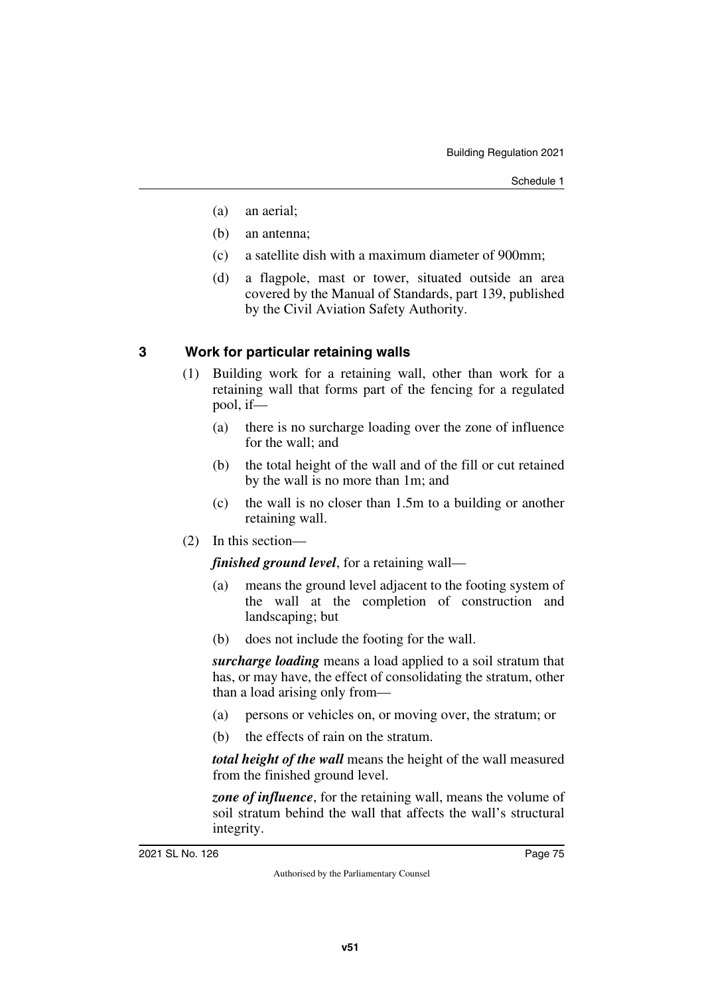- (a) an aerial;
- (b) an antenna;
- (c) a satellite dish with a maximum diameter of 900mm;
- (d) a flagpole, mast or tower, situated outside an area covered by the Manual of Standards, part 139, published by the Civil Aviation Safety Authority.

# **3 Work for particular retaining walls**

- (1) Building work for a retaining wall, other than work for a retaining wall that forms part of the fencing for a regulated pool, if—
	- (a) there is no surcharge loading over the zone of influence for the wall; and
	- (b) the total height of the wall and of the fill or cut retained by the wall is no more than 1m; and
	- (c) the wall is no closer than 1.5m to a building or another retaining wall.
- (2) In this section—

*finished ground level*, for a retaining wall—

- (a) means the ground level adjacent to the footing system of the wall at the completion of construction and landscaping; but
- (b) does not include the footing for the wall.

*surcharge loading* means a load applied to a soil stratum that has, or may have, the effect of consolidating the stratum, other than a load arising only from—

- (a) persons or vehicles on, or moving over, the stratum; or
- (b) the effects of rain on the stratum.

*total height of the wall* means the height of the wall measured from the finished ground level.

*zone of influence*, for the retaining wall, means the volume of soil stratum behind the wall that affects the wall's structural integrity.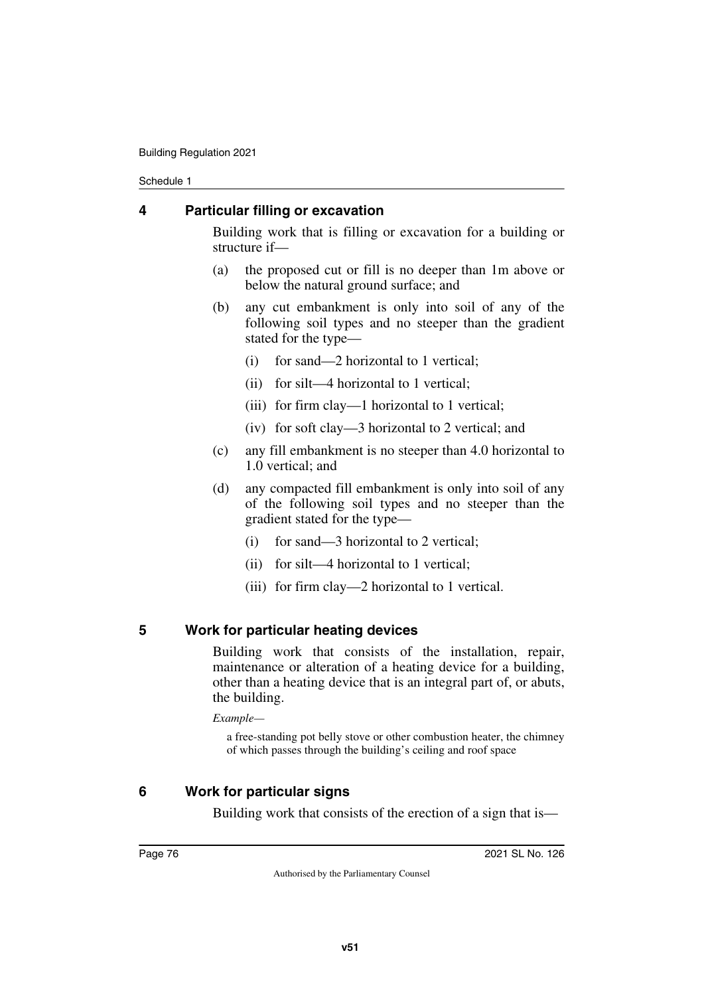# **4 Particular filling or excavation**

Building work that is filling or excavation for a building or structure if—

- (a) the proposed cut or fill is no deeper than 1m above or below the natural ground surface; and
- (b) any cut embankment is only into soil of any of the following soil types and no steeper than the gradient stated for the type—
	- (i) for sand—2 horizontal to 1 vertical;
	- (ii) for silt—4 horizontal to 1 vertical;
	- (iii) for firm clay—1 horizontal to 1 vertical;
	- (iv) for soft clay—3 horizontal to 2 vertical; and
- (c) any fill embankment is no steeper than 4.0 horizontal to 1.0 vertical; and
- (d) any compacted fill embankment is only into soil of any of the following soil types and no steeper than the gradient stated for the type—
	- (i) for sand—3 horizontal to 2 vertical;
	- (ii) for silt—4 horizontal to 1 vertical;
	- (iii) for firm clay—2 horizontal to 1 vertical.

## **5 Work for particular heating devices**

Building work that consists of the installation, repair, maintenance or alteration of a heating device for a building, other than a heating device that is an integral part of, or abuts, the building.

*Example—*

a free-standing pot belly stove or other combustion heater, the chimney of which passes through the building's ceiling and roof space

# **6 Work for particular signs**

Building work that consists of the erection of a sign that is—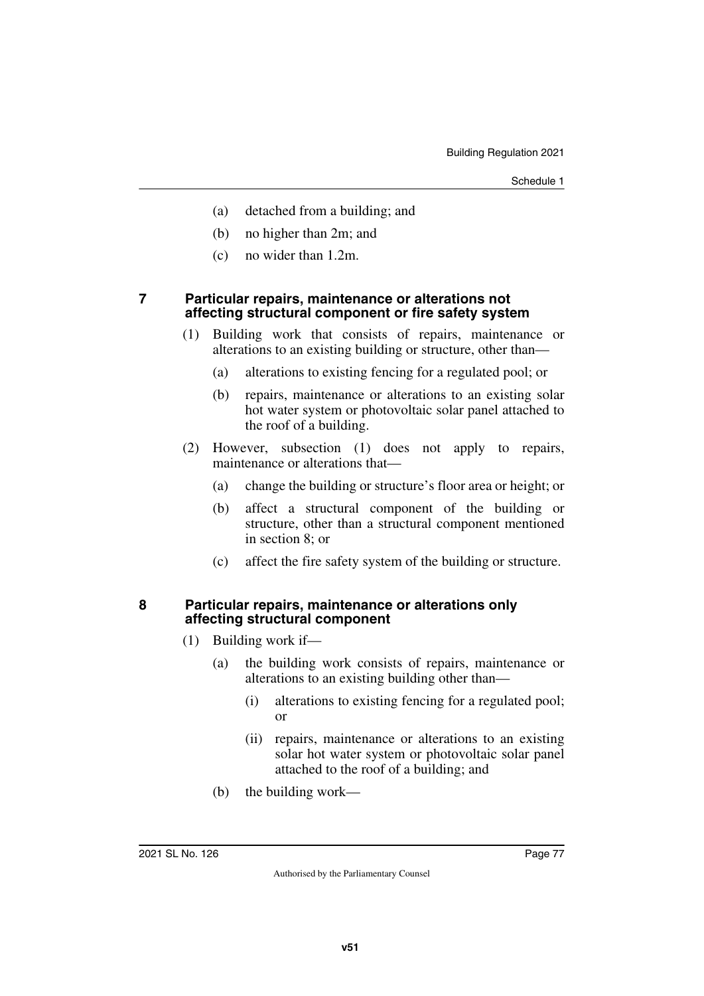- (a) detached from a building; and
- (b) no higher than 2m; and
- (c) no wider than 1.2m.

### **7 Particular repairs, maintenance or alterations not affecting structural component or fire safety system**

- (1) Building work that consists of repairs, maintenance or alterations to an existing building or structure, other than—
	- (a) alterations to existing fencing for a regulated pool; or
	- (b) repairs, maintenance or alterations to an existing solar hot water system or photovoltaic solar panel attached to the roof of a building.
- (2) However, subsection (1) does not apply to repairs, maintenance or alterations that—
	- (a) change the building or structure's floor area or height; or
	- (b) affect a structural component of the building or structure, other than a structural component mentioned in section 8; or
	- (c) affect the fire safety system of the building or structure.

### **8 Particular repairs, maintenance or alterations only affecting structural component**

- (1) Building work if—
	- (a) the building work consists of repairs, maintenance or alterations to an existing building other than—
		- (i) alterations to existing fencing for a regulated pool; or
		- (ii) repairs, maintenance or alterations to an existing solar hot water system or photovoltaic solar panel attached to the roof of a building; and
	- (b) the building work—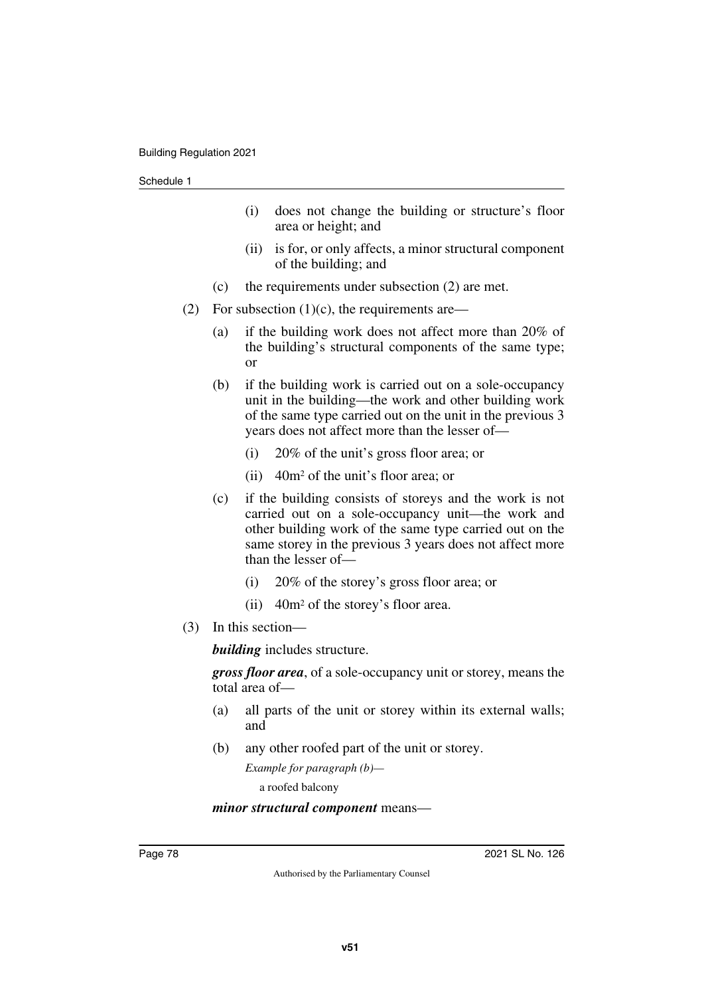- (i) does not change the building or structure's floor area or height; and
- (ii) is for, or only affects, a minor structural component of the building; and
- (c) the requirements under subsection (2) are met.
- (2) For subsection  $(1)(c)$ , the requirements are—
	- (a) if the building work does not affect more than 20% of the building's structural components of the same type; or
	- (b) if the building work is carried out on a sole-occupancy unit in the building—the work and other building work of the same type carried out on the unit in the previous 3 years does not affect more than the lesser of—
		- (i) 20% of the unit's gross floor area; or
		- (ii) 40m2 of the unit's floor area; or
	- (c) if the building consists of storeys and the work is not carried out on a sole-occupancy unit—the work and other building work of the same type carried out on the same storey in the previous 3 years does not affect more than the lesser of—
		- (i) 20% of the storey's gross floor area; or
		- (ii) 40m2 of the storey's floor area.
- (3) In this section—

*building* includes structure.

*gross floor area*, of a sole-occupancy unit or storey, means the total area of—

- (a) all parts of the unit or storey within its external walls; and
- (b) any other roofed part of the unit or storey.

*Example for paragraph (b)* a roofed balcony

### *minor structural component* means—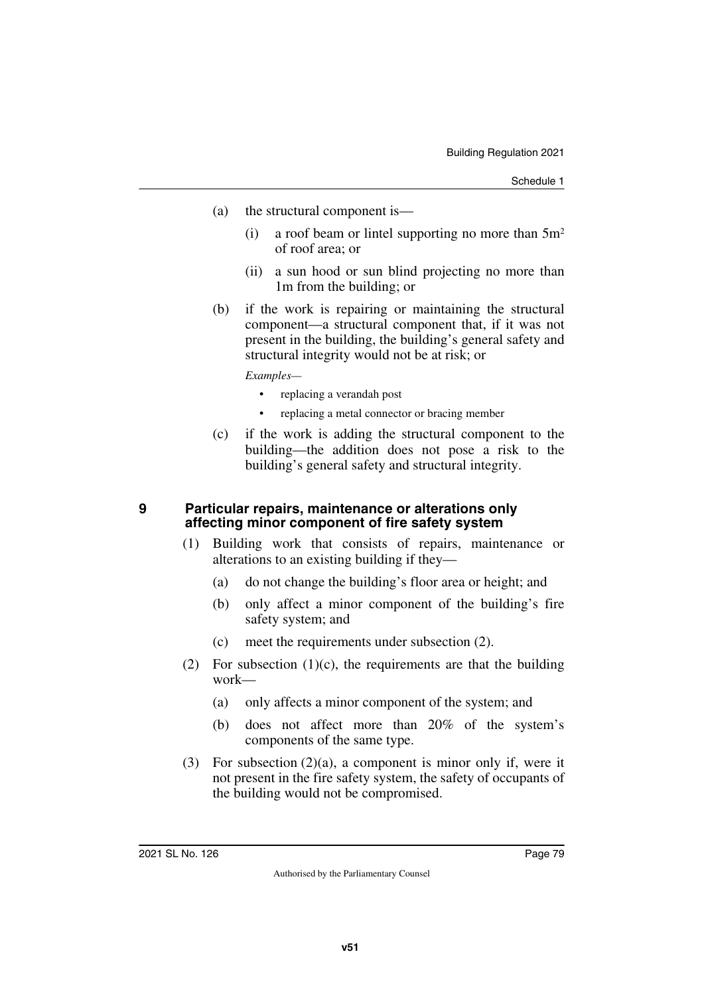- (a) the structural component is—
	- (i) a roof beam or lintel supporting no more than  $5m<sup>2</sup>$ of roof area; or
	- (ii) a sun hood or sun blind projecting no more than 1m from the building; or
- (b) if the work is repairing or maintaining the structural component—a structural component that, if it was not present in the building, the building's general safety and structural integrity would not be at risk; or

*Examples—*

- replacing a verandah post
- replacing a metal connector or bracing member
- (c) if the work is adding the structural component to the building—the addition does not pose a risk to the building's general safety and structural integrity.

### **9 Particular repairs, maintenance or alterations only affecting minor component of fire safety system**

- (1) Building work that consists of repairs, maintenance or alterations to an existing building if they—
	- (a) do not change the building's floor area or height; and
	- (b) only affect a minor component of the building's fire safety system; and
	- (c) meet the requirements under subsection (2).
- (2) For subsection  $(1)(c)$ , the requirements are that the building work—
	- (a) only affects a minor component of the system; and
	- (b) does not affect more than 20% of the system's components of the same type.
- (3) For subsection (2)(a), a component is minor only if, were it not present in the fire safety system, the safety of occupants of the building would not be compromised.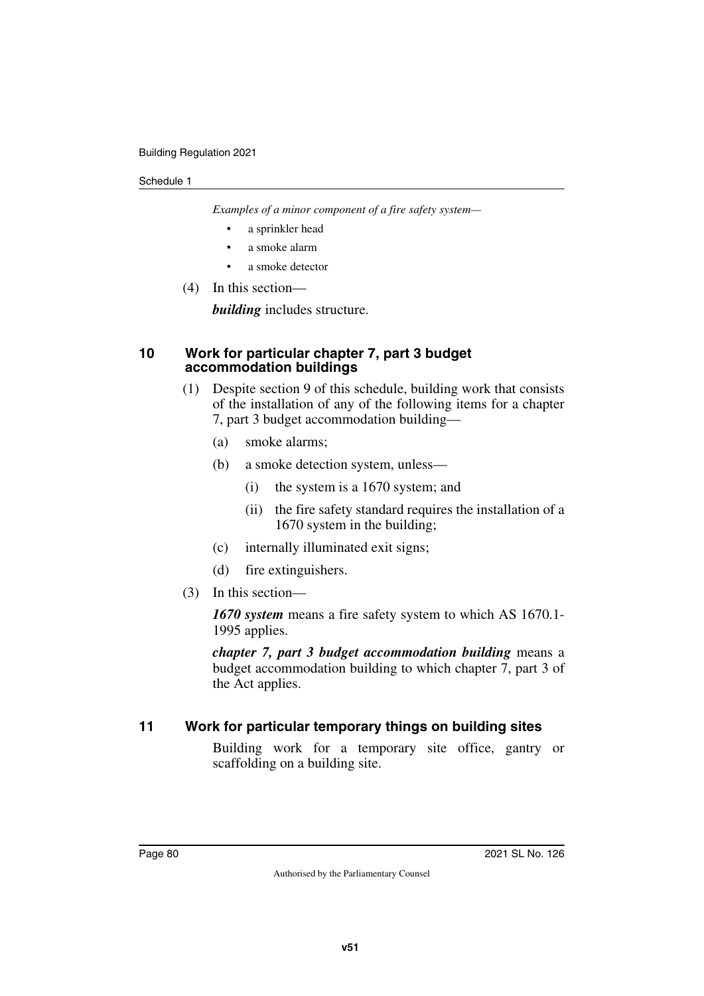*Examples of a minor component of a fire safety system—*

- a sprinkler head
- a smoke alarm
- a smoke detector
- (4) In this section—

*building* includes structure.

## **10 Work for particular chapter 7, part 3 budget accommodation buildings**

- (1) Despite section 9 of this schedule, building work that consists of the installation of any of the following items for a chapter 7, part 3 budget accommodation building—
	- (a) smoke alarms;
	- (b) a smoke detection system, unless—
		- (i) the system is a 1670 system; and
		- (ii) the fire safety standard requires the installation of a 1670 system in the building;
	- (c) internally illuminated exit signs;
	- (d) fire extinguishers.
- (3) In this section—

*1670 system* means a fire safety system to which AS 1670.1- 1995 applies.

*chapter 7, part 3 budget accommodation building* means a budget accommodation building to which chapter 7, part 3 of the Act applies.

# **11 Work for particular temporary things on building sites**

Building work for a temporary site office, gantry or scaffolding on a building site.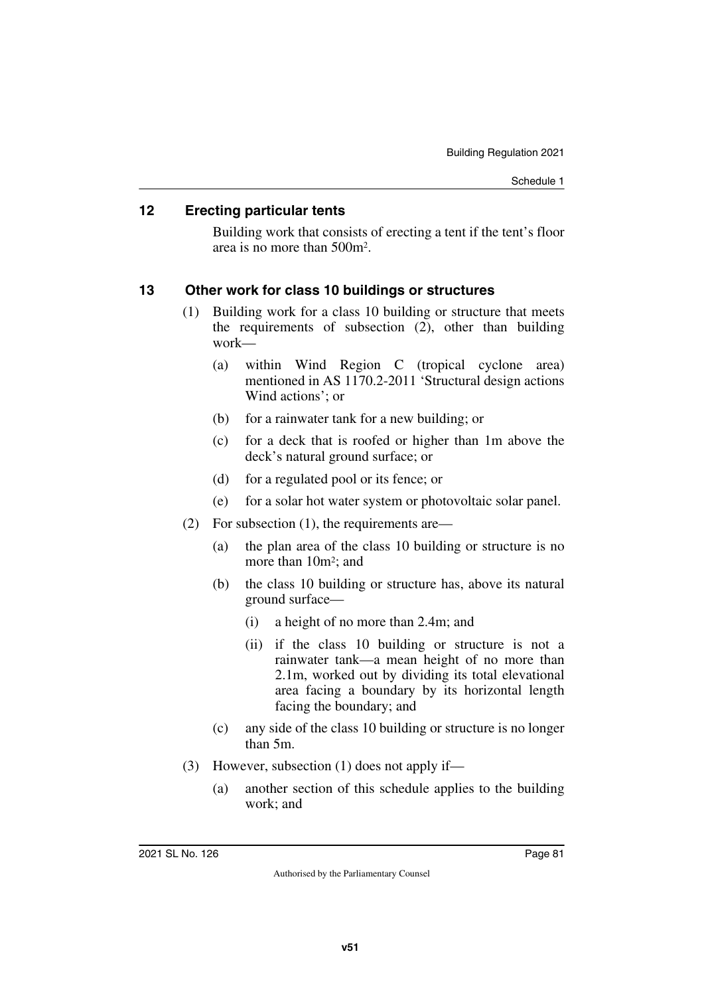## **12 Erecting particular tents**

Building work that consists of erecting a tent if the tent's floor area is no more than 500m2.

# **13 Other work for class 10 buildings or structures**

- (1) Building work for a class 10 building or structure that meets the requirements of subsection  $(2)$ , other than building work—
	- (a) within Wind Region C (tropical cyclone area) mentioned in AS 1170.2-2011 'Structural design actions Wind actions'; or
	- (b) for a rainwater tank for a new building; or
	- (c) for a deck that is roofed or higher than 1m above the deck's natural ground surface; or
	- (d) for a regulated pool or its fence; or
	- (e) for a solar hot water system or photovoltaic solar panel.
- (2) For subsection (1), the requirements are—
	- (a) the plan area of the class 10 building or structure is no more than 10m<sup>2</sup>; and
	- (b) the class 10 building or structure has, above its natural ground surface—
		- (i) a height of no more than 2.4m; and
		- (ii) if the class 10 building or structure is not a rainwater tank—a mean height of no more than 2.1m, worked out by dividing its total elevational area facing a boundary by its horizontal length facing the boundary; and
	- (c) any side of the class 10 building or structure is no longer than 5m.
- (3) However, subsection (1) does not apply if—
	- (a) another section of this schedule applies to the building work; and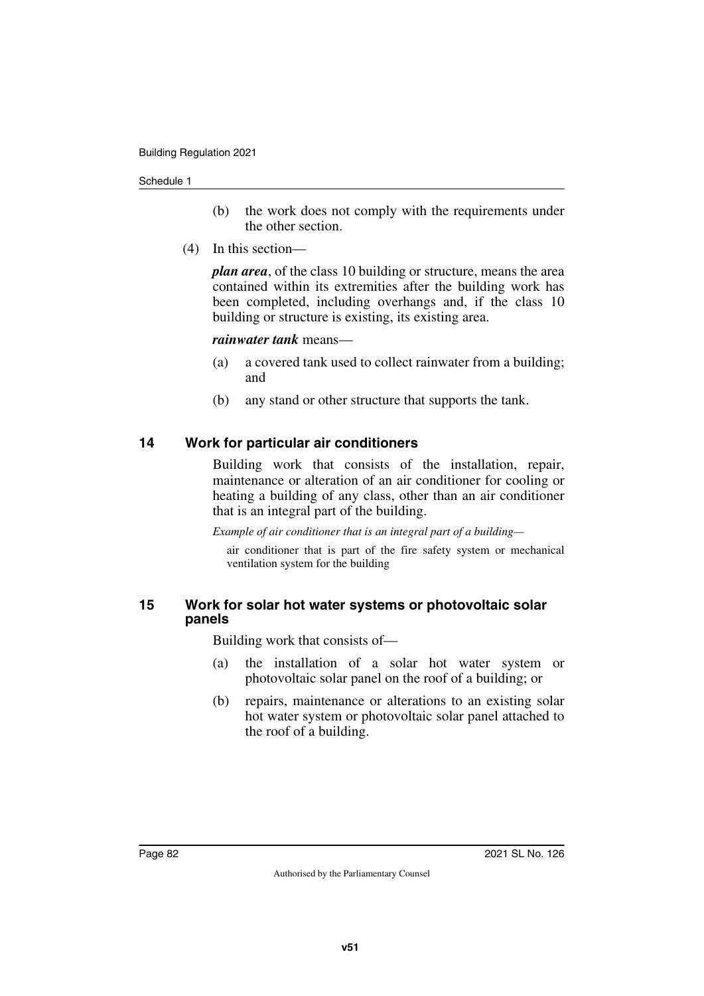- (b) the work does not comply with the requirements under the other section.
- (4) In this section—

*plan area*, of the class 10 building or structure, means the area contained within its extremities after the building work has been completed, including overhangs and, if the class 10 building or structure is existing, its existing area.

## *rainwater tank* means—

- (a) a covered tank used to collect rainwater from a building; and
- (b) any stand or other structure that supports the tank.

# **14 Work for particular air conditioners**

Building work that consists of the installation, repair, maintenance or alteration of an air conditioner for cooling or heating a building of any class, other than an air conditioner that is an integral part of the building.

*Example of air conditioner that is an integral part of a building—*

air conditioner that is part of the fire safety system or mechanical ventilation system for the building

## **15 Work for solar hot water systems or photovoltaic solar panels**

Building work that consists of—

- (a) the installation of a solar hot water system or photovoltaic solar panel on the roof of a building; or
- (b) repairs, maintenance or alterations to an existing solar hot water system or photovoltaic solar panel attached to the roof of a building.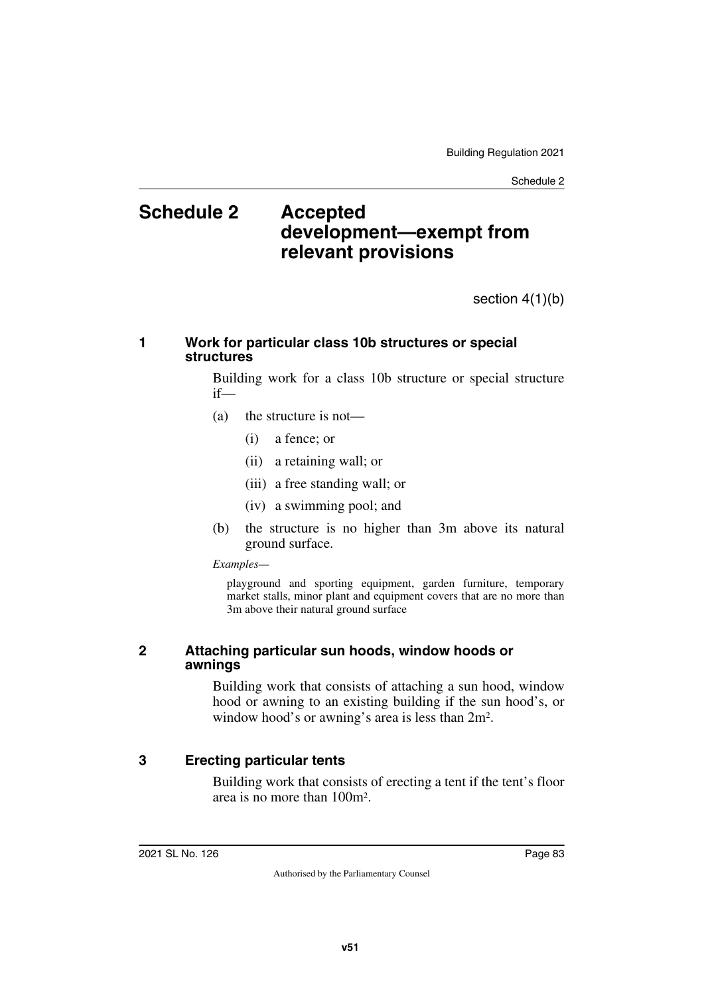# **Schedule 2 Accepted development—exempt from relevant provisions**

section 4(1)(b)

## **1 Work for particular class 10b structures or special structures**

Building work for a class 10b structure or special structure if—

- (a) the structure is not—
	- (i) a fence; or
	- (ii) a retaining wall; or
	- (iii) a free standing wall; or
	- (iv) a swimming pool; and
- (b) the structure is no higher than 3m above its natural ground surface.

#### *Examples—*

playground and sporting equipment, garden furniture, temporary market stalls, minor plant and equipment covers that are no more than 3m above their natural ground surface

## **2 Attaching particular sun hoods, window hoods or awnings**

Building work that consists of attaching a sun hood, window hood or awning to an existing building if the sun hood's, or window hood's or awning's area is less than 2m2.

# **3 Erecting particular tents**

Building work that consists of erecting a tent if the tent's floor area is no more than 100m2.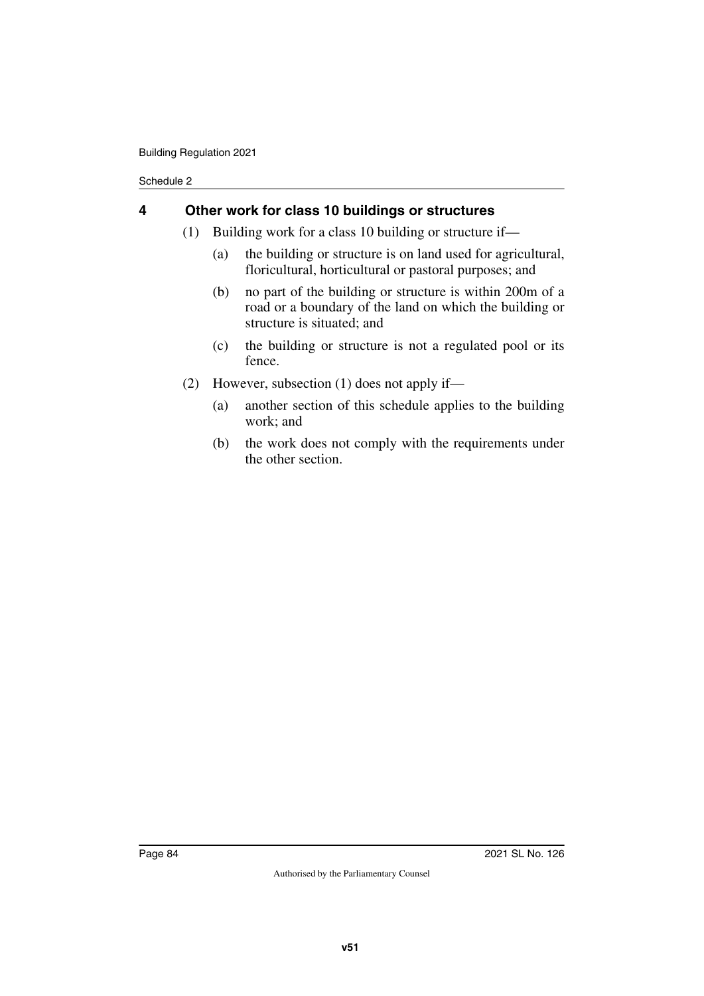## **4 Other work for class 10 buildings or structures**

- (1) Building work for a class 10 building or structure if—
	- (a) the building or structure is on land used for agricultural, floricultural, horticultural or pastoral purposes; and
	- (b) no part of the building or structure is within 200m of a road or a boundary of the land on which the building or structure is situated; and
	- (c) the building or structure is not a regulated pool or its fence.
- (2) However, subsection (1) does not apply if—
	- (a) another section of this schedule applies to the building work; and
	- (b) the work does not comply with the requirements under the other section.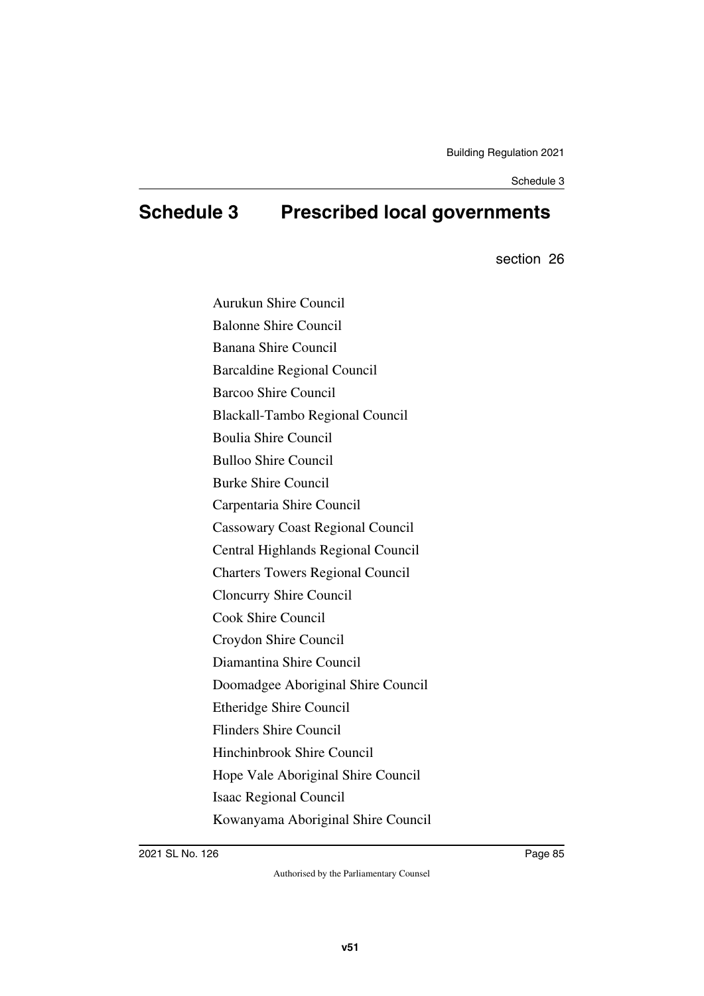# **Schedule 3 Prescribed local governments**

section 26

Aurukun Shire Council Balonne Shire Council Banana Shire Council Barcaldine Regional Council Barcoo Shire Council Blackall-Tambo Regional Council Boulia Shire Council Bulloo Shire Council Burke Shire Council Carpentaria Shire Council Cassowary Coast Regional Council Central Highlands Regional Council Charters Towers Regional Council Cloncurry Shire Council Cook Shire Council Croydon Shire Council Diamantina Shire Council Doomadgee Aboriginal Shire Council Etheridge Shire Council Flinders Shire Council Hinchinbrook Shire Council Hope Vale Aboriginal Shire Council Isaac Regional Council Kowanyama Aboriginal Shire Council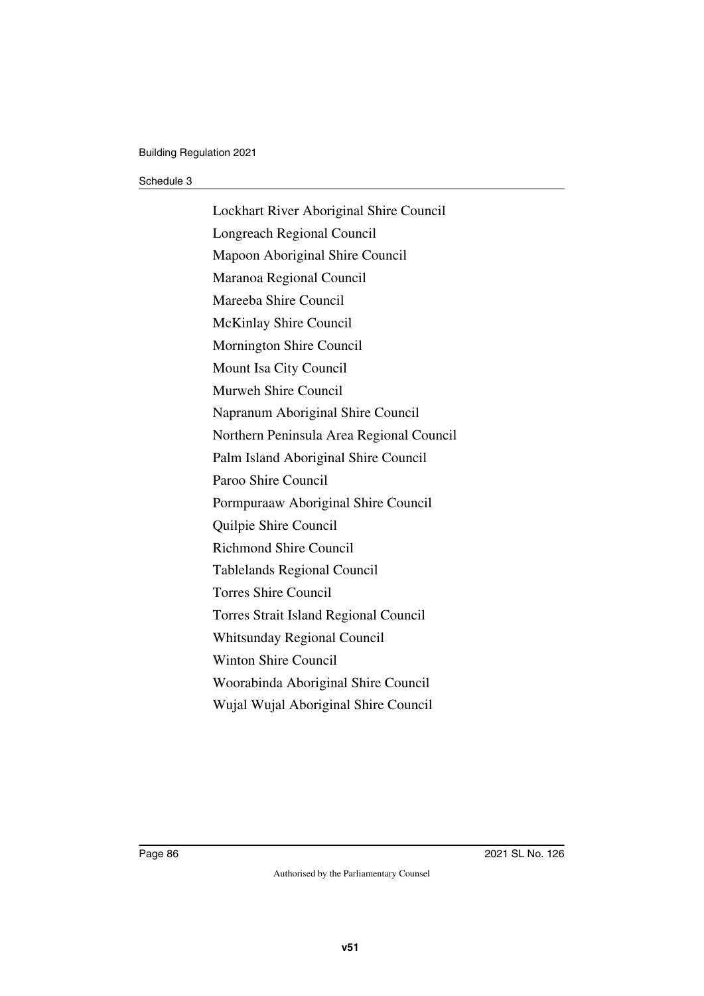Lockhart River Aboriginal Shire Council Longreach Regional Council Mapoon Aboriginal Shire Council Maranoa Regional Council Mareeba Shire Council McKinlay Shire Council Mornington Shire Council Mount Isa City Council Murweh Shire Council Napranum Aboriginal Shire Council Northern Peninsula Area Regional Council Palm Island Aboriginal Shire Council Paroo Shire Council Pormpuraaw Aboriginal Shire Council Quilpie Shire Council Richmond Shire Council Tablelands Regional Council Torres Shire Council Torres Strait Island Regional Council Whitsunday Regional Council Winton Shire Council Woorabinda Aboriginal Shire Council Wujal Wujal Aboriginal Shire Council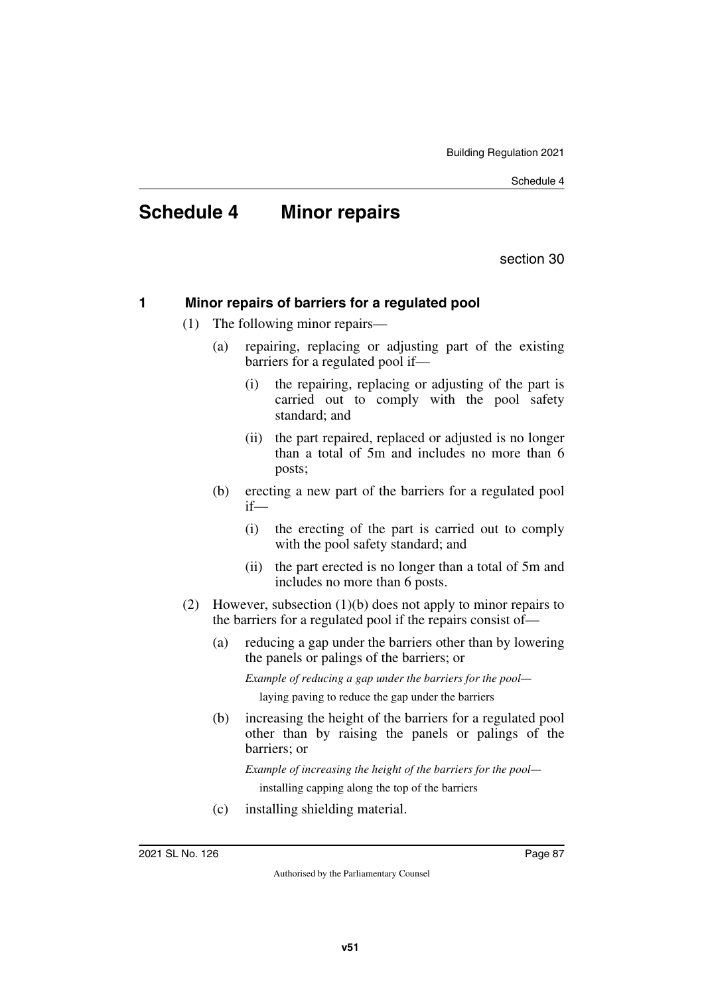# **Schedule 4 Minor repairs**

section 30

# **1 Minor repairs of barriers for a regulated pool**

- (1) The following minor repairs—
	- (a) repairing, replacing or adjusting part of the existing barriers for a regulated pool if—
		- (i) the repairing, replacing or adjusting of the part is carried out to comply with the pool safety standard; and
		- (ii) the part repaired, replaced or adjusted is no longer than a total of 5m and includes no more than 6 posts;
	- (b) erecting a new part of the barriers for a regulated pool if—
		- (i) the erecting of the part is carried out to comply with the pool safety standard; and
		- (ii) the part erected is no longer than a total of 5m and includes no more than 6 posts.
- (2) However, subsection (1)(b) does not apply to minor repairs to the barriers for a regulated pool if the repairs consist of—
	- (a) reducing a gap under the barriers other than by lowering the panels or palings of the barriers; or

*Example of reducing a gap under the barriers for the pool—*

laying paving to reduce the gap under the barriers

(b) increasing the height of the barriers for a regulated pool other than by raising the panels or palings of the barriers; or

*Example of increasing the height of the barriers for the pool* installing capping along the top of the barriers

(c) installing shielding material.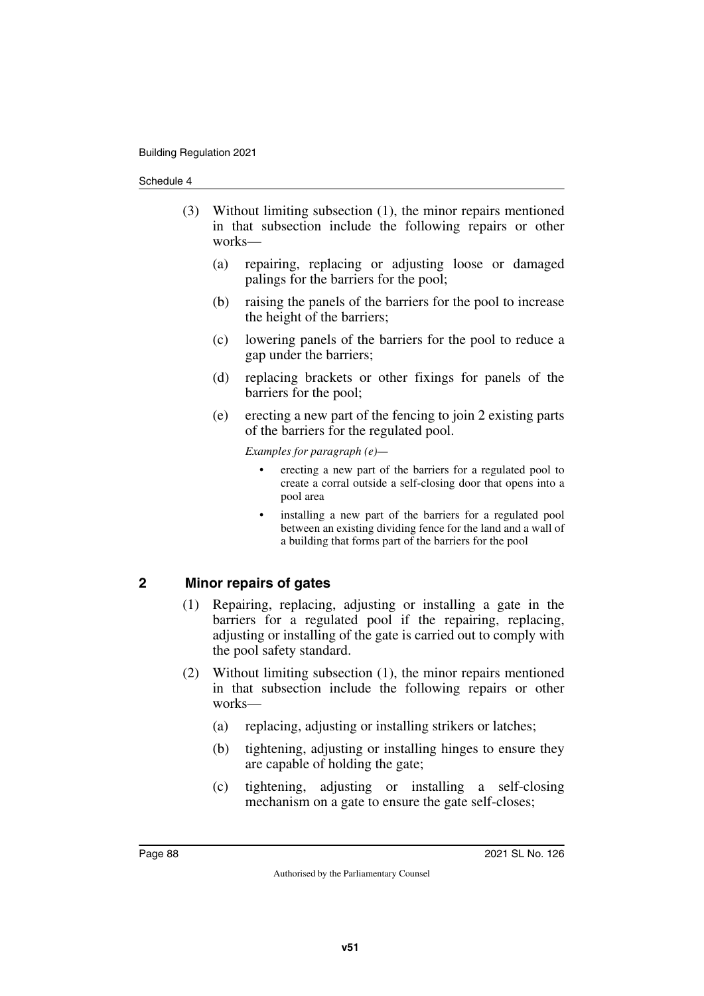- (3) Without limiting subsection (1), the minor repairs mentioned in that subsection include the following repairs or other works—
	- (a) repairing, replacing or adjusting loose or damaged palings for the barriers for the pool;
	- (b) raising the panels of the barriers for the pool to increase the height of the barriers;
	- (c) lowering panels of the barriers for the pool to reduce a gap under the barriers;
	- (d) replacing brackets or other fixings for panels of the barriers for the pool;
	- (e) erecting a new part of the fencing to join 2 existing parts of the barriers for the regulated pool.

*Examples for paragraph (e)—*

- erecting a new part of the barriers for a regulated pool to create a corral outside a self-closing door that opens into a pool area
- installing a new part of the barriers for a regulated pool between an existing dividing fence for the land and a wall of a building that forms part of the barriers for the pool

# **2 Minor repairs of gates**

- (1) Repairing, replacing, adjusting or installing a gate in the barriers for a regulated pool if the repairing, replacing, adjusting or installing of the gate is carried out to comply with the pool safety standard.
- (2) Without limiting subsection (1), the minor repairs mentioned in that subsection include the following repairs or other works—
	- (a) replacing, adjusting or installing strikers or latches;
	- (b) tightening, adjusting or installing hinges to ensure they are capable of holding the gate;
	- (c) tightening, adjusting or installing a self-closing mechanism on a gate to ensure the gate self-closes;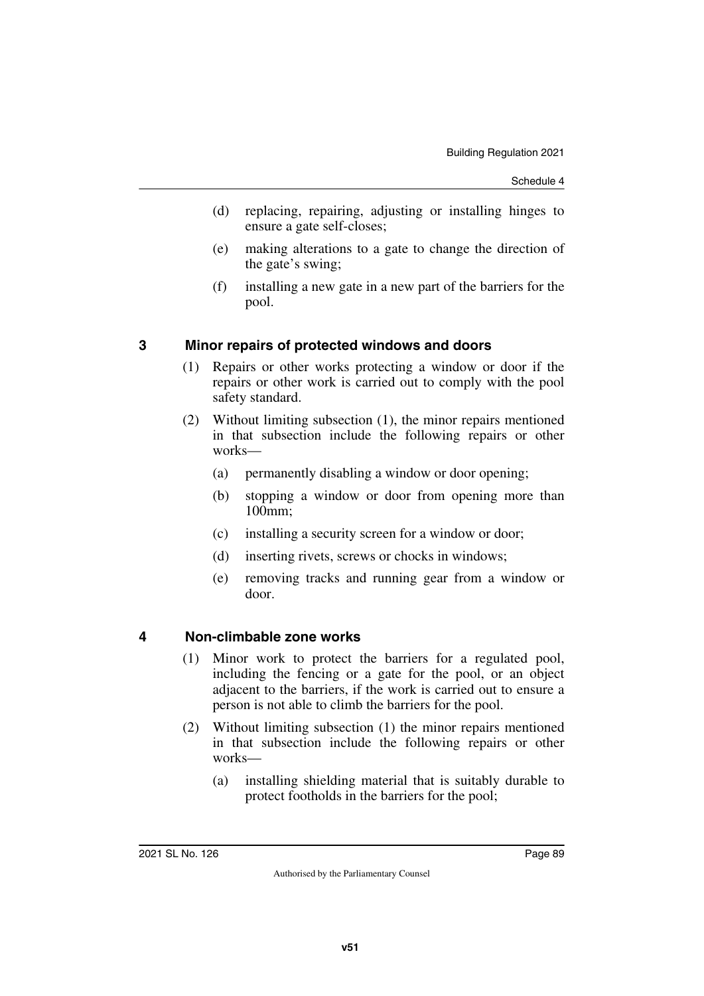- (d) replacing, repairing, adjusting or installing hinges to ensure a gate self-closes;
- (e) making alterations to a gate to change the direction of the gate's swing;
- (f) installing a new gate in a new part of the barriers for the pool.

# **3 Minor repairs of protected windows and doors**

- (1) Repairs or other works protecting a window or door if the repairs or other work is carried out to comply with the pool safety standard.
- (2) Without limiting subsection (1), the minor repairs mentioned in that subsection include the following repairs or other works—
	- (a) permanently disabling a window or door opening;
	- (b) stopping a window or door from opening more than 100mm;
	- (c) installing a security screen for a window or door;
	- (d) inserting rivets, screws or chocks in windows;
	- (e) removing tracks and running gear from a window or door.

## **4 Non-climbable zone works**

- (1) Minor work to protect the barriers for a regulated pool, including the fencing or a gate for the pool, or an object adjacent to the barriers, if the work is carried out to ensure a person is not able to climb the barriers for the pool.
- (2) Without limiting subsection (1) the minor repairs mentioned in that subsection include the following repairs or other works—
	- (a) installing shielding material that is suitably durable to protect footholds in the barriers for the pool;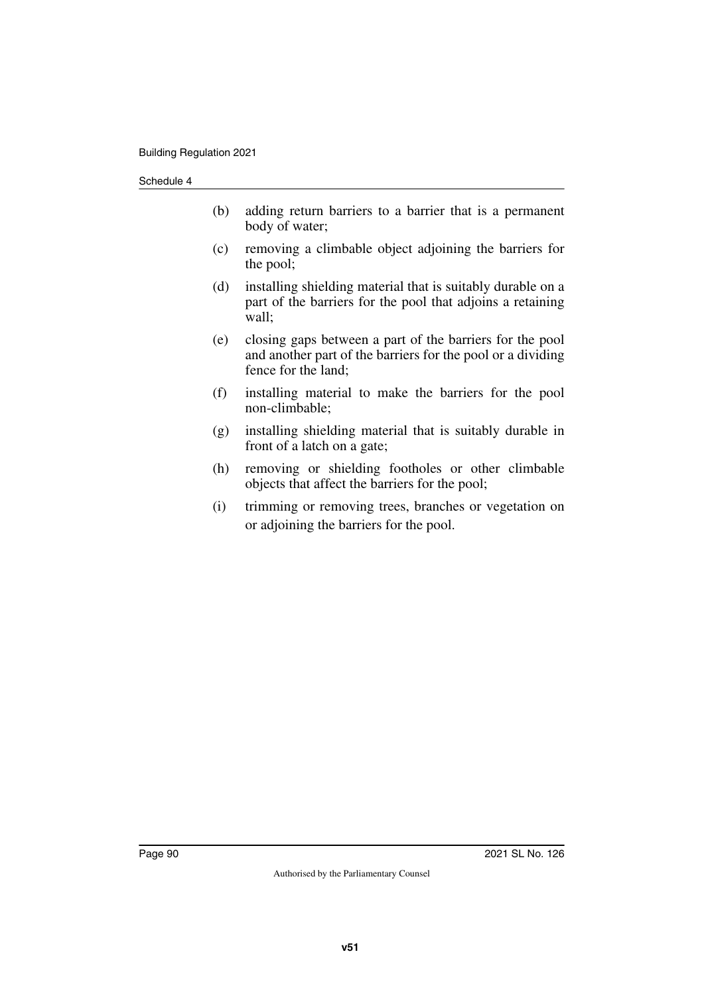- (b) adding return barriers to a barrier that is a permanent body of water;
- (c) removing a climbable object adjoining the barriers for the pool;
- (d) installing shielding material that is suitably durable on a part of the barriers for the pool that adjoins a retaining wall;
- (e) closing gaps between a part of the barriers for the pool and another part of the barriers for the pool or a dividing fence for the land;
- (f) installing material to make the barriers for the pool non-climbable;
- (g) installing shielding material that is suitably durable in front of a latch on a gate;
- (h) removing or shielding footholes or other climbable objects that affect the barriers for the pool;
- (i) trimming or removing trees, branches or vegetation on or adjoining the barriers for the pool.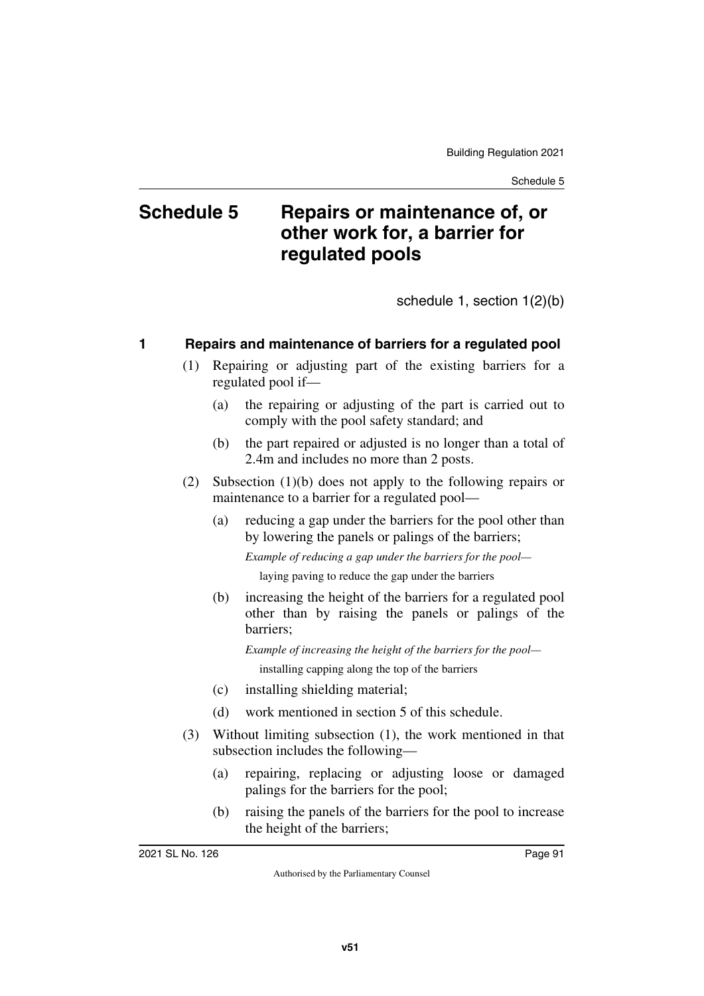# **Schedule 5 Repairs or maintenance of, or other work for, a barrier for regulated pools**

schedule 1, section 1(2)(b)

# **1 Repairs and maintenance of barriers for a regulated pool**

- (1) Repairing or adjusting part of the existing barriers for a regulated pool if—
	- (a) the repairing or adjusting of the part is carried out to comply with the pool safety standard; and
	- (b) the part repaired or adjusted is no longer than a total of 2.4m and includes no more than 2 posts.
- (2) Subsection (1)(b) does not apply to the following repairs or maintenance to a barrier for a regulated pool—
	- (a) reducing a gap under the barriers for the pool other than by lowering the panels or palings of the barriers;

*Example of reducing a gap under the barriers for the pool* laying paving to reduce the gap under the barriers

(b) increasing the height of the barriers for a regulated pool other than by raising the panels or palings of the barriers;

*Example of increasing the height of the barriers for the pool* installing capping along the top of the barriers

- (c) installing shielding material;
- (d) work mentioned in section 5 of this schedule.
- (3) Without limiting subsection (1), the work mentioned in that subsection includes the following—
	- (a) repairing, replacing or adjusting loose or damaged palings for the barriers for the pool;
	- (b) raising the panels of the barriers for the pool to increase the height of the barriers;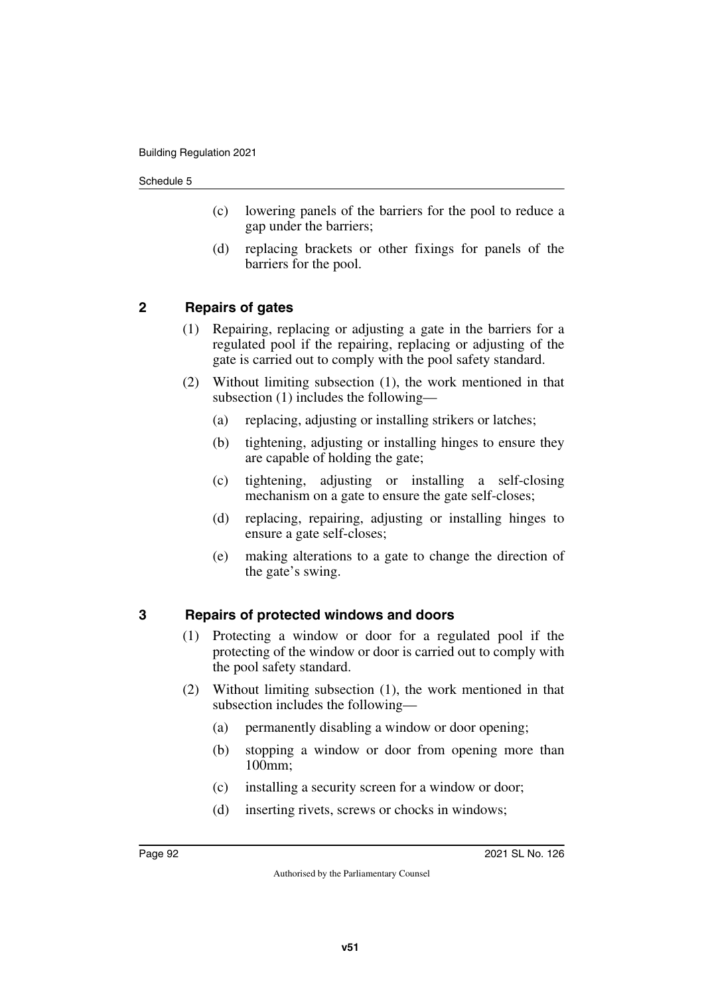- (c) lowering panels of the barriers for the pool to reduce a gap under the barriers;
- (d) replacing brackets or other fixings for panels of the barriers for the pool.

# **2 Repairs of gates**

- (1) Repairing, replacing or adjusting a gate in the barriers for a regulated pool if the repairing, replacing or adjusting of the gate is carried out to comply with the pool safety standard.
- (2) Without limiting subsection (1), the work mentioned in that subsection (1) includes the following—
	- (a) replacing, adjusting or installing strikers or latches;
	- (b) tightening, adjusting or installing hinges to ensure they are capable of holding the gate;
	- (c) tightening, adjusting or installing a self-closing mechanism on a gate to ensure the gate self-closes;
	- (d) replacing, repairing, adjusting or installing hinges to ensure a gate self-closes;
	- (e) making alterations to a gate to change the direction of the gate's swing.

## **3 Repairs of protected windows and doors**

- (1) Protecting a window or door for a regulated pool if the protecting of the window or door is carried out to comply with the pool safety standard.
- (2) Without limiting subsection (1), the work mentioned in that subsection includes the following—
	- (a) permanently disabling a window or door opening;
	- (b) stopping a window or door from opening more than 100mm;
	- (c) installing a security screen for a window or door;
	- (d) inserting rivets, screws or chocks in windows;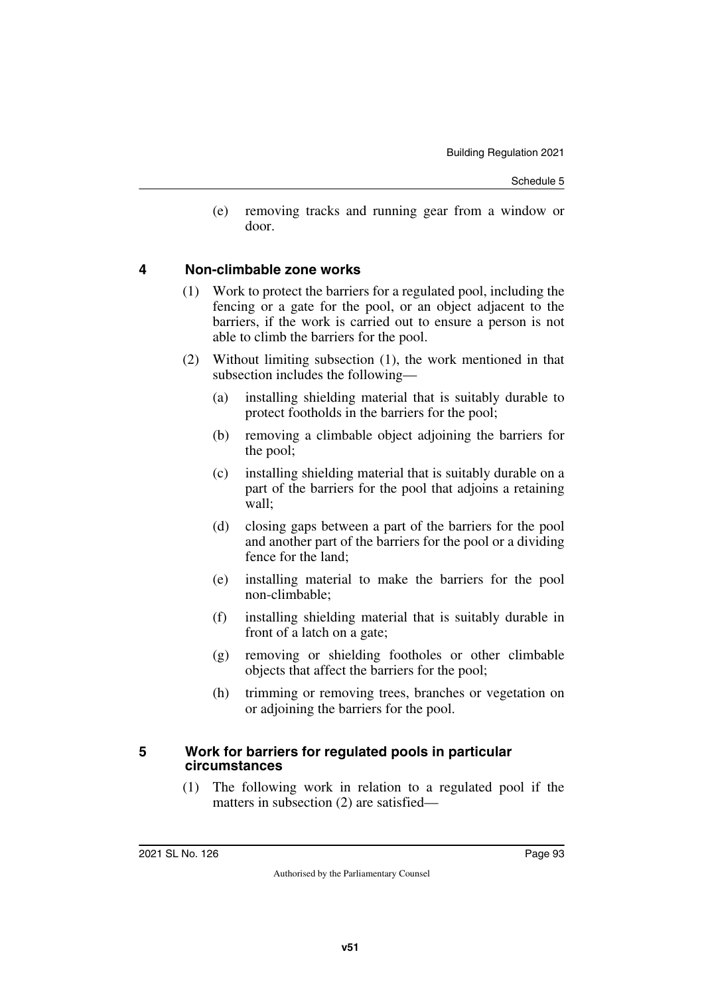(e) removing tracks and running gear from a window or door.

## **4 Non-climbable zone works**

- (1) Work to protect the barriers for a regulated pool, including the fencing or a gate for the pool, or an object adjacent to the barriers, if the work is carried out to ensure a person is not able to climb the barriers for the pool.
- (2) Without limiting subsection (1), the work mentioned in that subsection includes the following—
	- (a) installing shielding material that is suitably durable to protect footholds in the barriers for the pool;
	- (b) removing a climbable object adjoining the barriers for the pool;
	- (c) installing shielding material that is suitably durable on a part of the barriers for the pool that adjoins a retaining wall;
	- (d) closing gaps between a part of the barriers for the pool and another part of the barriers for the pool or a dividing fence for the land;
	- (e) installing material to make the barriers for the pool non-climbable;
	- (f) installing shielding material that is suitably durable in front of a latch on a gate;
	- (g) removing or shielding footholes or other climbable objects that affect the barriers for the pool;
	- (h) trimming or removing trees, branches or vegetation on or adjoining the barriers for the pool.

# **5 Work for barriers for regulated pools in particular circumstances**

(1) The following work in relation to a regulated pool if the matters in subsection (2) are satisfied—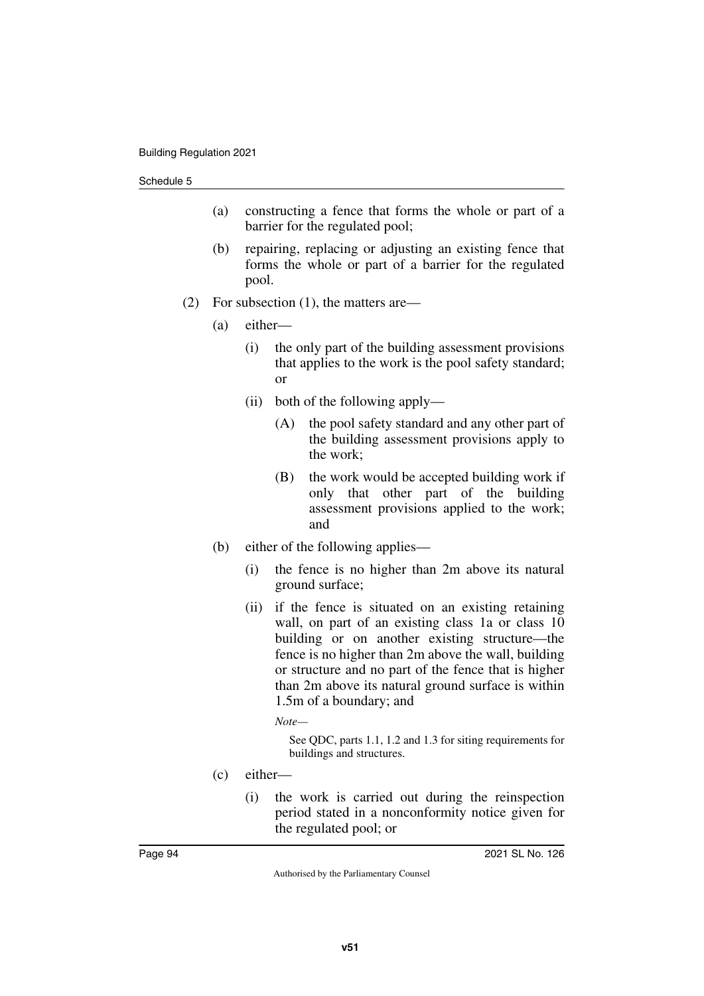- (a) constructing a fence that forms the whole or part of a barrier for the regulated pool;
- (b) repairing, replacing or adjusting an existing fence that forms the whole or part of a barrier for the regulated pool.
- (2) For subsection (1), the matters are—
	- (a) either—
		- (i) the only part of the building assessment provisions that applies to the work is the pool safety standard; or
		- (ii) both of the following apply—
			- (A) the pool safety standard and any other part of the building assessment provisions apply to the work;
			- (B) the work would be accepted building work if only that other part of the building assessment provisions applied to the work; and
	- (b) either of the following applies—
		- (i) the fence is no higher than 2m above its natural ground surface;
		- (ii) if the fence is situated on an existing retaining wall, on part of an existing class 1a or class 10 building or on another existing structure—the fence is no higher than 2m above the wall, building or structure and no part of the fence that is higher than 2m above its natural ground surface is within 1.5m of a boundary; and

*Note—*

See QDC, parts 1.1, 1.2 and 1.3 for siting requirements for buildings and structures.

- (c) either—
	- (i) the work is carried out during the reinspection period stated in a nonconformity notice given for the regulated pool; or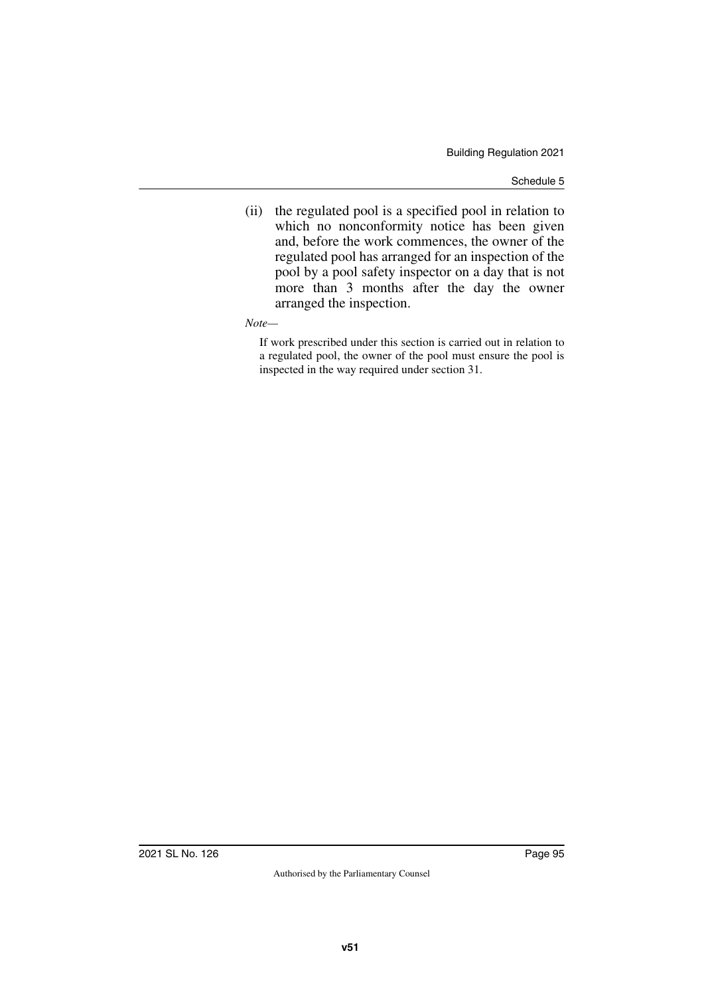- (ii) the regulated pool is a specified pool in relation to which no nonconformity notice has been given and, before the work commences, the owner of the regulated pool has arranged for an inspection of the pool by a pool safety inspector on a day that is not more than 3 months after the day the owner arranged the inspection.
- *Note—*

If work prescribed under this section is carried out in relation to a regulated pool, the owner of the pool must ensure the pool is inspected in the way required under section 31.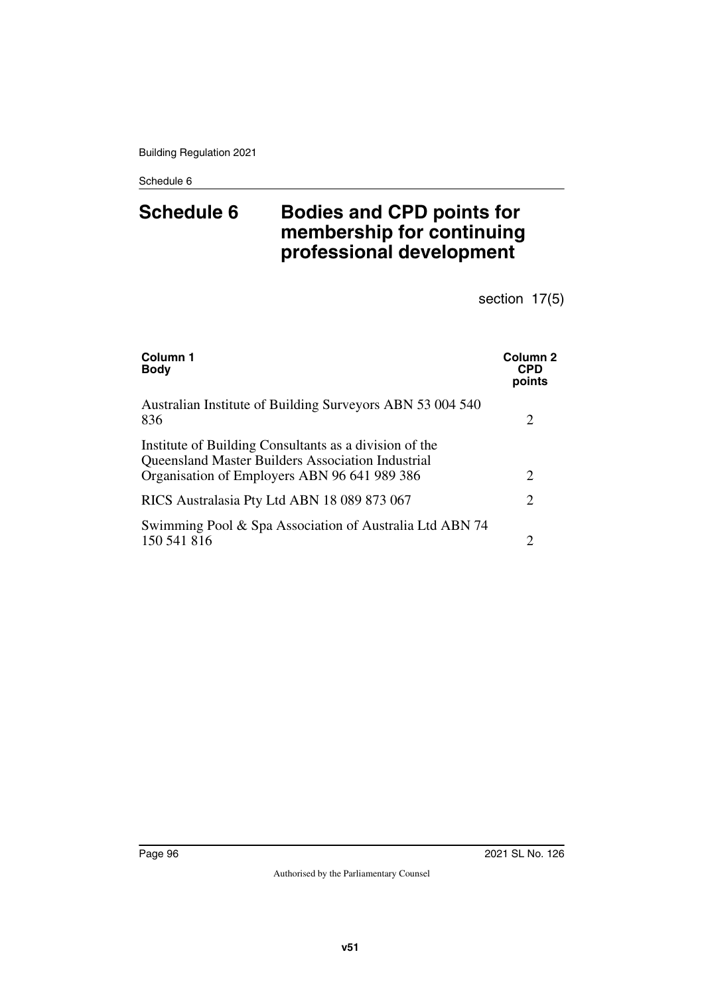# **Schedule 6 Bodies and CPD points for membership for continuing professional development**

section 17(5)

| Column 1<br><b>Body</b>                                                                                                                                     | <b>Column 2</b><br><b>CPD</b><br>points |
|-------------------------------------------------------------------------------------------------------------------------------------------------------------|-----------------------------------------|
| Australian Institute of Building Surveyors ABN 53 004 540<br>836                                                                                            | 2                                       |
| Institute of Building Consultants as a division of the<br>Queensland Master Builders Association Industrial<br>Organisation of Employers ABN 96 641 989 386 | 2                                       |
| RICS Australasia Pty Ltd ABN 18 089 873 067                                                                                                                 | 2                                       |
| Swimming Pool & Spa Association of Australia Ltd ABN 74<br>150 541 816                                                                                      | $\overline{c}$                          |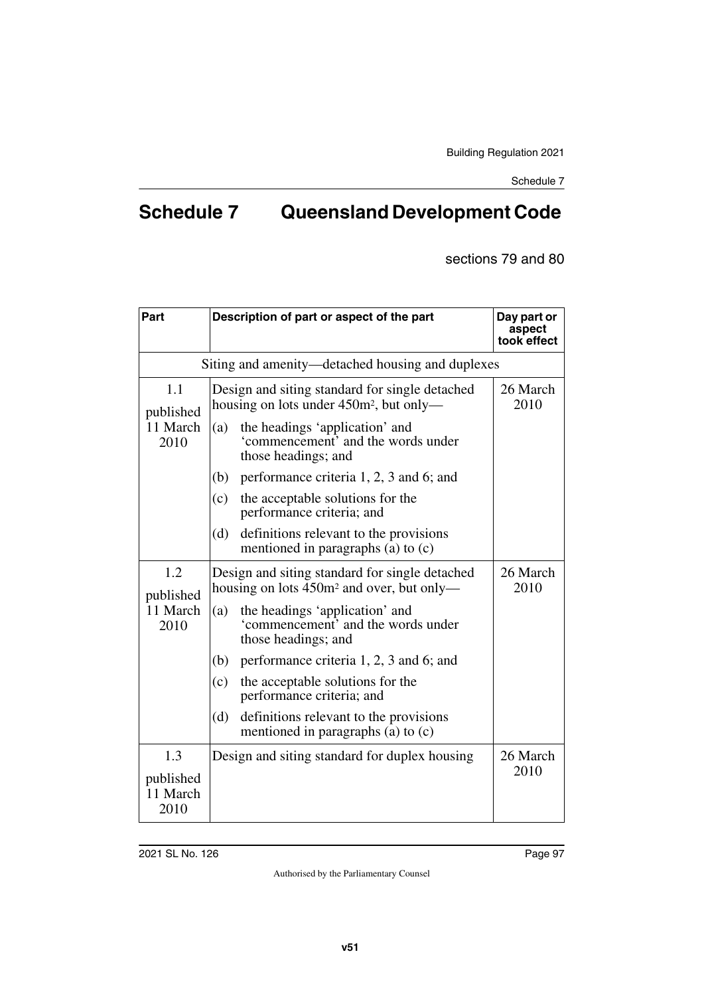# **Schedule 7 Queensland Development Code**

sections 79 and 80

| Part                          | Description of part or aspect of the part                                                               | Day part or<br>aspect<br>took effect |  |
|-------------------------------|---------------------------------------------------------------------------------------------------------|--------------------------------------|--|
|                               | Siting and amenity—detached housing and duplexes                                                        |                                      |  |
| 1.1<br>published              | Design and siting standard for single detached<br>housing on lots under 450m <sup>2</sup> , but only—   | 26 March<br>2010                     |  |
| 11 March<br>2010              | the headings 'application' and<br>(a)<br>'commencement' and the words under<br>those headings; and      |                                      |  |
|                               | performance criteria 1, 2, 3 and 6; and<br>(b)                                                          |                                      |  |
|                               | the acceptable solutions for the<br>(c)<br>performance criteria; and                                    |                                      |  |
|                               | (d)<br>definitions relevant to the provisions<br>mentioned in paragraphs (a) to (c)                     |                                      |  |
| 1.2<br>published              | Design and siting standard for single detached<br>housing on lots 450m <sup>2</sup> and over, but only— | 26 March<br>2010                     |  |
| 11 March<br>2010              | the headings 'application' and<br>(a)<br>'commencement' and the words under<br>those headings; and      |                                      |  |
|                               | performance criteria 1, 2, 3 and 6; and<br>(b)                                                          |                                      |  |
|                               | the acceptable solutions for the<br>(c)<br>performance criteria; and                                    |                                      |  |
|                               | (d)<br>definitions relevant to the provisions<br>mentioned in paragraphs (a) to $(c)$                   |                                      |  |
| 1.3                           | Design and siting standard for duplex housing                                                           | 26 March                             |  |
| published<br>11 March<br>2010 |                                                                                                         | 2010                                 |  |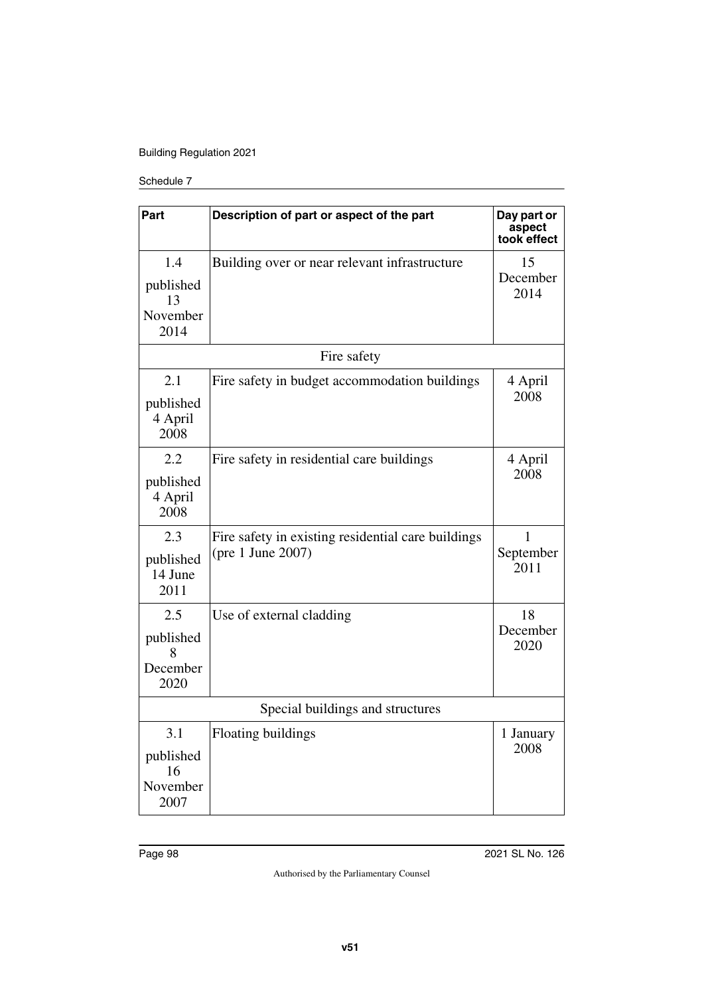## Building Regulation 2021

### Schedule 7

| Part                             | Description of part or aspect of the part          | Day part or<br>aspect<br>took effect |
|----------------------------------|----------------------------------------------------|--------------------------------------|
| 1.4                              | Building over or near relevant infrastructure      | 15                                   |
| published<br>13                  |                                                    | December<br>2014                     |
| November<br>2014                 |                                                    |                                      |
|                                  | Fire safety                                        |                                      |
| 2.1                              | Fire safety in budget accommodation buildings      | 4 April                              |
| published<br>4 April<br>2008     |                                                    | 2008                                 |
| 2.2                              | Fire safety in residential care buildings          | 4 April                              |
| published<br>4 April<br>2008     |                                                    | 2008                                 |
| 2.3                              | Fire safety in existing residential care buildings | 1                                    |
| published<br>14 June<br>2011     | (pre 1 June 2007)                                  | September<br>2011                    |
| 2.5                              | Use of external cladding                           | 18                                   |
| published<br>8                   |                                                    | December<br>2020                     |
| December<br>2020                 |                                                    |                                      |
| Special buildings and structures |                                                    |                                      |
| 3.1                              | Floating buildings                                 | 1 January                            |
| published<br>16                  |                                                    | 2008                                 |
| November<br>2007                 |                                                    |                                      |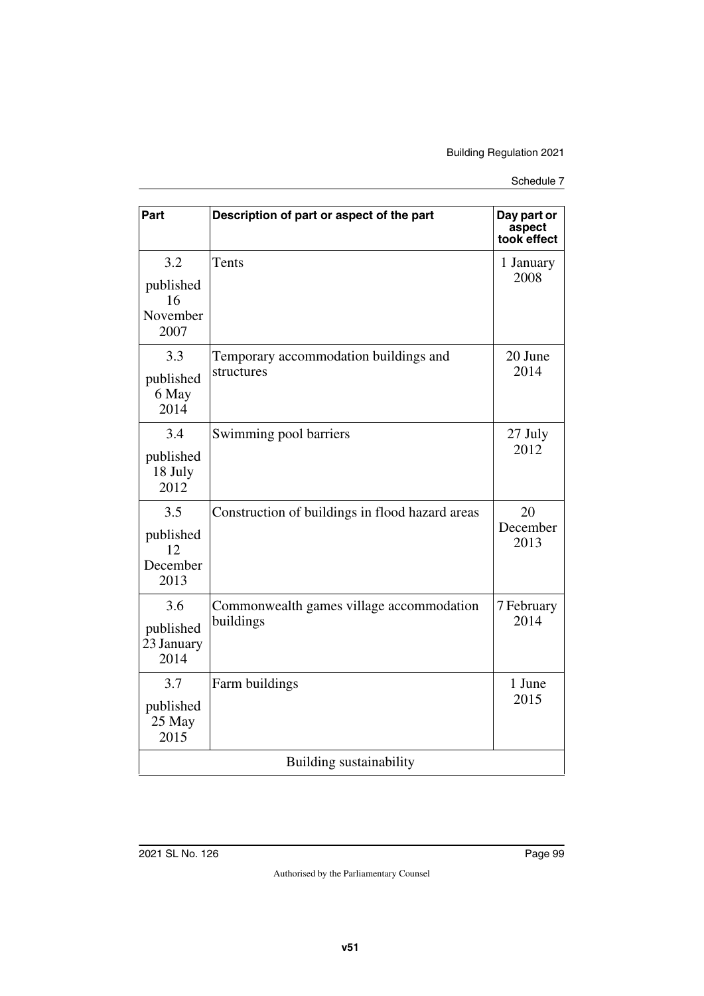| Part                                       | Description of part or aspect of the part             | Day part or<br>aspect<br>took effect |  |
|--------------------------------------------|-------------------------------------------------------|--------------------------------------|--|
| 3.2<br>published<br>16<br>November<br>2007 | Tents                                                 | 1 January<br>2008                    |  |
| 3.3<br>published<br>6 May<br>2014          | Temporary accommodation buildings and<br>structures   | 20 June<br>2014                      |  |
| 3.4<br>published<br>18 July<br>2012        | Swimming pool barriers                                | 27 July<br>2012                      |  |
| 3.5<br>published<br>12<br>December<br>2013 | Construction of buildings in flood hazard areas       | 20<br>December<br>2013               |  |
| 3.6<br>published<br>23 January<br>2014     | Commonwealth games village accommodation<br>buildings | 7 February<br>2014                   |  |
| 3.7<br>published<br>25 May<br>2015         | Farm buildings                                        | 1 June<br>2015                       |  |
| Building sustainability                    |                                                       |                                      |  |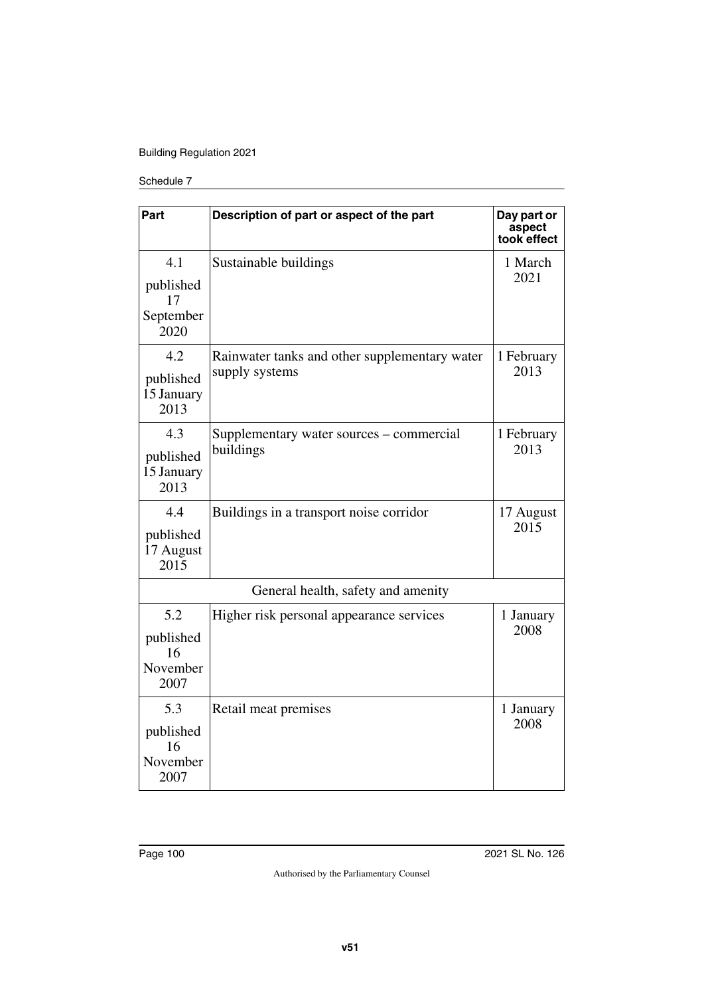## Building Regulation 2021

#### Schedule 7

| Part                                        | Description of part or aspect of the part                       | Day part or<br>aspect<br>took effect |
|---------------------------------------------|-----------------------------------------------------------------|--------------------------------------|
| 4.1<br>published<br>17<br>September<br>2020 | Sustainable buildings                                           | 1 March<br>2021                      |
| 4.2<br>published<br>15 January<br>2013      | Rainwater tanks and other supplementary water<br>supply systems | 1 February<br>2013                   |
| 4.3<br>published<br>15 January<br>2013      | Supplementary water sources – commercial<br>buildings           | 1 February<br>2013                   |
| 4.4<br>published<br>17 August<br>2015       | Buildings in a transport noise corridor                         | 17 August<br>2015                    |
| General health, safety and amenity          |                                                                 |                                      |
| 5.2<br>published<br>16<br>November<br>2007  | Higher risk personal appearance services                        | 1 January<br>2008                    |
| 5.3<br>published<br>16<br>November<br>2007  | Retail meat premises                                            | 1 January<br>2008                    |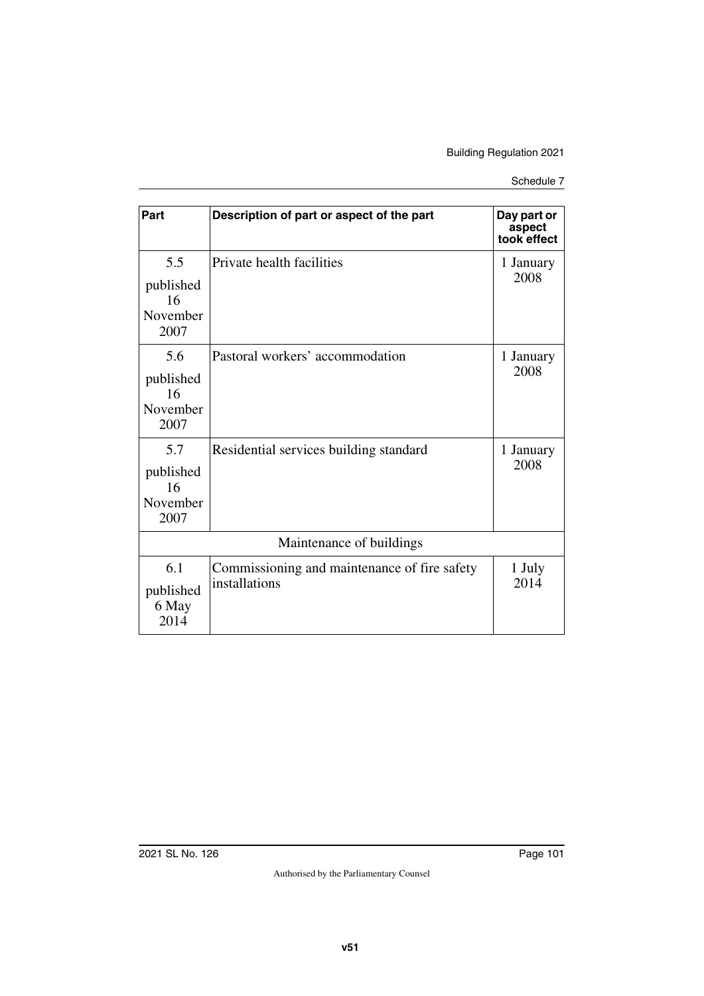| Schedule 7 |  |
|------------|--|
|            |  |

| Part                                       | Description of part or aspect of the part                     | Day part or           |  |
|--------------------------------------------|---------------------------------------------------------------|-----------------------|--|
|                                            |                                                               | aspect<br>took effect |  |
| 5.5<br>published<br>16<br>November<br>2007 | Private health facilities                                     | 1 January<br>2008     |  |
| 5.6<br>published<br>16<br>November<br>2007 | Pastoral workers' accommodation                               | 1 January<br>2008     |  |
| 5.7<br>published<br>16<br>November<br>2007 | Residential services building standard                        | 1 January<br>2008     |  |
| Maintenance of buildings                   |                                                               |                       |  |
| 6.1<br>published<br>6 May<br>2014          | Commissioning and maintenance of fire safety<br>installations | 1 July<br>2014        |  |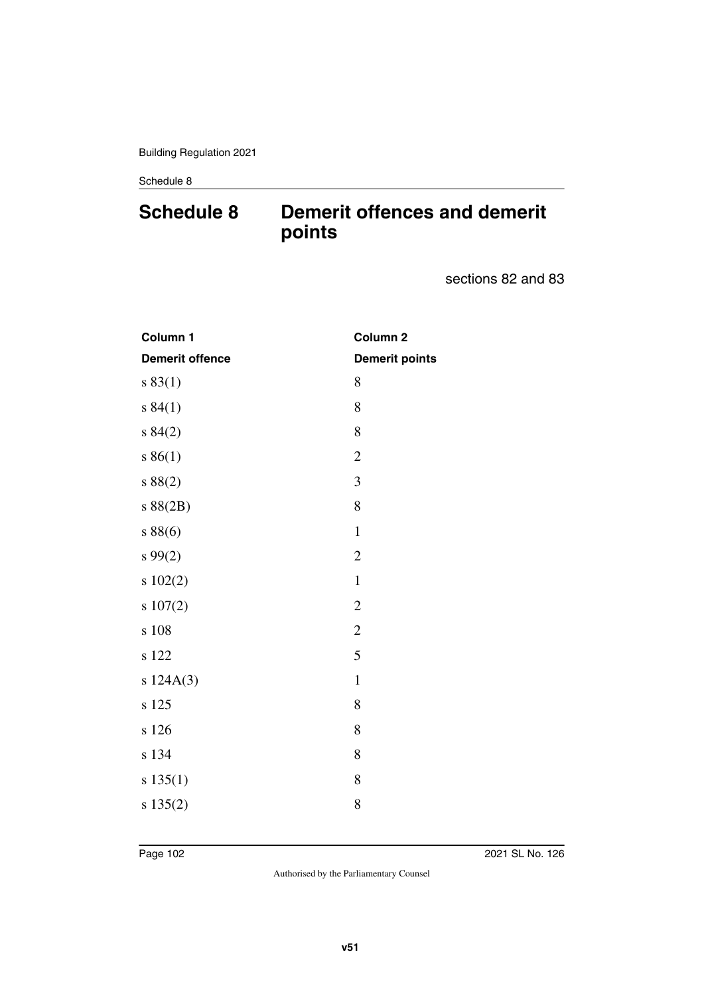# **Schedule 8 Demerit offences and demerit points**

sections 82 and 83

| Column 1               | Column <sub>2</sub>   |
|------------------------|-----------------------|
| <b>Demerit offence</b> | <b>Demerit points</b> |
| s 83(1)                | 8                     |
| s 84(1)                | 8                     |
| s 84(2)                | 8                     |
| s 86(1)                | $\overline{2}$        |
| s 88(2)                | 3                     |
| s 88(2B)               | 8                     |
| s 88(6)                | $\mathbf{1}$          |
| s 99(2)                | $\overline{2}$        |
| s 102(2)               | $\mathbf{1}$          |
| s 107(2)               | $\overline{2}$        |
| s 108                  | $\overline{2}$        |
| s 122                  | 5                     |
| s 124A(3)              | $\mathbf{1}$          |
| s 125                  | 8                     |
| s 126                  | 8                     |
| s 134                  | 8                     |
| s 135(1)               | 8                     |
| s 135(2)               | 8                     |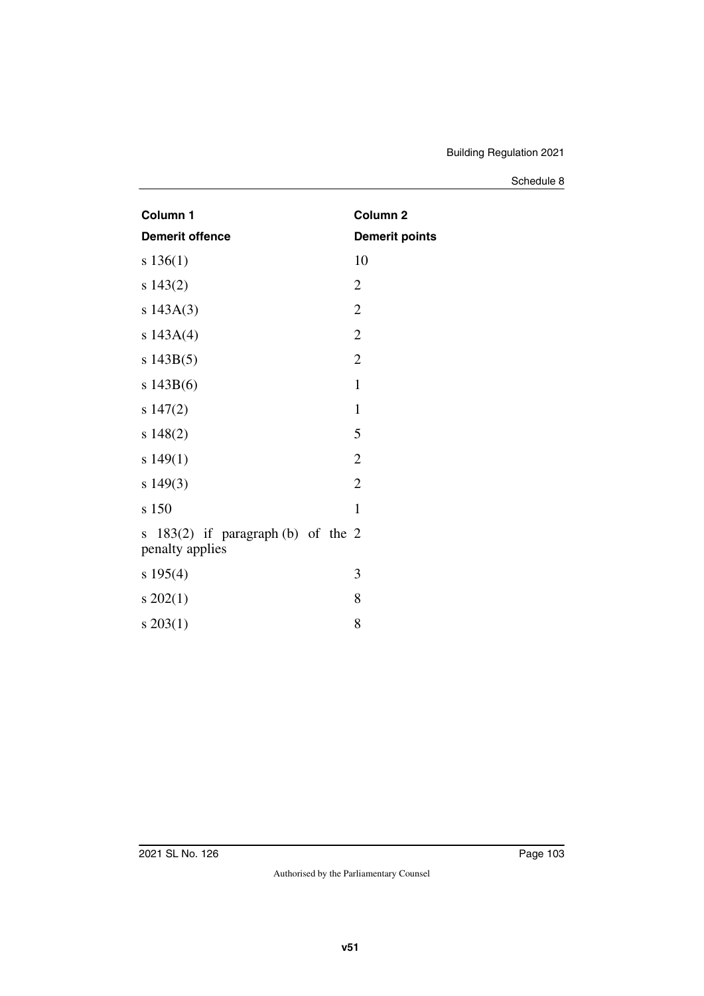| Column 1                                                   | Column <sub>2</sub>   |
|------------------------------------------------------------|-----------------------|
| <b>Demerit offence</b>                                     | <b>Demerit points</b> |
| s 136(1)                                                   | 10                    |
| s 143(2)                                                   | $\overline{2}$        |
| s 143A(3)                                                  | $\mathfrak{2}$        |
| s $143A(4)$                                                | $\mathbf{2}$          |
| s 143B(5)                                                  | $\overline{2}$        |
| s 143B(6)                                                  | $\mathbf{1}$          |
| s 147(2)                                                   | $\mathbf{1}$          |
| $s\ 148(2)$                                                | 5                     |
| s 149(1)                                                   | $\overline{2}$        |
| s 149(3)                                                   | $\overline{2}$        |
| s 150                                                      | $\mathbf{1}$          |
| $183(2)$ if paragraph (b) of the 2<br>S<br>penalty applies |                       |
| s 195(4)                                                   | 3                     |
| $s\ 202(1)$                                                | 8                     |
| $s\,203(1)$                                                | 8                     |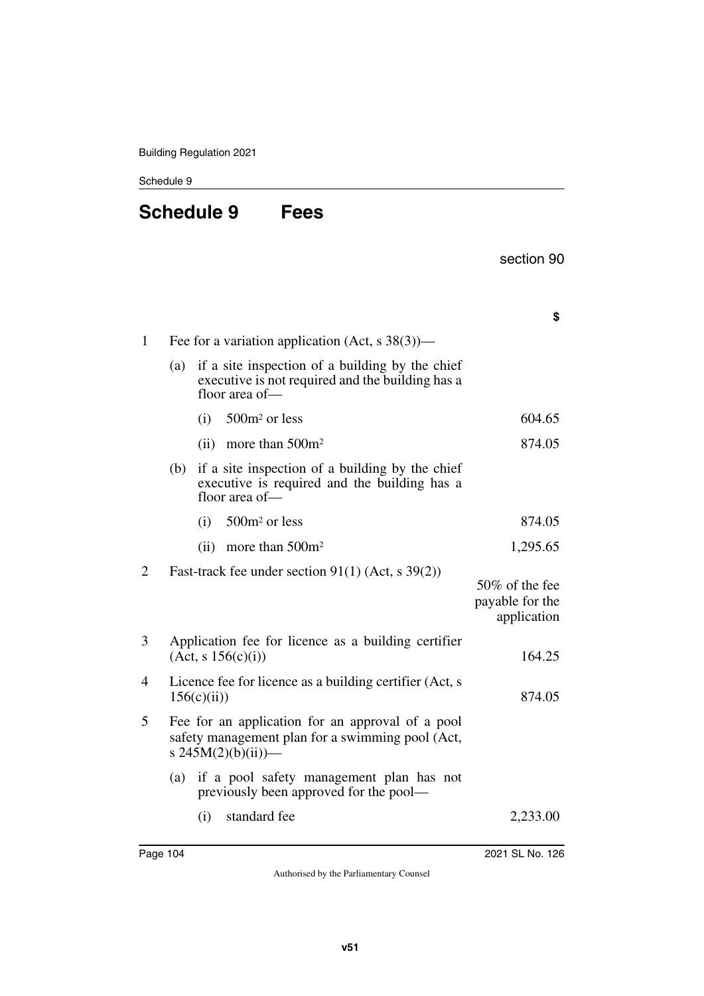# **Schedule 9 Fees**

|  | section 90 |  |
|--|------------|--|
|--|------------|--|

|                |                                                                        |     |                                                                                                                              | \$                                               |
|----------------|------------------------------------------------------------------------|-----|------------------------------------------------------------------------------------------------------------------------------|--------------------------------------------------|
| 1              |                                                                        |     | Fee for a variation application (Act, s 38(3))—                                                                              |                                                  |
|                | (a)                                                                    |     | if a site inspection of a building by the chief<br>executive is not required and the building has a<br>floor area of-        |                                                  |
|                |                                                                        | (i) | 500m <sup>2</sup> or less                                                                                                    | 604.65                                           |
|                |                                                                        |     | (ii) more than $500m^2$                                                                                                      | 874.05                                           |
|                | (b)                                                                    |     | if a site inspection of a building by the chief<br>executive is required and the building has a<br>floor area of-            |                                                  |
|                |                                                                        | (i) | $500m^2$ or less                                                                                                             | 874.05                                           |
|                |                                                                        |     | (ii) more than $500m^2$                                                                                                      | 1,295.65                                         |
| $\overline{2}$ |                                                                        |     | Fast-track fee under section $91(1)$ (Act, s 39(2))                                                                          | 50% of the fee<br>payable for the<br>application |
| 3              |                                                                        |     | Application fee for licence as a building certifier<br>(Act, s 156(c)(i))                                                    | 164.25                                           |
| 4              | Licence fee for licence as a building certifier (Act, s<br>156(c(iii)) |     |                                                                                                                              | 874.05                                           |
| 5              |                                                                        |     | Fee for an application for an approval of a pool<br>safety management plan for a swimming pool (Act,<br>s $245M(2)(b)(ii)$ — |                                                  |
|                | (a)                                                                    |     | if a pool safety management plan has not<br>previously been approved for the pool—                                           |                                                  |
|                |                                                                        | (i) | standard fee                                                                                                                 | 2,233.00                                         |
|                |                                                                        |     |                                                                                                                              |                                                  |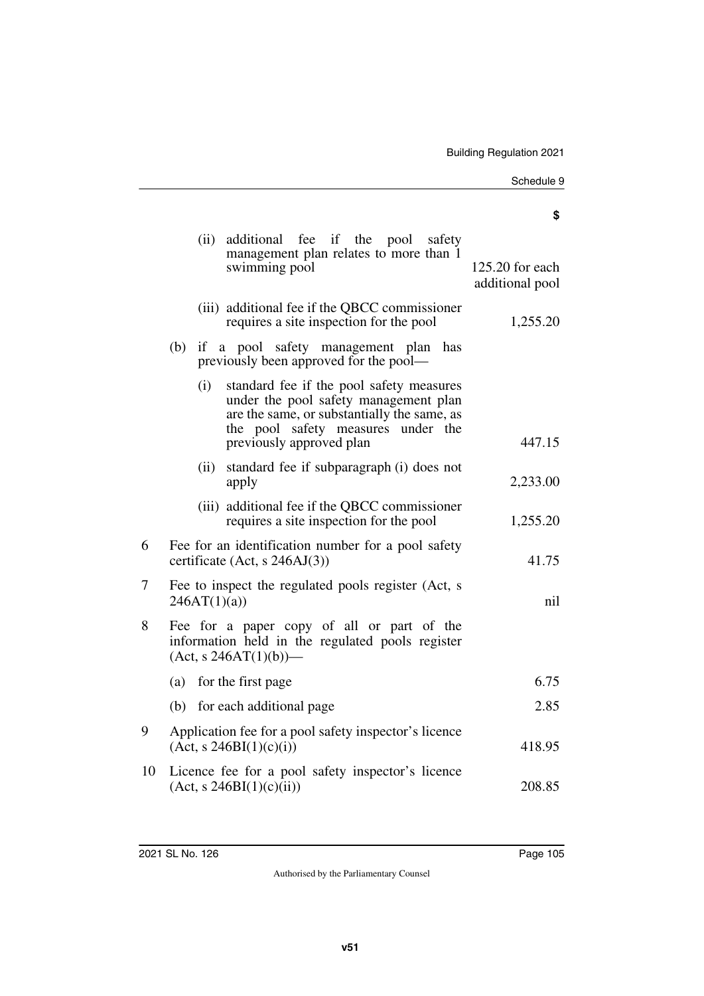### **\$**

|    |                                                                                                | (ii)                                                               | additional fee if the pool safety<br>management plan relates to more than 1<br>swimming pool                                                                                                       | 125.20 for each<br>additional pool |  |
|----|------------------------------------------------------------------------------------------------|--------------------------------------------------------------------|----------------------------------------------------------------------------------------------------------------------------------------------------------------------------------------------------|------------------------------------|--|
|    |                                                                                                |                                                                    | (iii) additional fee if the QBCC commissioner<br>requires a site inspection for the pool                                                                                                           | 1,255.20                           |  |
|    | (b)                                                                                            |                                                                    | if a pool safety management plan<br>has<br>previously been approved for the pool—                                                                                                                  |                                    |  |
|    |                                                                                                | (i)                                                                | standard fee if the pool safety measures<br>under the pool safety management plan<br>are the same, or substantially the same, as<br>the pool safety measures under the<br>previously approved plan | 447.15                             |  |
|    |                                                                                                | (ii)                                                               | standard fee if subparagraph (i) does not<br>apply                                                                                                                                                 | 2,233.00                           |  |
|    |                                                                                                |                                                                    | (iii) additional fee if the QBCC commissioner<br>requires a site inspection for the pool                                                                                                           | 1,255.20                           |  |
| 6  | Fee for an identification number for a pool safety<br>certificate (Act, $s$ 246AJ(3))<br>41.75 |                                                                    |                                                                                                                                                                                                    |                                    |  |
| 7  |                                                                                                | Fee to inspect the regulated pools register (Act, s<br>246AT(1)(a) | nil                                                                                                                                                                                                |                                    |  |
| 8  |                                                                                                |                                                                    | Fee for a paper copy of all or part of the<br>information held in the regulated pools register<br>$(Act, s 246AT(1)(b))$ —                                                                         |                                    |  |
|    |                                                                                                |                                                                    | (a) for the first page                                                                                                                                                                             | 6.75                               |  |
|    |                                                                                                |                                                                    | (b) for each additional page                                                                                                                                                                       | 2.85                               |  |
| 9  | Application fee for a pool safety inspector's licence<br>(Act, s 246BI(1)(c)(i))               |                                                                    |                                                                                                                                                                                                    |                                    |  |
| 10 |                                                                                                |                                                                    | Licence fee for a pool safety inspector's licence<br>(Act, s 246BI(1)(c)(ii))                                                                                                                      | 208.85                             |  |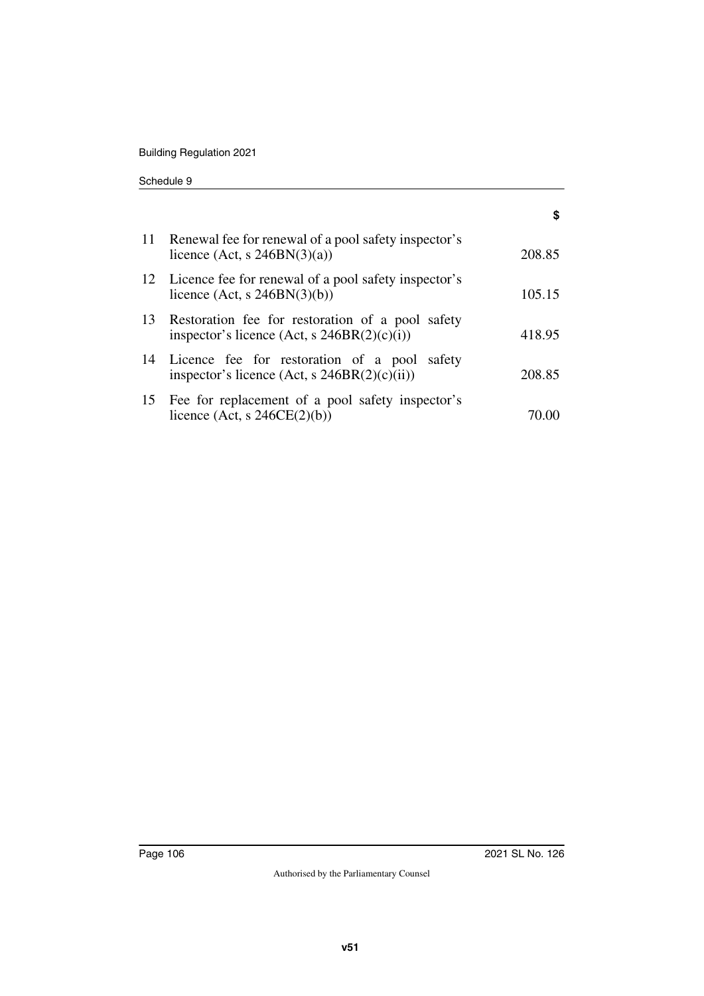Building Regulation 2021

| Schedule 9 |  |
|------------|--|
|------------|--|

|    | 11 Renewal fee for renewal of a pool safety inspector's<br>licence (Act, s $246BN(3)(a)$ )        | 208.85 |
|----|---------------------------------------------------------------------------------------------------|--------|
|    | 12 Licence fee for renewal of a pool safety inspector's<br>licence (Act, s $246BN(3)(b)$ )        | 105.15 |
| 13 | Restoration fee for restoration of a pool safety<br>inspector's licence (Act, $s$ 246BR(2)(c)(i)) | 418.95 |
| 14 | Licence fee for restoration of a pool safety<br>inspector's licence (Act, $s$ 246BR(2)(c)(ii))    | 208.85 |
|    | 15 Fee for replacement of a pool safety inspector's<br>licence (Act, s $246CE(2)(b)$ )            |        |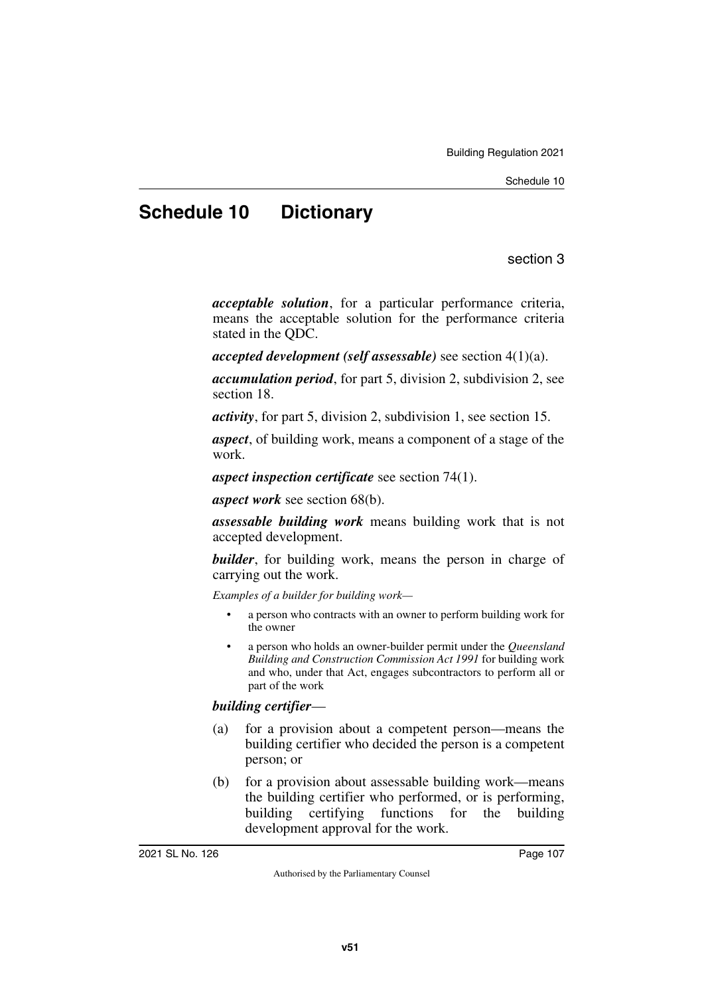# **Schedule 10 Dictionary**

section 3

*acceptable solution*, for a particular performance criteria, means the acceptable solution for the performance criteria stated in the QDC.

*accepted development (self assessable)* see section 4(1)(a).

*accumulation period*, for part 5, division 2, subdivision 2, see section 18.

*activity*, for part 5, division 2, subdivision 1, see section 15.

*aspect*, of building work, means a component of a stage of the work.

*aspect inspection certificate* see section 74(1).

*aspect work* see section 68(b).

*assessable building work* means building work that is not accepted development.

*builder*, for building work, means the person in charge of carrying out the work.

*Examples of a builder for building work—*

- a person who contracts with an owner to perform building work for the owner
- a person who holds an owner-builder permit under the *Queensland Building and Construction Commission Act 1991* for building work and who, under that Act, engages subcontractors to perform all or part of the work

## *building certifier*—

- (a) for a provision about a competent person—means the building certifier who decided the person is a competent person; or
- (b) for a provision about assessable building work—means the building certifier who performed, or is performing, building certifying functions for the building development approval for the work.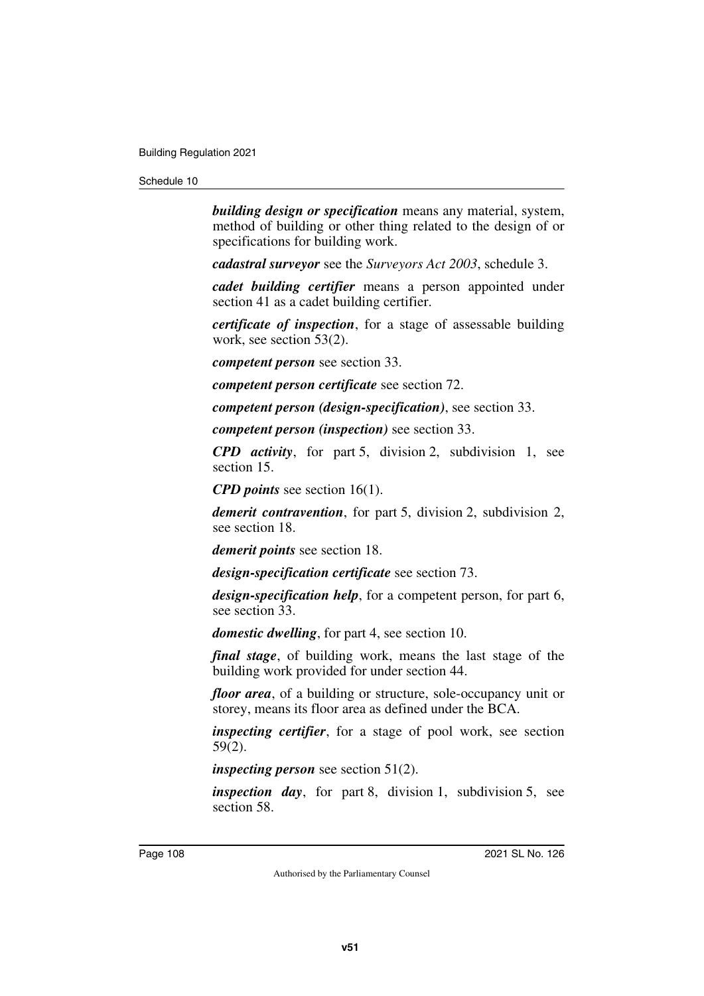*building design or specification* means any material, system, method of building or other thing related to the design of or specifications for building work.

*cadastral surveyor* see the *Surveyors Act 2003*, schedule 3.

*cadet building certifier* means a person appointed under section 41 as a cadet building certifier.

*certificate of inspection*, for a stage of assessable building work, see section 53(2).

*competent person* see section 33.

*competent person certificate* see section 72.

*competent person (design-specification)*, see section 33.

*competent person (inspection)* see section 33.

*CPD activity*, for part 5, division 2, subdivision 1, see section 15.

*CPD points* see section 16(1).

*demerit contravention*, for part 5, division 2, subdivision 2, see section 18.

*demerit points* see section 18.

*design-specification certificate* see section 73.

*design-specification help*, for a competent person, for part 6, see section 33.

*domestic dwelling*, for part 4, see section 10.

*final stage*, of building work, means the last stage of the building work provided for under section 44.

*floor area*, of a building or structure, sole-occupancy unit or storey, means its floor area as defined under the BCA.

*inspecting certifier*, for a stage of pool work, see section 59(2).

*inspecting person* see section 51(2).

*inspection day*, for part 8, division 1, subdivision 5, see section 58.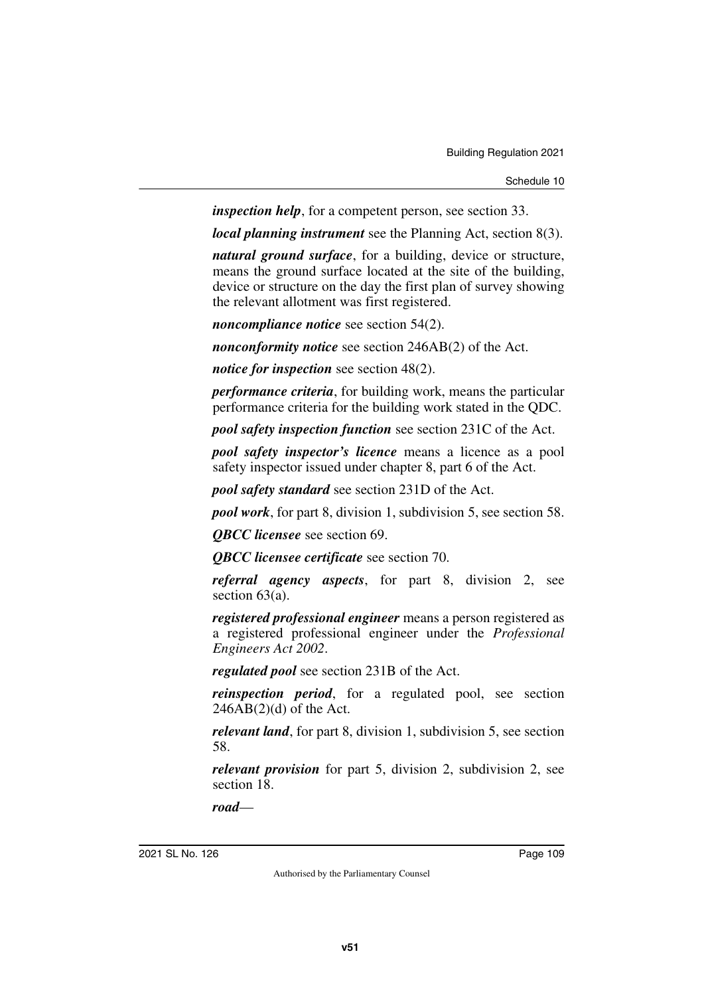*inspection help*, for a competent person, see section 33.

*local planning instrument* see the Planning Act, section 8(3).

*natural ground surface*, for a building, device or structure, means the ground surface located at the site of the building, device or structure on the day the first plan of survey showing the relevant allotment was first registered.

*noncompliance notice* see section 54(2).

*nonconformity notice* see section 246AB(2) of the Act.

*notice for inspection* see section 48(2).

*performance criteria*, for building work, means the particular performance criteria for the building work stated in the QDC.

*pool safety inspection function* see section 231C of the Act.

*pool safety inspector's licence* means a licence as a pool safety inspector issued under chapter 8, part 6 of the Act.

*pool safety standard* see section 231D of the Act.

*pool work*, for part 8, division 1, subdivision 5, see section 58.

*QBCC licensee* see section 69.

*QBCC licensee certificate* see section 70.

*referral agency aspects*, for part 8, division 2, see section 63(a).

*registered professional engineer* means a person registered as a registered professional engineer under the *Professional Engineers Act 2002*.

*regulated pool* see section 231B of the Act.

*reinspection period*, for a regulated pool, see section  $246AB(2)(d)$  of the Act.

*relevant land*, for part 8, division 1, subdivision 5, see section 58.

*relevant provision* for part 5, division 2, subdivision 2, see section 18.

*road*—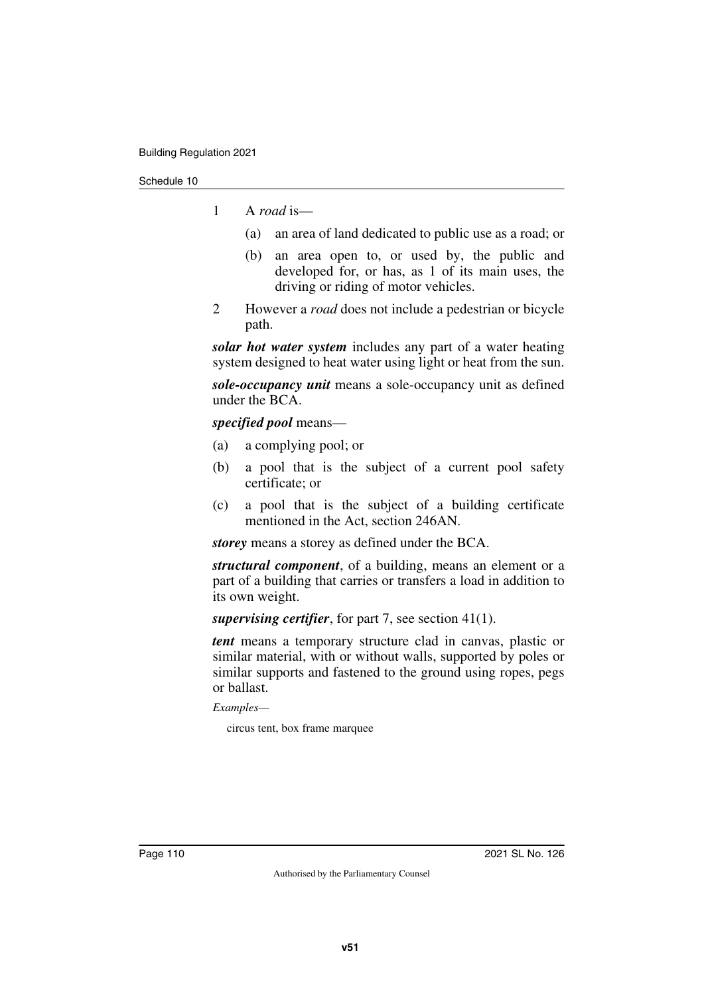- 1 A *road* is—
	- (a) an area of land dedicated to public use as a road; or
	- (b) an area open to, or used by, the public and developed for, or has, as 1 of its main uses, the driving or riding of motor vehicles.
- 2 However a *road* does not include a pedestrian or bicycle path.

*solar hot water system* includes any part of a water heating system designed to heat water using light or heat from the sun.

*sole-occupancy unit* means a sole-occupancy unit as defined under the BCA.

*specified pool* means—

- (a) a complying pool; or
- (b) a pool that is the subject of a current pool safety certificate; or
- (c) a pool that is the subject of a building certificate mentioned in the Act, section 246AN.

*storey* means a storey as defined under the BCA.

*structural component*, of a building, means an element or a part of a building that carries or transfers a load in addition to its own weight.

*supervising certifier*, for part 7, see section 41(1).

*tent* means a temporary structure clad in canvas, plastic or similar material, with or without walls, supported by poles or similar supports and fastened to the ground using ropes, pegs or ballast.

*Examples—*

circus tent, box frame marquee